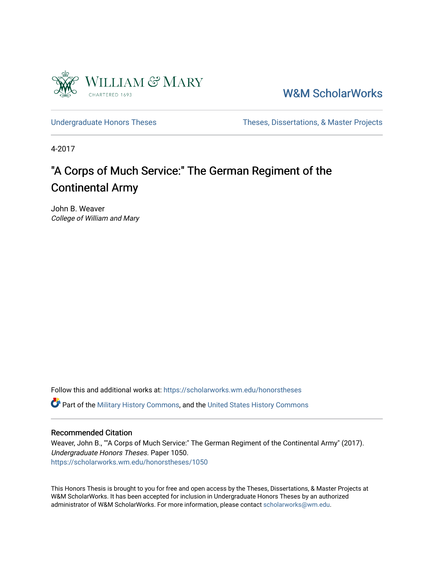

[W&M ScholarWorks](https://scholarworks.wm.edu/) 

[Undergraduate Honors Theses](https://scholarworks.wm.edu/honorstheses) Theses Theses, Dissertations, & Master Projects

4-2017

# "A Corps of Much Service:" The German Regiment of the Continental Army

John B. Weaver College of William and Mary

Follow this and additional works at: [https://scholarworks.wm.edu/honorstheses](https://scholarworks.wm.edu/honorstheses?utm_source=scholarworks.wm.edu%2Fhonorstheses%2F1050&utm_medium=PDF&utm_campaign=PDFCoverPages) 

Part of the [Military History Commons](http://network.bepress.com/hgg/discipline/504?utm_source=scholarworks.wm.edu%2Fhonorstheses%2F1050&utm_medium=PDF&utm_campaign=PDFCoverPages), and the [United States History Commons](http://network.bepress.com/hgg/discipline/495?utm_source=scholarworks.wm.edu%2Fhonorstheses%2F1050&utm_medium=PDF&utm_campaign=PDFCoverPages)

#### Recommended Citation

Weaver, John B., ""A Corps of Much Service:" The German Regiment of the Continental Army" (2017). Undergraduate Honors Theses. Paper 1050. [https://scholarworks.wm.edu/honorstheses/1050](https://scholarworks.wm.edu/honorstheses/1050?utm_source=scholarworks.wm.edu%2Fhonorstheses%2F1050&utm_medium=PDF&utm_campaign=PDFCoverPages)

This Honors Thesis is brought to you for free and open access by the Theses, Dissertations, & Master Projects at W&M ScholarWorks. It has been accepted for inclusion in Undergraduate Honors Theses by an authorized administrator of W&M ScholarWorks. For more information, please contact [scholarworks@wm.edu.](mailto:scholarworks@wm.edu)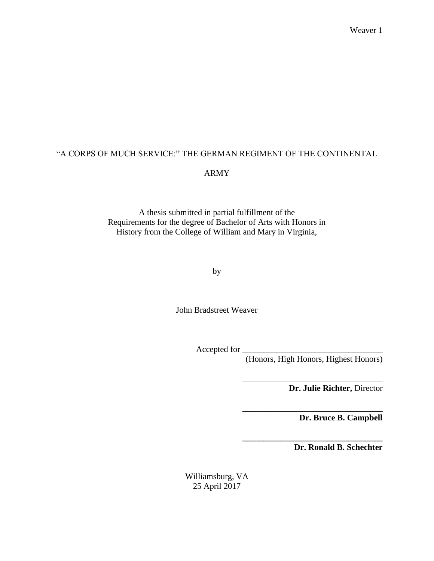# "A CORPS OF MUCH SERVICE:" THE GERMAN REGIMENT OF THE CONTINENTAL ARMY

A thesis submitted in partial fulfillment of the Requirements for the degree of Bachelor of Arts with Honors in History from the College of William and Mary in Virginia,

by

John Bradstreet Weaver

Accepted for \_

(Honors, High Honors, Highest Honors)

\_\_\_\_\_\_\_\_\_\_\_\_\_\_\_\_\_\_\_\_\_\_\_\_\_\_\_\_\_\_\_\_\_

**\_\_\_\_\_\_\_\_\_\_\_\_\_\_\_\_\_\_\_\_\_\_\_\_\_\_\_\_\_\_\_\_\_**

**\_\_\_\_\_\_\_\_\_\_\_\_\_\_\_\_\_\_\_\_\_\_\_\_\_\_\_\_\_\_\_\_\_**

**Dr. Julie Richter,** Director

**Dr. Bruce B. Campbell**

**Dr. Ronald B. Schechter**

Williamsburg, VA 25 April 2017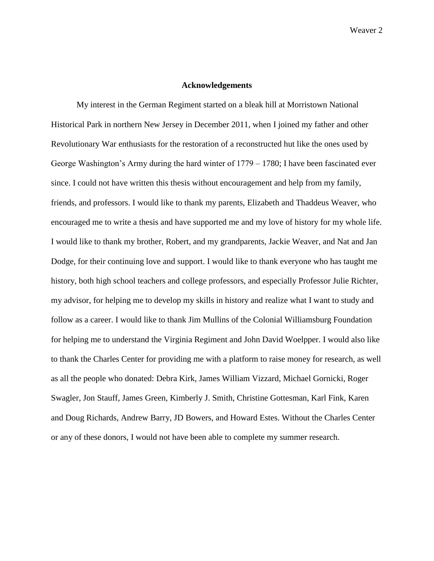### **Acknowledgements**

My interest in the German Regiment started on a bleak hill at Morristown National Historical Park in northern New Jersey in December 2011, when I joined my father and other Revolutionary War enthusiasts for the restoration of a reconstructed hut like the ones used by George Washington's Army during the hard winter of 1779 – 1780; I have been fascinated ever since. I could not have written this thesis without encouragement and help from my family, friends, and professors. I would like to thank my parents, Elizabeth and Thaddeus Weaver, who encouraged me to write a thesis and have supported me and my love of history for my whole life. I would like to thank my brother, Robert, and my grandparents, Jackie Weaver, and Nat and Jan Dodge, for their continuing love and support. I would like to thank everyone who has taught me history, both high school teachers and college professors, and especially Professor Julie Richter, my advisor, for helping me to develop my skills in history and realize what I want to study and follow as a career. I would like to thank Jim Mullins of the Colonial Williamsburg Foundation for helping me to understand the Virginia Regiment and John David Woelpper. I would also like to thank the Charles Center for providing me with a platform to raise money for research, as well as all the people who donated: Debra Kirk, James William Vizzard, Michael Gornicki, Roger Swagler, Jon Stauff, James Green, Kimberly J. Smith, Christine Gottesman, Karl Fink, Karen and Doug Richards, Andrew Barry, JD Bowers, and Howard Estes. Without the Charles Center or any of these donors, I would not have been able to complete my summer research.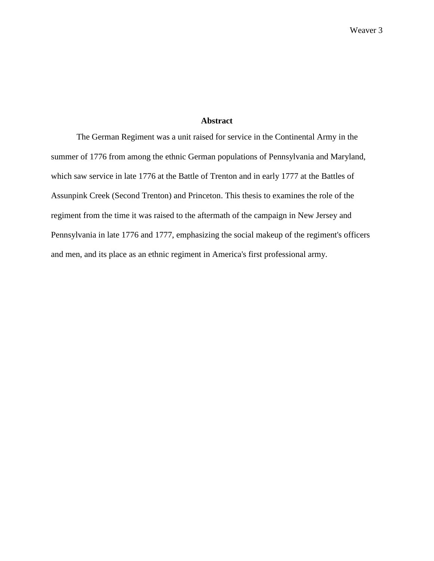### **Abstract**

The German Regiment was a unit raised for service in the Continental Army in the summer of 1776 from among the ethnic German populations of Pennsylvania and Maryland, which saw service in late 1776 at the Battle of Trenton and in early 1777 at the Battles of Assunpink Creek (Second Trenton) and Princeton. This thesis to examines the role of the regiment from the time it was raised to the aftermath of the campaign in New Jersey and Pennsylvania in late 1776 and 1777, emphasizing the social makeup of the regiment's officers and men, and its place as an ethnic regiment in America's first professional army.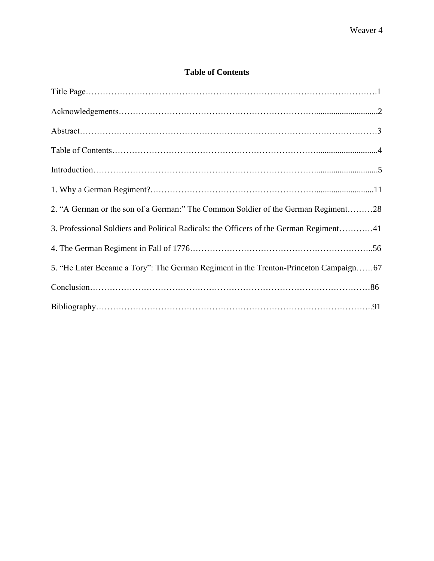## **Table of Contents**

| 2. "A German or the son of a German:" The Common Soldier of the German Regiment28      |
|----------------------------------------------------------------------------------------|
| 3. Professional Soldiers and Political Radicals: the Officers of the German Regiment41 |
|                                                                                        |
| 5. "He Later Became a Tory": The German Regiment in the Trenton-Princeton Campaign67   |
|                                                                                        |
|                                                                                        |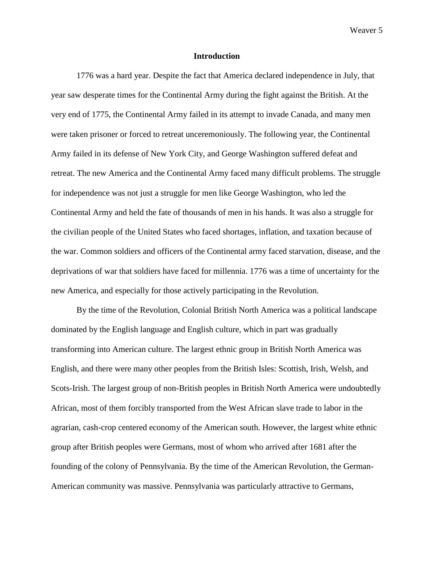#### **Introduction**

1776 was a hard year. Despite the fact that America declared independence in July, that year saw desperate times for the Continental Army during the fight against the British. At the very end of 1775, the Continental Army failed in its attempt to invade Canada, and many men were taken prisoner or forced to retreat unceremoniously. The following year, the Continental Army failed in its defense of New York City, and George Washington suffered defeat and retreat. The new America and the Continental Army faced many difficult problems. The struggle for independence was not just a struggle for men like George Washington, who led the Continental Army and held the fate of thousands of men in his hands. It was also a struggle for the civilian people of the United States who faced shortages, inflation, and taxation because of the war. Common soldiers and officers of the Continental army faced starvation, disease, and the deprivations of war that soldiers have faced for millennia. 1776 was a time of uncertainty for the new America, and especially for those actively participating in the Revolution.

By the time of the Revolution, Colonial British North America was a political landscape dominated by the English language and English culture, which in part was gradually transforming into American culture. The largest ethnic group in British North America was English, and there were many other peoples from the British Isles: Scottish, Irish, Welsh, and Scots-Irish. The largest group of non-British peoples in British North America were undoubtedly African, most of them forcibly transported from the West African slave trade to labor in the agrarian, cash-crop centered economy of the American south. However, the largest white ethnic group after British peoples were Germans, most of whom who arrived after 1681 after the founding of the colony of Pennsylvania. By the time of the American Revolution, the German-American community was massive. Pennsylvania was particularly attractive to Germans,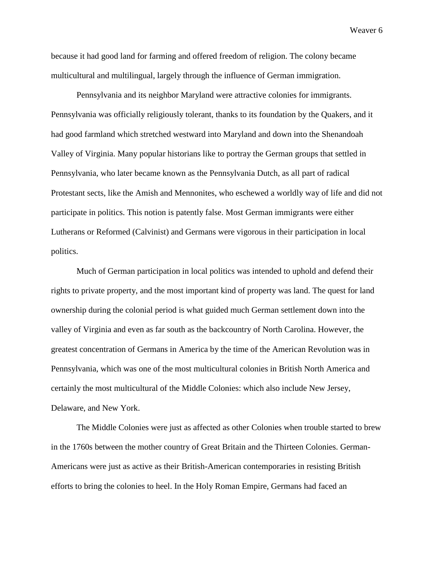because it had good land for farming and offered freedom of religion. The colony became multicultural and multilingual, largely through the influence of German immigration.

Pennsylvania and its neighbor Maryland were attractive colonies for immigrants. Pennsylvania was officially religiously tolerant, thanks to its foundation by the Quakers, and it had good farmland which stretched westward into Maryland and down into the Shenandoah Valley of Virginia. Many popular historians like to portray the German groups that settled in Pennsylvania, who later became known as the Pennsylvania Dutch, as all part of radical Protestant sects, like the Amish and Mennonites, who eschewed a worldly way of life and did not participate in politics. This notion is patently false. Most German immigrants were either Lutherans or Reformed (Calvinist) and Germans were vigorous in their participation in local politics.

Much of German participation in local politics was intended to uphold and defend their rights to private property, and the most important kind of property was land. The quest for land ownership during the colonial period is what guided much German settlement down into the valley of Virginia and even as far south as the backcountry of North Carolina. However, the greatest concentration of Germans in America by the time of the American Revolution was in Pennsylvania, which was one of the most multicultural colonies in British North America and certainly the most multicultural of the Middle Colonies: which also include New Jersey, Delaware, and New York.

The Middle Colonies were just as affected as other Colonies when trouble started to brew in the 1760s between the mother country of Great Britain and the Thirteen Colonies. German-Americans were just as active as their British-American contemporaries in resisting British efforts to bring the colonies to heel. In the Holy Roman Empire, Germans had faced an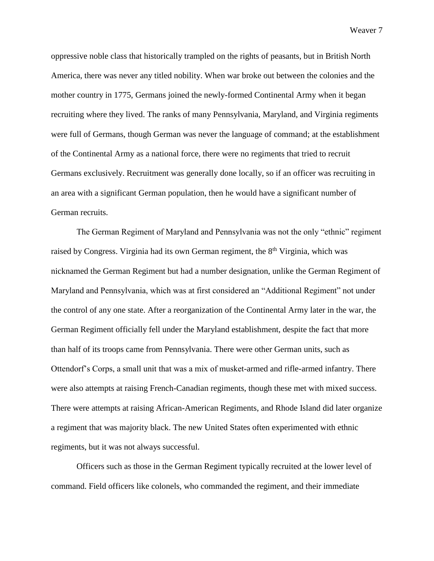oppressive noble class that historically trampled on the rights of peasants, but in British North America, there was never any titled nobility. When war broke out between the colonies and the mother country in 1775, Germans joined the newly-formed Continental Army when it began recruiting where they lived. The ranks of many Pennsylvania, Maryland, and Virginia regiments were full of Germans, though German was never the language of command; at the establishment of the Continental Army as a national force, there were no regiments that tried to recruit Germans exclusively. Recruitment was generally done locally, so if an officer was recruiting in an area with a significant German population, then he would have a significant number of German recruits.

The German Regiment of Maryland and Pennsylvania was not the only "ethnic" regiment raised by Congress. Virginia had its own German regiment, the  $8<sup>th</sup>$  Virginia, which was nicknamed the German Regiment but had a number designation, unlike the German Regiment of Maryland and Pennsylvania, which was at first considered an "Additional Regiment" not under the control of any one state. After a reorganization of the Continental Army later in the war, the German Regiment officially fell under the Maryland establishment, despite the fact that more than half of its troops came from Pennsylvania. There were other German units, such as Ottendorf's Corps, a small unit that was a mix of musket-armed and rifle-armed infantry. There were also attempts at raising French-Canadian regiments, though these met with mixed success. There were attempts at raising African-American Regiments, and Rhode Island did later organize a regiment that was majority black. The new United States often experimented with ethnic regiments, but it was not always successful.

Officers such as those in the German Regiment typically recruited at the lower level of command. Field officers like colonels, who commanded the regiment, and their immediate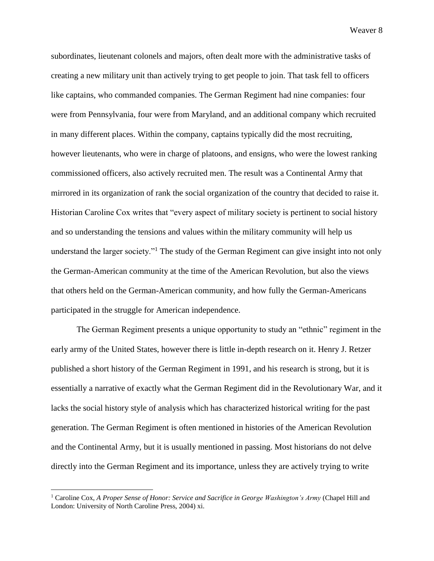subordinates, lieutenant colonels and majors, often dealt more with the administrative tasks of creating a new military unit than actively trying to get people to join. That task fell to officers like captains, who commanded companies. The German Regiment had nine companies: four were from Pennsylvania, four were from Maryland, and an additional company which recruited in many different places. Within the company, captains typically did the most recruiting, however lieutenants, who were in charge of platoons, and ensigns, who were the lowest ranking commissioned officers, also actively recruited men. The result was a Continental Army that mirrored in its organization of rank the social organization of the country that decided to raise it. Historian Caroline Cox writes that "every aspect of military society is pertinent to social history and so understanding the tensions and values within the military community will help us understand the larger society."<sup>1</sup> The study of the German Regiment can give insight into not only the German-American community at the time of the American Revolution, but also the views that others held on the German-American community, and how fully the German-Americans participated in the struggle for American independence.

The German Regiment presents a unique opportunity to study an "ethnic" regiment in the early army of the United States, however there is little in-depth research on it. Henry J. Retzer published a short history of the German Regiment in 1991, and his research is strong, but it is essentially a narrative of exactly what the German Regiment did in the Revolutionary War, and it lacks the social history style of analysis which has characterized historical writing for the past generation. The German Regiment is often mentioned in histories of the American Revolution and the Continental Army, but it is usually mentioned in passing. Most historians do not delve directly into the German Regiment and its importance, unless they are actively trying to write

<sup>&</sup>lt;sup>1</sup> Caroline Cox, *A Proper Sense of Honor: Service and Sacrifice in George Washington's Army* (Chapel Hill and London: University of North Caroline Press, 2004) xi.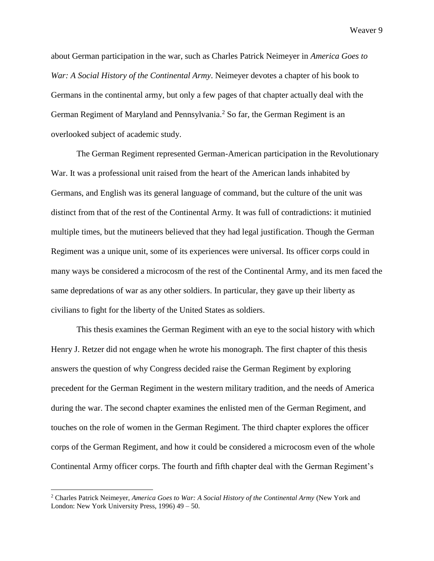about German participation in the war, such as Charles Patrick Neimeyer in *America Goes to War: A Social History of the Continental Army*. Neimeyer devotes a chapter of his book to Germans in the continental army, but only a few pages of that chapter actually deal with the German Regiment of Maryland and Pennsylvania.<sup>2</sup> So far, the German Regiment is an overlooked subject of academic study.

The German Regiment represented German-American participation in the Revolutionary War. It was a professional unit raised from the heart of the American lands inhabited by Germans, and English was its general language of command, but the culture of the unit was distinct from that of the rest of the Continental Army. It was full of contradictions: it mutinied multiple times, but the mutineers believed that they had legal justification. Though the German Regiment was a unique unit, some of its experiences were universal. Its officer corps could in many ways be considered a microcosm of the rest of the Continental Army, and its men faced the same depredations of war as any other soldiers. In particular, they gave up their liberty as civilians to fight for the liberty of the United States as soldiers.

This thesis examines the German Regiment with an eye to the social history with which Henry J. Retzer did not engage when he wrote his monograph. The first chapter of this thesis answers the question of why Congress decided raise the German Regiment by exploring precedent for the German Regiment in the western military tradition, and the needs of America during the war. The second chapter examines the enlisted men of the German Regiment, and touches on the role of women in the German Regiment. The third chapter explores the officer corps of the German Regiment, and how it could be considered a microcosm even of the whole Continental Army officer corps. The fourth and fifth chapter deal with the German Regiment's

<sup>2</sup> Charles Patrick Neimeyer, *America Goes to War: A Social History of the Continental Army* (New York and London: New York University Press, 1996) 49 – 50.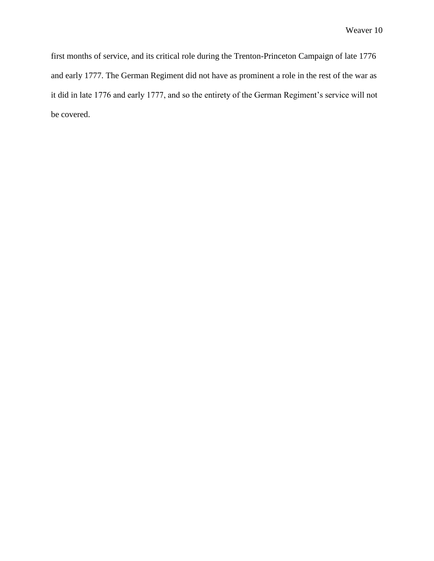first months of service, and its critical role during the Trenton-Princeton Campaign of late 1776 and early 1777. The German Regiment did not have as prominent a role in the rest of the war as it did in late 1776 and early 1777, and so the entirety of the German Regiment's service will not be covered.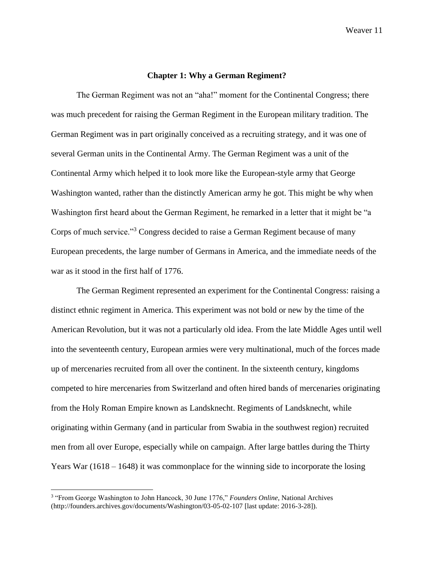### **Chapter 1: Why a German Regiment?**

The German Regiment was not an "aha!" moment for the Continental Congress; there was much precedent for raising the German Regiment in the European military tradition. The German Regiment was in part originally conceived as a recruiting strategy, and it was one of several German units in the Continental Army. The German Regiment was a unit of the Continental Army which helped it to look more like the European-style army that George Washington wanted, rather than the distinctly American army he got. This might be why when Washington first heard about the German Regiment, he remarked in a letter that it might be "a Corps of much service."<sup>3</sup> Congress decided to raise a German Regiment because of many European precedents, the large number of Germans in America, and the immediate needs of the war as it stood in the first half of 1776.

The German Regiment represented an experiment for the Continental Congress: raising a distinct ethnic regiment in America. This experiment was not bold or new by the time of the American Revolution, but it was not a particularly old idea. From the late Middle Ages until well into the seventeenth century, European armies were very multinational, much of the forces made up of mercenaries recruited from all over the continent. In the sixteenth century, kingdoms competed to hire mercenaries from Switzerland and often hired bands of mercenaries originating from the Holy Roman Empire known as Landsknecht. Regiments of Landsknecht, while originating within Germany (and in particular from Swabia in the southwest region) recruited men from all over Europe, especially while on campaign. After large battles during the Thirty Years War (1618 – 1648) it was commonplace for the winning side to incorporate the losing

 3 "From George Washington to John Hancock, 30 June 1776," *Founders Online*, National Archives (http://founders.archives.gov/documents/Washington/03-05-02-107 [last update: 2016-3-28]).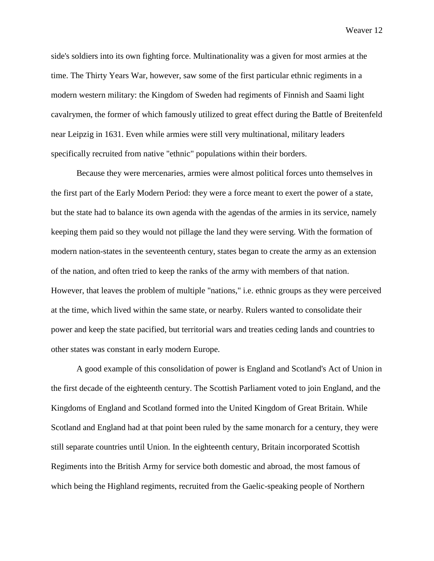side's soldiers into its own fighting force. Multinationality was a given for most armies at the time. The Thirty Years War, however, saw some of the first particular ethnic regiments in a modern western military: the Kingdom of Sweden had regiments of Finnish and Saami light cavalrymen, the former of which famously utilized to great effect during the Battle of Breitenfeld near Leipzig in 1631. Even while armies were still very multinational, military leaders specifically recruited from native "ethnic" populations within their borders.

Because they were mercenaries, armies were almost political forces unto themselves in the first part of the Early Modern Period: they were a force meant to exert the power of a state, but the state had to balance its own agenda with the agendas of the armies in its service, namely keeping them paid so they would not pillage the land they were serving. With the formation of modern nation-states in the seventeenth century, states began to create the army as an extension of the nation, and often tried to keep the ranks of the army with members of that nation. However, that leaves the problem of multiple "nations," i.e. ethnic groups as they were perceived at the time, which lived within the same state, or nearby. Rulers wanted to consolidate their power and keep the state pacified, but territorial wars and treaties ceding lands and countries to other states was constant in early modern Europe.

A good example of this consolidation of power is England and Scotland's Act of Union in the first decade of the eighteenth century. The Scottish Parliament voted to join England, and the Kingdoms of England and Scotland formed into the United Kingdom of Great Britain. While Scotland and England had at that point been ruled by the same monarch for a century, they were still separate countries until Union. In the eighteenth century, Britain incorporated Scottish Regiments into the British Army for service both domestic and abroad, the most famous of which being the Highland regiments, recruited from the Gaelic-speaking people of Northern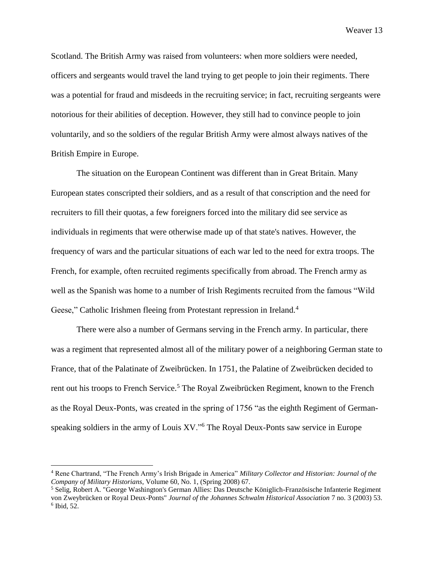Scotland. The British Army was raised from volunteers: when more soldiers were needed, officers and sergeants would travel the land trying to get people to join their regiments. There was a potential for fraud and misdeeds in the recruiting service; in fact, recruiting sergeants were notorious for their abilities of deception. However, they still had to convince people to join voluntarily, and so the soldiers of the regular British Army were almost always natives of the British Empire in Europe.

The situation on the European Continent was different than in Great Britain. Many European states conscripted their soldiers, and as a result of that conscription and the need for recruiters to fill their quotas, a few foreigners forced into the military did see service as individuals in regiments that were otherwise made up of that state's natives. However, the frequency of wars and the particular situations of each war led to the need for extra troops. The French, for example, often recruited regiments specifically from abroad. The French army as well as the Spanish was home to a number of Irish Regiments recruited from the famous "Wild Geese," Catholic Irishmen fleeing from Protestant repression in Ireland.<sup>4</sup>

There were also a number of Germans serving in the French army. In particular, there was a regiment that represented almost all of the military power of a neighboring German state to France, that of the Palatinate of Zweibrücken. In 1751, the Palatine of Zweibrücken decided to rent out his troops to French Service.<sup>5</sup> The Royal Zweibrücken Regiment, known to the French as the Royal Deux-Ponts, was created in the spring of 1756 "as the eighth Regiment of Germanspeaking soldiers in the army of Louis XV."<sup>6</sup> The Royal Deux-Ponts saw service in Europe

<sup>4</sup> Rene Chartrand, "The French Army's Irish Brigade in America" *Military Collector and Historian: Journal of the Company of Military Historians*, Volume 60, No. 1, (Spring 2008) 67.

<sup>5</sup> Selig, Robert A. "George Washington's German Allies: Das Deutsche Königlich-Französische Infanterie Regiment von Zweybrücken or Royal Deux-Ponts" *Journal of the Johannes Schwalm Historical Association* 7 no. 3 (2003) 53. 6 Ibid, 52.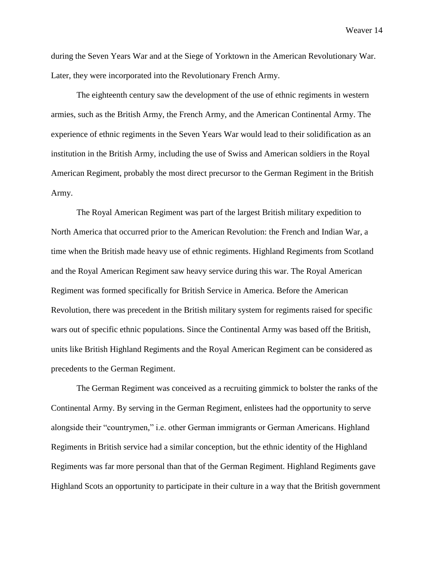during the Seven Years War and at the Siege of Yorktown in the American Revolutionary War. Later, they were incorporated into the Revolutionary French Army.

The eighteenth century saw the development of the use of ethnic regiments in western armies, such as the British Army, the French Army, and the American Continental Army. The experience of ethnic regiments in the Seven Years War would lead to their solidification as an institution in the British Army, including the use of Swiss and American soldiers in the Royal American Regiment, probably the most direct precursor to the German Regiment in the British Army.

The Royal American Regiment was part of the largest British military expedition to North America that occurred prior to the American Revolution: the French and Indian War, a time when the British made heavy use of ethnic regiments. Highland Regiments from Scotland and the Royal American Regiment saw heavy service during this war. The Royal American Regiment was formed specifically for British Service in America. Before the American Revolution, there was precedent in the British military system for regiments raised for specific wars out of specific ethnic populations. Since the Continental Army was based off the British, units like British Highland Regiments and the Royal American Regiment can be considered as precedents to the German Regiment.

The German Regiment was conceived as a recruiting gimmick to bolster the ranks of the Continental Army. By serving in the German Regiment, enlistees had the opportunity to serve alongside their "countrymen," i.e. other German immigrants or German Americans. Highland Regiments in British service had a similar conception, but the ethnic identity of the Highland Regiments was far more personal than that of the German Regiment. Highland Regiments gave Highland Scots an opportunity to participate in their culture in a way that the British government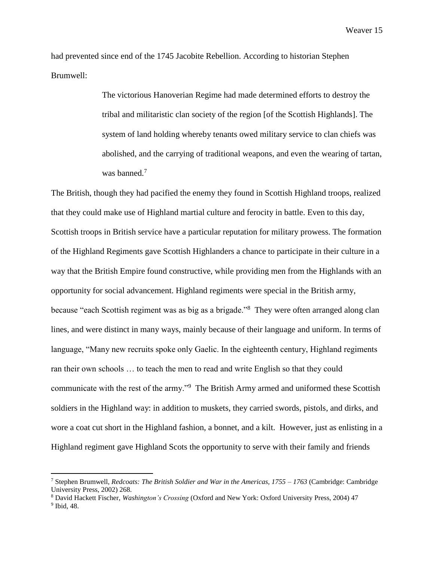had prevented since end of the 1745 Jacobite Rebellion. According to historian Stephen Brumwell:

> The victorious Hanoverian Regime had made determined efforts to destroy the tribal and militaristic clan society of the region [of the Scottish Highlands]. The system of land holding whereby tenants owed military service to clan chiefs was abolished, and the carrying of traditional weapons, and even the wearing of tartan, was banned.<sup>7</sup>

The British, though they had pacified the enemy they found in Scottish Highland troops, realized that they could make use of Highland martial culture and ferocity in battle. Even to this day, Scottish troops in British service have a particular reputation for military prowess. The formation of the Highland Regiments gave Scottish Highlanders a chance to participate in their culture in a way that the British Empire found constructive, while providing men from the Highlands with an opportunity for social advancement. Highland regiments were special in the British army, because "each Scottish regiment was as big as a brigade."<sup>8</sup> They were often arranged along clan lines, and were distinct in many ways, mainly because of their language and uniform. In terms of language, "Many new recruits spoke only Gaelic. In the eighteenth century, Highland regiments ran their own schools … to teach the men to read and write English so that they could communicate with the rest of the army."<sup>9</sup> The British Army armed and uniformed these Scottish soldiers in the Highland way: in addition to muskets, they carried swords, pistols, and dirks, and wore a coat cut short in the Highland fashion, a bonnet, and a kilt. However, just as enlisting in a Highland regiment gave Highland Scots the opportunity to serve with their family and friends

<sup>7</sup> Stephen Brumwell, *Redcoats: The British Soldier and War in the Americas, 1755 – 1763* (Cambridge: Cambridge University Press, 2002) 268.

<sup>8</sup> David Hackett Fischer, *Washington's Crossing* (Oxford and New York: Oxford University Press, 2004) 47 9 Ibid, 48.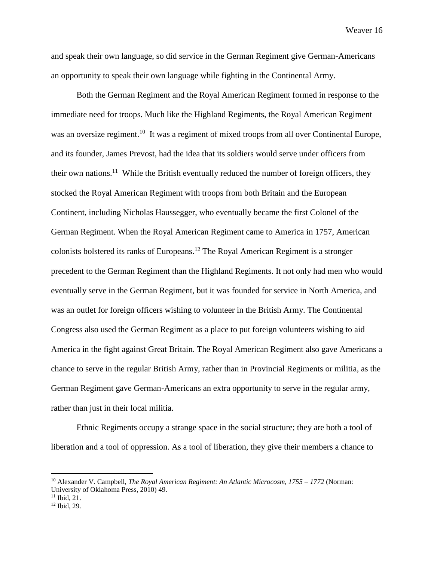and speak their own language, so did service in the German Regiment give German-Americans an opportunity to speak their own language while fighting in the Continental Army.

Both the German Regiment and the Royal American Regiment formed in response to the immediate need for troops. Much like the Highland Regiments, the Royal American Regiment was an oversize regiment.<sup>10</sup> It was a regiment of mixed troops from all over Continental Europe, and its founder, James Prevost, had the idea that its soldiers would serve under officers from their own nations.<sup>11</sup> While the British eventually reduced the number of foreign officers, they stocked the Royal American Regiment with troops from both Britain and the European Continent, including Nicholas Haussegger, who eventually became the first Colonel of the German Regiment. When the Royal American Regiment came to America in 1757, American colonists bolstered its ranks of Europeans.<sup>12</sup> The Royal American Regiment is a stronger precedent to the German Regiment than the Highland Regiments. It not only had men who would eventually serve in the German Regiment, but it was founded for service in North America, and was an outlet for foreign officers wishing to volunteer in the British Army. The Continental Congress also used the German Regiment as a place to put foreign volunteers wishing to aid America in the fight against Great Britain. The Royal American Regiment also gave Americans a chance to serve in the regular British Army, rather than in Provincial Regiments or militia, as the German Regiment gave German-Americans an extra opportunity to serve in the regular army, rather than just in their local militia.

Ethnic Regiments occupy a strange space in the social structure; they are both a tool of liberation and a tool of oppression. As a tool of liberation, they give their members a chance to

<sup>10</sup> Alexander V. Campbell, *The Royal American Regiment: An Atlantic Microcosm, 1755 – 1772* (Norman: University of Oklahoma Press, 2010) 49.

<sup>11</sup> Ibid, 21.

<sup>12</sup> Ibid, 29.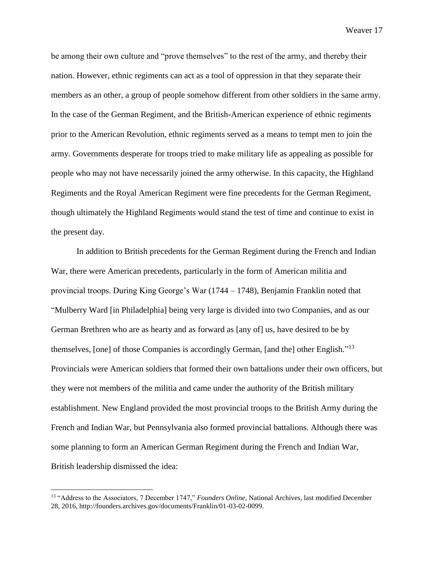be among their own culture and "prove themselves" to the rest of the army, and thereby their nation. However, ethnic regiments can act as a tool of oppression in that they separate their members as an other, a group of people somehow different from other soldiers in the same army. In the case of the German Regiment, and the British-American experience of ethnic regiments prior to the American Revolution, ethnic regiments served as a means to tempt men to join the army. Governments desperate for troops tried to make military life as appealing as possible for people who may not have necessarily joined the army otherwise. In this capacity, the Highland Regiments and the Royal American Regiment were fine precedents for the German Regiment, though ultimately the Highland Regiments would stand the test of time and continue to exist in the present day.

In addition to British precedents for the German Regiment during the French and Indian War, there were American precedents, particularly in the form of American militia and provincial troops. During King George's War (1744 – 1748), Benjamin Franklin noted that "Mulberry Ward [in Philadelphia] being very large is divided into two Companies, and as our German Brethren who are as hearty and as forward as [any of] us, have desired to be by themselves, [one] of those Companies is accordingly German, [and the] other English."<sup>13</sup> Provincials were American soldiers that formed their own battalions under their own officers, but they were not members of the militia and came under the authority of the British military establishment. New England provided the most provincial troops to the British Army during the French and Indian War, but Pennsylvania also formed provincial battalions. Although there was some planning to form an American German Regiment during the French and Indian War, British leadership dismissed the idea:

<sup>13</sup> "Address to the Associators, 7 December 1747," *Founders Online*, National Archives, last modified December 28, 2016, http://founders.archives.gov/documents/Franklin/01-03-02-0099.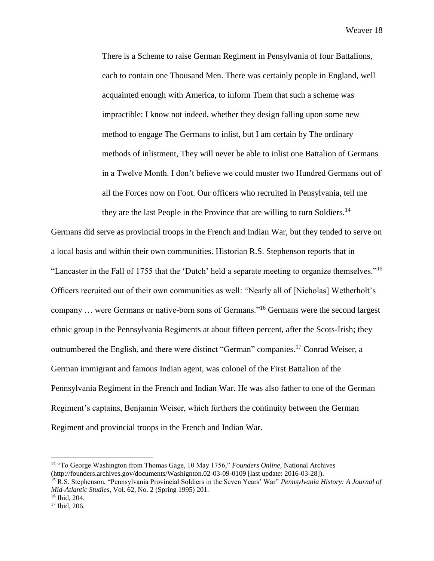There is a Scheme to raise German Regiment in Pensylvania of four Battalions, each to contain one Thousand Men. There was certainly people in England, well acquainted enough with America, to inform Them that such a scheme was impractible: I know not indeed, whether they design falling upon some new method to engage The Germans to inlist, but I am certain by The ordinary methods of inlistment, They will never be able to inlist one Battalion of Germans in a Twelve Month. I don't believe we could muster two Hundred Germans out of all the Forces now on Foot. Our officers who recruited in Pensylvania, tell me they are the last People in the Province that are willing to turn Soldiers.<sup>14</sup>

Germans did serve as provincial troops in the French and Indian War, but they tended to serve on a local basis and within their own communities. Historian R.S. Stephenson reports that in "Lancaster in the Fall of 1755 that the 'Dutch' held a separate meeting to organize themselves."<sup>15</sup> Officers recruited out of their own communities as well: "Nearly all of [Nicholas] Wetherholt's company … were Germans or native-born sons of Germans."<sup>16</sup> Germans were the second largest ethnic group in the Pennsylvania Regiments at about fifteen percent, after the Scots-Irish; they outnumbered the English, and there were distinct "German" companies.<sup>17</sup> Conrad Weiser, a German immigrant and famous Indian agent, was colonel of the First Battalion of the Pennsylvania Regiment in the French and Indian War. He was also father to one of the German Regiment's captains, Benjamin Weiser, which furthers the continuity between the German Regiment and provincial troops in the French and Indian War.

<sup>14</sup> "To George Washington from Thomas Gage, 10 May 1756," *Founders Online*, National Archives (http://founders.archives.gov/documents/Washignton.02-03-09-0109 [last update: 2016-03-28]).

<sup>15</sup> R.S. Stephenson, "Pennsylvania Provincial Soldiers in the Seven Years' War" *Pennsylvania History: A Journal of Mid-Atlantic Studies*, Vol. 62, No. 2 (Spring 1995) 201.

<sup>16</sup> Ibid, 204.

<sup>17</sup> Ibid, 206.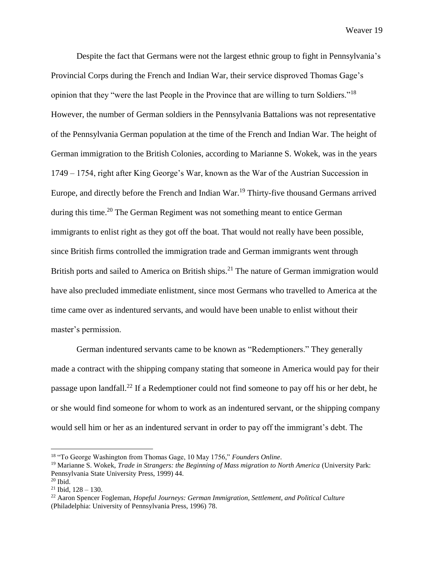Despite the fact that Germans were not the largest ethnic group to fight in Pennsylvania's Provincial Corps during the French and Indian War, their service disproved Thomas Gage's opinion that they "were the last People in the Province that are willing to turn Soldiers."<sup>18</sup> However, the number of German soldiers in the Pennsylvania Battalions was not representative of the Pennsylvania German population at the time of the French and Indian War. The height of German immigration to the British Colonies, according to Marianne S. Wokek, was in the years 1749 – 1754, right after King George's War, known as the War of the Austrian Succession in Europe, and directly before the French and Indian War.<sup>19</sup> Thirty-five thousand Germans arrived during this time.<sup>20</sup> The German Regiment was not something meant to entice German immigrants to enlist right as they got off the boat. That would not really have been possible, since British firms controlled the immigration trade and German immigrants went through British ports and sailed to America on British ships.<sup>21</sup> The nature of German immigration would have also precluded immediate enlistment, since most Germans who travelled to America at the time came over as indentured servants, and would have been unable to enlist without their master's permission.

German indentured servants came to be known as "Redemptioners." They generally made a contract with the shipping company stating that someone in America would pay for their passage upon landfall.<sup>22</sup> If a Redemptioner could not find someone to pay off his or her debt, he or she would find someone for whom to work as an indentured servant, or the shipping company would sell him or her as an indentured servant in order to pay off the immigrant's debt. The

<sup>18</sup> "To George Washington from Thomas Gage, 10 May 1756," *Founders Online*.

<sup>19</sup> Marianne S. Wokek, *Trade in Strangers: the Beginning of Mass migration to North America* (University Park: Pennsylvania State University Press, 1999) 44.

 $20$  Ibid.

 $21$  Ibid,  $128 - 130$ .

<sup>22</sup> Aaron Spencer Fogleman, *Hopeful Journeys: German Immigration, Settlement, and Political Culture*  (Philadelphia: University of Pennsylvania Press, 1996) 78.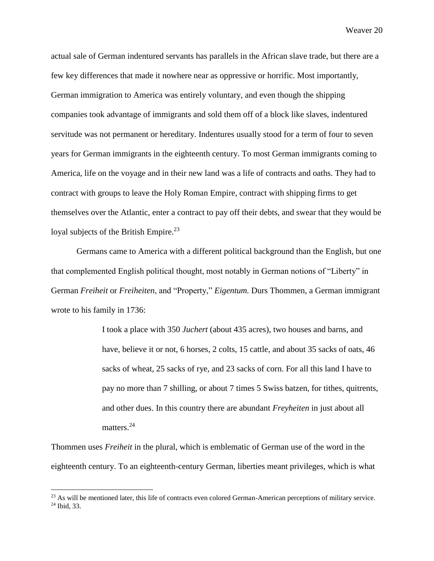actual sale of German indentured servants has parallels in the African slave trade, but there are a few key differences that made it nowhere near as oppressive or horrific. Most importantly, German immigration to America was entirely voluntary, and even though the shipping companies took advantage of immigrants and sold them off of a block like slaves, indentured servitude was not permanent or hereditary. Indentures usually stood for a term of four to seven years for German immigrants in the eighteenth century. To most German immigrants coming to America, life on the voyage and in their new land was a life of contracts and oaths. They had to contract with groups to leave the Holy Roman Empire, contract with shipping firms to get themselves over the Atlantic, enter a contract to pay off their debts, and swear that they would be loyal subjects of the British Empire.<sup>23</sup>

Germans came to America with a different political background than the English, but one that complemented English political thought, most notably in German notions of "Liberty" in German *Freiheit* or *Freiheiten*, and "Property," *Eigentum.* Durs Thommen, a German immigrant wrote to his family in 1736:

> I took a place with 350 *Juchert* (about 435 acres), two houses and barns, and have, believe it or not, 6 horses, 2 colts, 15 cattle, and about 35 sacks of oats, 46 sacks of wheat, 25 sacks of rye, and 23 sacks of corn. For all this land I have to pay no more than 7 shilling, or about 7 times 5 Swiss batzen, for tithes, quitrents, and other dues. In this country there are abundant *Freyheiten* in just about all matters.<sup>24</sup>

Thommen uses *Freiheit* in the plural, which is emblematic of German use of the word in the eighteenth century. To an eighteenth-century German, liberties meant privileges, which is what

<sup>&</sup>lt;sup>23</sup> As will be mentioned later, this life of contracts even colored German-American perceptions of military service. <sup>24</sup> Ibid, 33.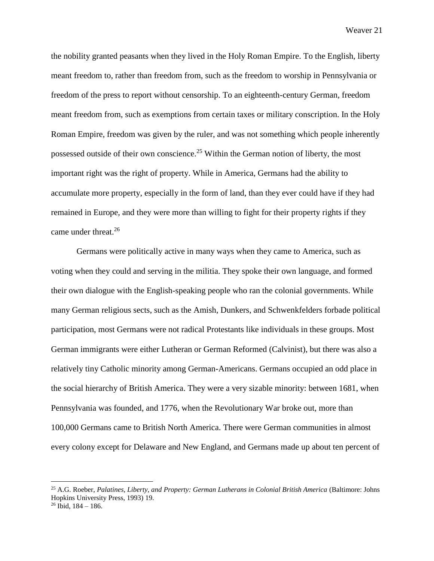the nobility granted peasants when they lived in the Holy Roman Empire. To the English, liberty meant freedom to, rather than freedom from, such as the freedom to worship in Pennsylvania or freedom of the press to report without censorship. To an eighteenth-century German, freedom meant freedom from, such as exemptions from certain taxes or military conscription. In the Holy Roman Empire, freedom was given by the ruler, and was not something which people inherently possessed outside of their own conscience.<sup>25</sup> Within the German notion of liberty, the most important right was the right of property. While in America, Germans had the ability to accumulate more property, especially in the form of land, than they ever could have if they had remained in Europe, and they were more than willing to fight for their property rights if they came under threat.<sup>26</sup>

Germans were politically active in many ways when they came to America, such as voting when they could and serving in the militia. They spoke their own language, and formed their own dialogue with the English-speaking people who ran the colonial governments. While many German religious sects, such as the Amish, Dunkers, and Schwenkfelders forbade political participation, most Germans were not radical Protestants like individuals in these groups. Most German immigrants were either Lutheran or German Reformed (Calvinist), but there was also a relatively tiny Catholic minority among German-Americans. Germans occupied an odd place in the social hierarchy of British America. They were a very sizable minority: between 1681, when Pennsylvania was founded, and 1776, when the Revolutionary War broke out, more than 100,000 Germans came to British North America. There were German communities in almost every colony except for Delaware and New England, and Germans made up about ten percent of

<sup>25</sup> A.G. Roeber, *Palatines, Liberty, and Property: German Lutherans in Colonial British America* (Baltimore: Johns Hopkins University Press, 1993) 19.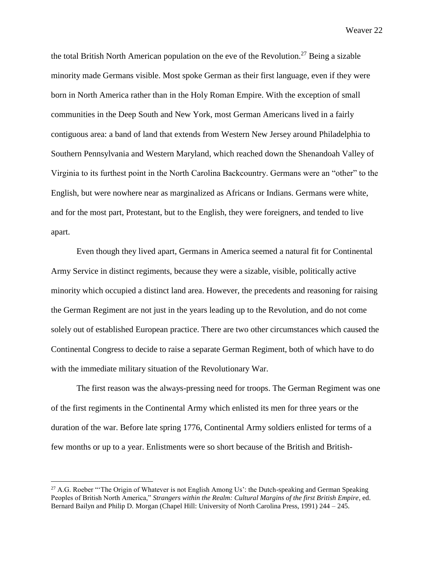the total British North American population on the eve of the Revolution.<sup>27</sup> Being a sizable minority made Germans visible. Most spoke German as their first language, even if they were born in North America rather than in the Holy Roman Empire. With the exception of small communities in the Deep South and New York, most German Americans lived in a fairly contiguous area: a band of land that extends from Western New Jersey around Philadelphia to Southern Pennsylvania and Western Maryland, which reached down the Shenandoah Valley of Virginia to its furthest point in the North Carolina Backcountry. Germans were an "other" to the English, but were nowhere near as marginalized as Africans or Indians. Germans were white, and for the most part, Protestant, but to the English, they were foreigners, and tended to live apart.

Even though they lived apart, Germans in America seemed a natural fit for Continental Army Service in distinct regiments, because they were a sizable, visible, politically active minority which occupied a distinct land area. However, the precedents and reasoning for raising the German Regiment are not just in the years leading up to the Revolution, and do not come solely out of established European practice. There are two other circumstances which caused the Continental Congress to decide to raise a separate German Regiment, both of which have to do with the immediate military situation of the Revolutionary War.

The first reason was the always-pressing need for troops. The German Regiment was one of the first regiments in the Continental Army which enlisted its men for three years or the duration of the war. Before late spring 1776, Continental Army soldiers enlisted for terms of a few months or up to a year. Enlistments were so short because of the British and British-

<sup>&</sup>lt;sup>27</sup> A.G. Roeber "The Origin of Whatever is not English Among Us': the Dutch-speaking and German Speaking Peoples of British North America," *Strangers within the Realm: Cultural Margins of the first British Empire*, ed. Bernard Bailyn and Philip D. Morgan (Chapel Hill: University of North Carolina Press, 1991) 244 – 245.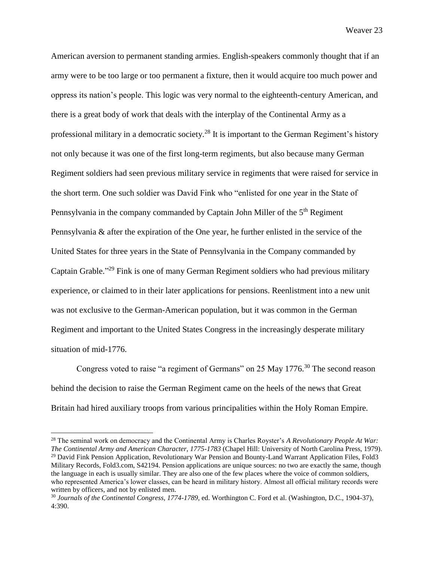American aversion to permanent standing armies. English-speakers commonly thought that if an army were to be too large or too permanent a fixture, then it would acquire too much power and oppress its nation's people. This logic was very normal to the eighteenth-century American, and there is a great body of work that deals with the interplay of the Continental Army as a professional military in a democratic society.<sup>28</sup> It is important to the German Regiment's history not only because it was one of the first long-term regiments, but also because many German Regiment soldiers had seen previous military service in regiments that were raised for service in the short term. One such soldier was David Fink who "enlisted for one year in the State of Pennsylvania in the company commanded by Captain John Miller of the 5<sup>th</sup> Regiment Pennsylvania & after the expiration of the One year, he further enlisted in the service of the United States for three years in the State of Pennsylvania in the Company commanded by Captain Grable."<sup>29</sup> Fink is one of many German Regiment soldiers who had previous military experience, or claimed to in their later applications for pensions. Reenlistment into a new unit was not exclusive to the German-American population, but it was common in the German Regiment and important to the United States Congress in the increasingly desperate military situation of mid-1776.

Congress voted to raise "a regiment of Germans" on 25 May 1776.<sup>30</sup> The second reason behind the decision to raise the German Regiment came on the heels of the news that Great Britain had hired auxiliary troops from various principalities within the Holy Roman Empire.

<sup>28</sup> The seminal work on democracy and the Continental Army is Charles Royster's *A Revolutionary People At War: The Continental Army and American Character, 1775-1783* (Chapel Hill: University of North Carolina Press, 1979). <sup>29</sup> David Fink Pension Application, Revolutionary War Pension and Bounty-Land Warrant Application Files, Fold3 Military Records, Fold3.com, S42194. Pension applications are unique sources: no two are exactly the same, though the language in each is usually similar. They are also one of the few places where the voice of common soldiers, who represented America's lower classes, can be heard in military history. Almost all official military records were written by officers, and not by enlisted men.

<sup>30</sup> *Journals of the Continental Congress, 1774-1789*, ed. Worthington C. Ford et al. (Washington, D.C., 1904-37), 4:390.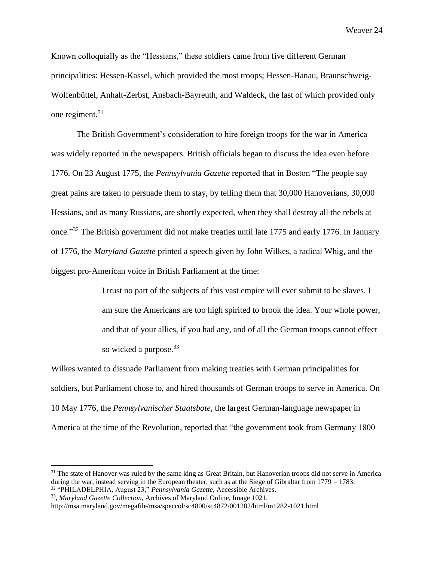Known colloquially as the "Hessians," these soldiers came from five different German principalities: Hessen-Kassel, which provided the most troops; Hessen-Hanau, Braunschweig-Wolfenbüttel, Anhalt-Zerbst, Ansbach-Bayreuth, and Waldeck, the last of which provided only one regiment.<sup>31</sup>

The British Government's consideration to hire foreign troops for the war in America was widely reported in the newspapers. British officials began to discuss the idea even before 1776. On 23 August 1775, the *Pennsylvania Gazette* reported that in Boston "The people say great pains are taken to persuade them to stay, by telling them that 30,000 Hanoverians, 30,000 Hessians, and as many Russians, are shortly expected, when they shall destroy all the rebels at once."<sup>32</sup> The British government did not make treaties until late 1775 and early 1776. In January of 1776, the *Maryland Gazette* printed a speech given by John Wilkes, a radical Whig, and the biggest pro-American voice in British Parliament at the time:

> I trust no part of the subjects of this vast empire will ever submit to be slaves. I am sure the Americans are too high spirited to brook the idea. Your whole power, and that of your allies, if you had any, and of all the German troops cannot effect so wicked a purpose.<sup>33</sup>

Wilkes wanted to dissuade Parliament from making treaties with German principalities for soldiers, but Parliament chose to, and hired thousands of German troops to serve in America. On 10 May 1776, the *Pennsylvanischer Staatsbote*, the largest German-language newspaper in America at the time of the Revolution, reported that "the government took from Germany 1800

 $31$  The state of Hanover was ruled by the same king as Great Britain, but Hanoverian troops did not serve in America during the war, instead serving in the European theater, such as at the Siege of Gibraltar from 1779 – 1783. <sup>32</sup> "PHILADELPHIA, August 23," *Pennsylvania Gazette*, Accessible Archives.

<sup>33</sup> , *Maryland Gazette Collection*, Archives of Maryland Online, Image 1021.

http://msa.maryland.gov/megafile/msa/speccol/sc4800/sc4872/001282/html/m1282-1021.html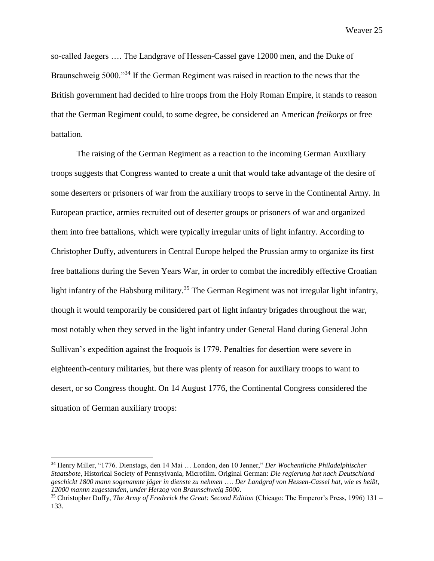so-called Jaegers …. The Landgrave of Hessen-Cassel gave 12000 men, and the Duke of Braunschweig 5000.<sup>34</sup> If the German Regiment was raised in reaction to the news that the British government had decided to hire troops from the Holy Roman Empire, it stands to reason that the German Regiment could, to some degree, be considered an American *freikorps* or free battalion.

The raising of the German Regiment as a reaction to the incoming German Auxiliary troops suggests that Congress wanted to create a unit that would take advantage of the desire of some deserters or prisoners of war from the auxiliary troops to serve in the Continental Army. In European practice, armies recruited out of deserter groups or prisoners of war and organized them into free battalions, which were typically irregular units of light infantry. According to Christopher Duffy, adventurers in Central Europe helped the Prussian army to organize its first free battalions during the Seven Years War, in order to combat the incredibly effective Croatian light infantry of the Habsburg military.<sup>35</sup> The German Regiment was not irregular light infantry, though it would temporarily be considered part of light infantry brigades throughout the war, most notably when they served in the light infantry under General Hand during General John Sullivan's expedition against the Iroquois is 1779. Penalties for desertion were severe in eighteenth-century militaries, but there was plenty of reason for auxiliary troops to want to desert, or so Congress thought. On 14 August 1776, the Continental Congress considered the situation of German auxiliary troops:

<sup>34</sup> Henry Miller, "1776. Dienstags, den 14 Mai … London, den 10 Jenner," *Der Wochentliche Philadelphischer Staatsbote*, Historical Society of Pennsylvania, Microfilm. Original German: *Die regierung hat nach Deutschland geschickt 1800 mann sogenannte jäger in dienste zu nehmen* …. *Der Landgraf von Hessen-Cassel hat, wie es heißt, 12000 mannn zugestanden, under Herzog von Braunschweig 5000*.

<sup>35</sup> Christopher Duffy, *The Army of Frederick the Great: Second Edition* (Chicago: The Emperor's Press, 1996) 131 – 133.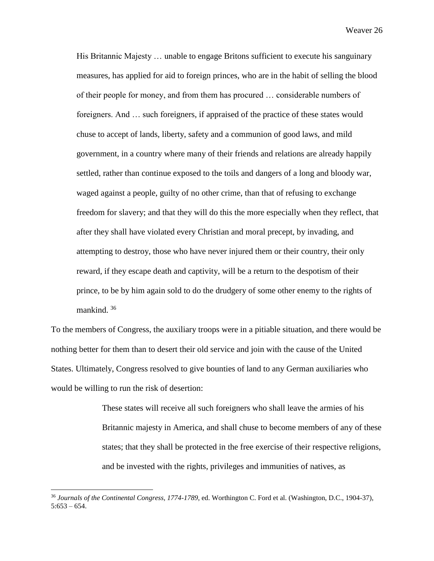His Britannic Majesty … unable to engage Britons sufficient to execute his sanguinary measures, has applied for aid to foreign princes, who are in the habit of selling the blood of their people for money, and from them has procured … considerable numbers of foreigners. And … such foreigners, if appraised of the practice of these states would chuse to accept of lands, liberty, safety and a communion of good laws, and mild government, in a country where many of their friends and relations are already happily settled, rather than continue exposed to the toils and dangers of a long and bloody war, waged against a people, guilty of no other crime, than that of refusing to exchange freedom for slavery; and that they will do this the more especially when they reflect, that after they shall have violated every Christian and moral precept, by invading, and attempting to destroy, those who have never injured them or their country, their only reward, if they escape death and captivity, will be a return to the despotism of their prince, to be by him again sold to do the drudgery of some other enemy to the rights of mankind.<sup>36</sup>

To the members of Congress, the auxiliary troops were in a pitiable situation, and there would be nothing better for them than to desert their old service and join with the cause of the United States. Ultimately, Congress resolved to give bounties of land to any German auxiliaries who would be willing to run the risk of desertion:

> These states will receive all such foreigners who shall leave the armies of his Britannic majesty in America, and shall chuse to become members of any of these states; that they shall be protected in the free exercise of their respective religions, and be invested with the rights, privileges and immunities of natives, as

<sup>36</sup> *Journals of the Continental Congress, 1774-1789*, ed. Worthington C. Ford et al. (Washington, D.C., 1904-37),  $5:653 - 654.$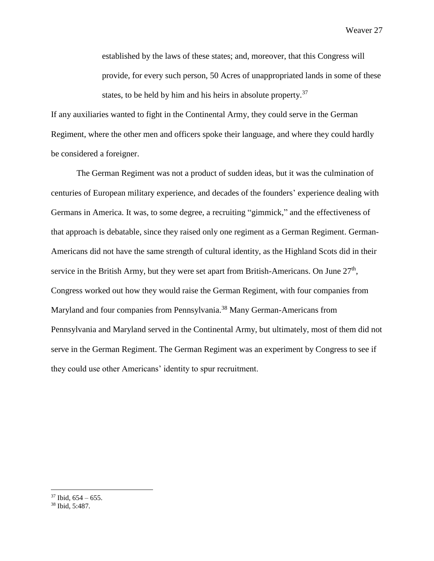established by the laws of these states; and, moreover, that this Congress will provide, for every such person, 50 Acres of unappropriated lands in some of these states, to be held by him and his heirs in absolute property.<sup>37</sup>

If any auxiliaries wanted to fight in the Continental Army, they could serve in the German Regiment, where the other men and officers spoke their language, and where they could hardly be considered a foreigner.

The German Regiment was not a product of sudden ideas, but it was the culmination of centuries of European military experience, and decades of the founders' experience dealing with Germans in America. It was, to some degree, a recruiting "gimmick," and the effectiveness of that approach is debatable, since they raised only one regiment as a German Regiment. German-Americans did not have the same strength of cultural identity, as the Highland Scots did in their service in the British Army, but they were set apart from British-Americans. On June  $27<sup>th</sup>$ , Congress worked out how they would raise the German Regiment, with four companies from Maryland and four companies from Pennsylvania.<sup>38</sup> Many German-Americans from Pennsylvania and Maryland served in the Continental Army, but ultimately, most of them did not serve in the German Regiment. The German Regiment was an experiment by Congress to see if they could use other Americans' identity to spur recruitment.

 $37$  Ibid,  $654 - 655$ .

<sup>38</sup> Ibid, 5:487.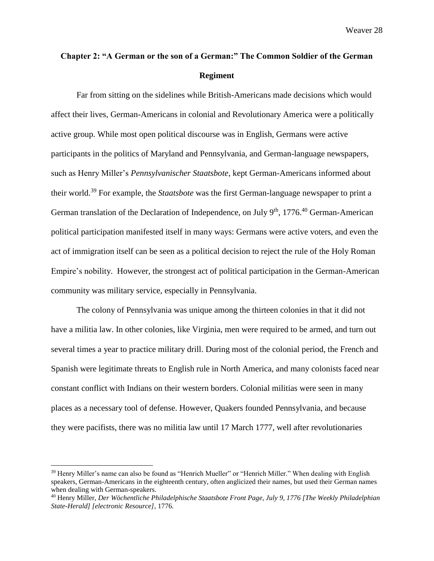# **Chapter 2: "A German or the son of a German:" The Common Soldier of the German Regiment**

Far from sitting on the sidelines while British-Americans made decisions which would affect their lives, German-Americans in colonial and Revolutionary America were a politically active group. While most open political discourse was in English, Germans were active participants in the politics of Maryland and Pennsylvania, and German-language newspapers, such as Henry Miller's *Pennsylvanischer Staatsbote*, kept German-Americans informed about their world.<sup>39</sup> For example, the *Staatsbote* was the first German-language newspaper to print a German translation of the Declaration of Independence, on July  $9<sup>th</sup>$ , 1776.<sup>40</sup> German-American political participation manifested itself in many ways: Germans were active voters, and even the act of immigration itself can be seen as a political decision to reject the rule of the Holy Roman Empire's nobility. However, the strongest act of political participation in the German-American community was military service, especially in Pennsylvania.

The colony of Pennsylvania was unique among the thirteen colonies in that it did not have a militia law. In other colonies, like Virginia, men were required to be armed, and turn out several times a year to practice military drill. During most of the colonial period, the French and Spanish were legitimate threats to English rule in North America, and many colonists faced near constant conflict with Indians on their western borders. Colonial militias were seen in many places as a necessary tool of defense. However, Quakers founded Pennsylvania, and because they were pacifists, there was no militia law until 17 March 1777, well after revolutionaries

<sup>&</sup>lt;sup>39</sup> Henry Miller's name can also be found as "Henrich Mueller" or "Henrich Miller." When dealing with English speakers, German-Americans in the eighteenth century, often anglicized their names, but used their German names when dealing with German-speakers.

<sup>40</sup> Henry Miller, *Der Wöchentliche Philadelphische Staatsbote Front Page, July 9, 1776 [The Weekly Philadelphian State-Herald] [electronic Resource]*, 1776.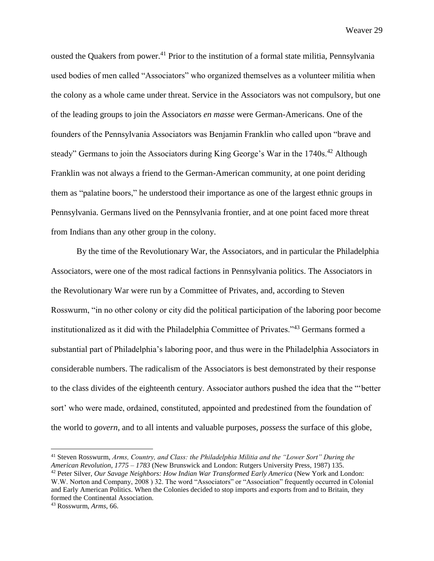ousted the Quakers from power.<sup>41</sup> Prior to the institution of a formal state militia, Pennsylvania used bodies of men called "Associators" who organized themselves as a volunteer militia when the colony as a whole came under threat. Service in the Associators was not compulsory, but one of the leading groups to join the Associators *en masse* were German-Americans. One of the founders of the Pennsylvania Associators was Benjamin Franklin who called upon "brave and steady" Germans to join the Associators during King George's War in the 1740s.<sup>42</sup> Although Franklin was not always a friend to the German-American community, at one point deriding them as "palatine boors," he understood their importance as one of the largest ethnic groups in Pennsylvania. Germans lived on the Pennsylvania frontier, and at one point faced more threat from Indians than any other group in the colony.

By the time of the Revolutionary War, the Associators, and in particular the Philadelphia Associators, were one of the most radical factions in Pennsylvania politics. The Associators in the Revolutionary War were run by a Committee of Privates, and, according to Steven Rosswurm, "in no other colony or city did the political participation of the laboring poor become institutionalized as it did with the Philadelphia Committee of Privates."<sup>43</sup> Germans formed a substantial part of Philadelphia's laboring poor, and thus were in the Philadelphia Associators in considerable numbers. The radicalism of the Associators is best demonstrated by their response to the class divides of the eighteenth century. Associator authors pushed the idea that the "'better sort' who were made, ordained, constituted, appointed and predestined from the foundation of the world to *govern*, and to all intents and valuable purposes, *possess* the surface of this globe,

<sup>41</sup> Steven Rosswurm, *Arms, Country, and Class: the Philadelphia Militia and the "Lower Sort" During the American Revolution, 1775 – 1783* (New Brunswick and London: Rutgers University Press, 1987) 135. <sup>42</sup> Peter Silver, *Our Savage Neighbors: How Indian War Transformed Early America* (New York and London: W.W. Norton and Company, 2008 ) 32. The word "Associators" or "Association" frequently occurred in Colonial and Early American Politics. When the Colonies decided to stop imports and exports from and to Britain, they formed the Continental Association.

<sup>43</sup> Rosswurm, *Arms*, 66.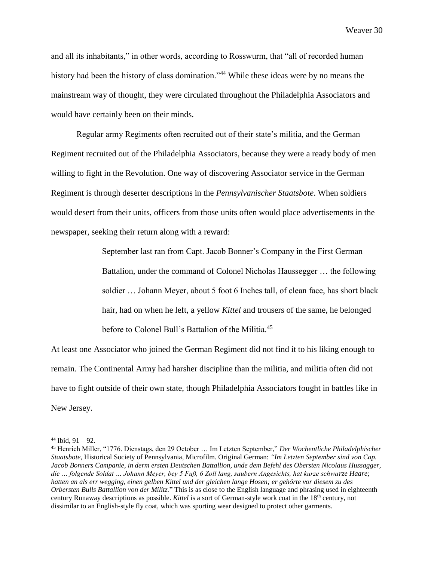and all its inhabitants," in other words, according to Rosswurm, that "all of recorded human history had been the history of class domination."<sup>44</sup> While these ideas were by no means the mainstream way of thought, they were circulated throughout the Philadelphia Associators and would have certainly been on their minds.

Regular army Regiments often recruited out of their state's militia, and the German Regiment recruited out of the Philadelphia Associators, because they were a ready body of men willing to fight in the Revolution. One way of discovering Associator service in the German Regiment is through deserter descriptions in the *Pennsylvanischer Staatsbote*. When soldiers would desert from their units, officers from those units often would place advertisements in the newspaper, seeking their return along with a reward:

> September last ran from Capt. Jacob Bonner's Company in the First German Battalion, under the command of Colonel Nicholas Haussegger … the following soldier … Johann Meyer, about 5 foot 6 Inches tall, of clean face, has short black hair, had on when he left, a yellow *Kittel* and trousers of the same, he belonged before to Colonel Bull's Battalion of the Militia.<sup>45</sup>

At least one Associator who joined the German Regiment did not find it to his liking enough to remain. The Continental Army had harsher discipline than the militia, and militia often did not have to fight outside of their own state, though Philadelphia Associators fought in battles like in New Jersey.

 $44$  Ibid,  $91 - 92$ .

<sup>45</sup> Henrich Miller, "1776. Dienstags, den 29 October … Im Letzten September," *Der Wochentliche Philadelphischer Staatsbote*, Historical Society of Pennsylvania, Microfilm. Original German: *"Im Letzten September sind von Cap. Jacob Bonners Campanie, in derm ersten Deutschen Battallion, unde dem Befehl des Obersten Nicolaus Hussagger, die … folgende Soldat … Johann Meyer, bey 5 Fuß, 6 Zoll lang, saubern Angesichts, hat kurze schwarze Haare; hatten an als err wegging, einen gelben Kittel und der gleichen lange Hosen; er gehörte vor diesem zu des Orbersten Bulls Battallion von der Militz.*" This is as close to the English language and phrasing used in eighteenth century Runaway descriptions as possible. *Kittel* is a sort of German-style work coat in the 18<sup>th</sup> century, not dissimilar to an English-style fly coat, which was sporting wear designed to protect other garments.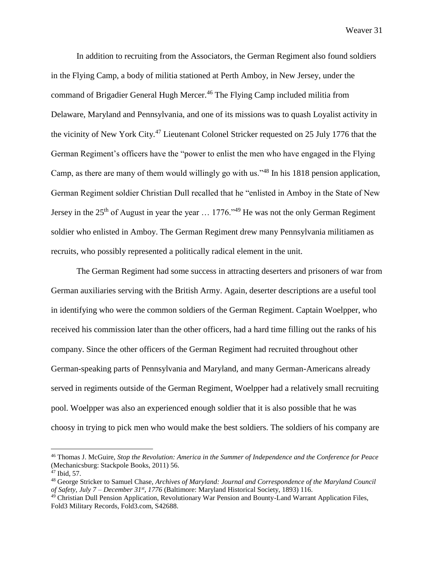In addition to recruiting from the Associators, the German Regiment also found soldiers in the Flying Camp, a body of militia stationed at Perth Amboy, in New Jersey, under the command of Brigadier General Hugh Mercer.<sup>46</sup> The Flying Camp included militia from Delaware, Maryland and Pennsylvania, and one of its missions was to quash Loyalist activity in the vicinity of New York City.<sup>47</sup> Lieutenant Colonel Stricker requested on 25 July 1776 that the German Regiment's officers have the "power to enlist the men who have engaged in the Flying Camp, as there are many of them would willingly go with us."<sup>48</sup> In his 1818 pension application, German Regiment soldier Christian Dull recalled that he "enlisted in Amboy in the State of New Jersey in the  $25<sup>th</sup>$  of August in year the year  $\ldots$  1776."<sup>49</sup> He was not the only German Regiment soldier who enlisted in Amboy. The German Regiment drew many Pennsylvania militiamen as recruits, who possibly represented a politically radical element in the unit.

The German Regiment had some success in attracting deserters and prisoners of war from German auxiliaries serving with the British Army. Again, deserter descriptions are a useful tool in identifying who were the common soldiers of the German Regiment. Captain Woelpper, who received his commission later than the other officers, had a hard time filling out the ranks of his company. Since the other officers of the German Regiment had recruited throughout other German-speaking parts of Pennsylvania and Maryland, and many German-Americans already served in regiments outside of the German Regiment, Woelpper had a relatively small recruiting pool. Woelpper was also an experienced enough soldier that it is also possible that he was choosy in trying to pick men who would make the best soldiers. The soldiers of his company are

<sup>46</sup> Thomas J. McGuire, *Stop the Revolution: America in the Summer of Independence and the Conference for Peace* (Mechanicsburg: Stackpole Books, 2011) 56.

 $47$  Ibid, 57.

<sup>48</sup> George Stricker to Samuel Chase, *Archives of Maryland: Journal and Correspondence of the Maryland Council of Safety, July 7 – December 31st, 1776* (Baltimore: Maryland Historical Society, 1893) 116.

<sup>49</sup> Christian Dull Pension Application, Revolutionary War Pension and Bounty-Land Warrant Application Files, Fold3 Military Records, Fold3.com, S42688.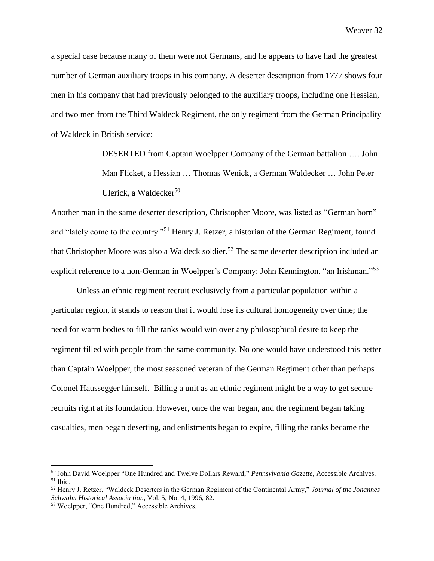a special case because many of them were not Germans, and he appears to have had the greatest number of German auxiliary troops in his company. A deserter description from 1777 shows four men in his company that had previously belonged to the auxiliary troops, including one Hessian, and two men from the Third Waldeck Regiment, the only regiment from the German Principality of Waldeck in British service:

> DESERTED from Captain Woelpper Company of the German battalion …. John Man Flicket, a Hessian … Thomas Wenick, a German Waldecker … John Peter Ulerick, a Waldecker $50$

Another man in the same deserter description, Christopher Moore, was listed as "German born" and "lately come to the country."<sup>51</sup> Henry J. Retzer, a historian of the German Regiment, found that Christopher Moore was also a Waldeck soldier.<sup>52</sup> The same deserter description included an explicit reference to a non-German in Woelpper's Company: John Kennington, "an Irishman."<sup>53</sup>

Unless an ethnic regiment recruit exclusively from a particular population within a particular region, it stands to reason that it would lose its cultural homogeneity over time; the need for warm bodies to fill the ranks would win over any philosophical desire to keep the regiment filled with people from the same community. No one would have understood this better than Captain Woelpper, the most seasoned veteran of the German Regiment other than perhaps Colonel Haussegger himself. Billing a unit as an ethnic regiment might be a way to get secure recruits right at its foundation. However, once the war began, and the regiment began taking casualties, men began deserting, and enlistments began to expire, filling the ranks became the

<sup>50</sup> John David Woelpper "One Hundred and Twelve Dollars Reward," *Pennsylvania Gazette*, Accessible Archives.  $51$  Ibid.

<sup>52</sup> Henry J. Retzer, "Waldeck Deserters in the German Regiment of the Continental Army," *Journal of the Johannes Schwalm Historical Associa tion*, Vol. 5, No. 4, 1996, 82.

<sup>53</sup> Woelpper, "One Hundred," Accessible Archives.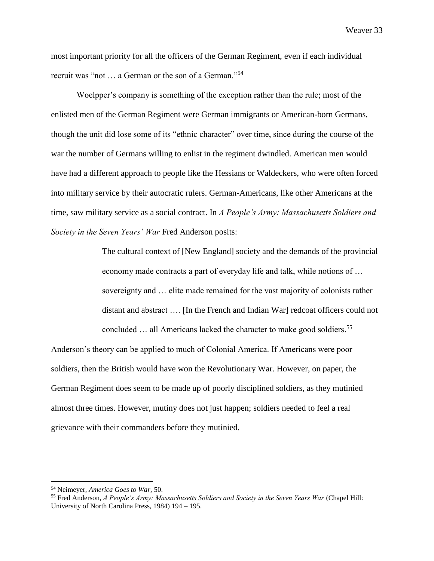most important priority for all the officers of the German Regiment, even if each individual recruit was "not … a German or the son of a German."<sup>54</sup>

Woelpper's company is something of the exception rather than the rule; most of the enlisted men of the German Regiment were German immigrants or American-born Germans, though the unit did lose some of its "ethnic character" over time, since during the course of the war the number of Germans willing to enlist in the regiment dwindled. American men would have had a different approach to people like the Hessians or Waldeckers, who were often forced into military service by their autocratic rulers. German-Americans, like other Americans at the time, saw military service as a social contract. In *A People's Army: Massachusetts Soldiers and Society in the Seven Years' War* Fred Anderson posits:

> The cultural context of [New England] society and the demands of the provincial economy made contracts a part of everyday life and talk, while notions of … sovereignty and … elite made remained for the vast majority of colonists rather distant and abstract …. [In the French and Indian War] redcoat officers could not concluded … all Americans lacked the character to make good soldiers. 55

Anderson's theory can be applied to much of Colonial America. If Americans were poor soldiers, then the British would have won the Revolutionary War. However, on paper, the German Regiment does seem to be made up of poorly disciplined soldiers, as they mutinied almost three times. However, mutiny does not just happen; soldiers needed to feel a real grievance with their commanders before they mutinied.

<sup>54</sup> Neimeyer, *America Goes to War,* 50.

<sup>55</sup> Fred Anderson, *A People's Army: Massachusetts Soldiers and Society in the Seven Years War* (Chapel Hill: University of North Carolina Press, 1984) 194 – 195.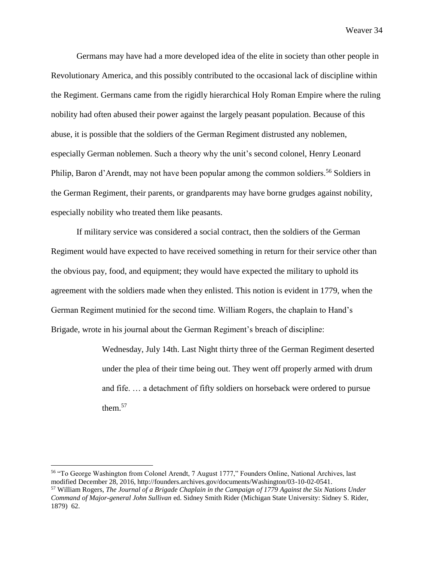Germans may have had a more developed idea of the elite in society than other people in Revolutionary America, and this possibly contributed to the occasional lack of discipline within the Regiment. Germans came from the rigidly hierarchical Holy Roman Empire where the ruling nobility had often abused their power against the largely peasant population. Because of this abuse, it is possible that the soldiers of the German Regiment distrusted any noblemen, especially German noblemen. Such a theory why the unit's second colonel, Henry Leonard Philip, Baron d'Arendt, may not have been popular among the common soldiers.<sup>56</sup> Soldiers in the German Regiment, their parents, or grandparents may have borne grudges against nobility, especially nobility who treated them like peasants.

If military service was considered a social contract, then the soldiers of the German Regiment would have expected to have received something in return for their service other than the obvious pay, food, and equipment; they would have expected the military to uphold its agreement with the soldiers made when they enlisted. This notion is evident in 1779, when the German Regiment mutinied for the second time. William Rogers, the chaplain to Hand's Brigade, wrote in his journal about the German Regiment's breach of discipline:

> Wednesday, July 14th. Last Night thirty three of the German Regiment deserted under the plea of their time being out. They went off properly armed with drum and fife. … a detachment of fifty soldiers on horseback were ordered to pursue them. $57$

<sup>56</sup> "To George Washington from Colonel Arendt, 7 August 1777," Founders Online, National Archives, last modified December 28, 2016, http://founders.archives.gov/documents/Washington/03-10-02-0541. <sup>57</sup> William Rogers, *The Journal of a Brigade Chaplain in the Campaign of 1779 Against the Six Nations Under Command of Major-general John Sullivan* ed. Sidney Smith Rider (Michigan State University: Sidney S. Rider, 1879) 62.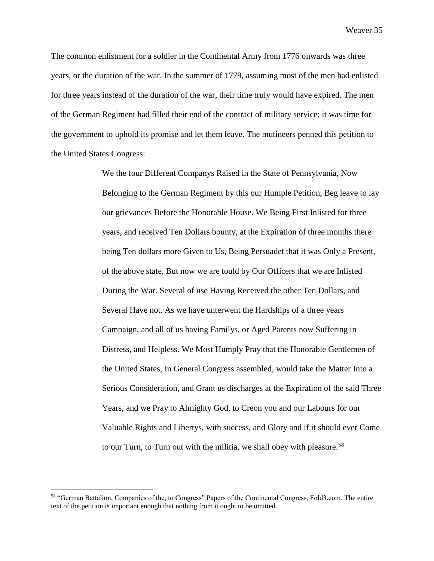The common enlistment for a soldier in the Continental Army from 1776 onwards was three years, or the duration of the war. In the summer of 1779, assuming most of the men had enlisted for three years instead of the duration of the war, their time truly would have expired. The men of the German Regiment had filled their end of the contract of military service: it was time for the government to uphold its promise and let them leave. The mutineers penned this petition to the United States Congress:

> We the four Different Companys Raised in the State of Pennsylvania, Now Belonging to the German Regiment by this our Humple Petition, Beg leave to lay our grievances Before the Honorable House. We Being First Inlisted for three years, and received Ten Dollars bounty, at the Expiration of three months there being Ten dollars more Given to Us, Being Persuadet that it was Only a Present, of the above state, But now we are tould by Our Officers that we are Inlisted During the War. Several of use Having Received the other Ten Dollars, and Several Have not. As we have unterwent the Hardships of a three years Campaign, and all of us having Familys, or Aged Parents now Suffering in Distress, and Helpless. We Most Humply Pray that the Honorable Gentlemen of the United States, In General Congress assembled, would take the Matter Into a Serious Consideration, and Grant us discharges at the Expiration of the said Three Years, and we Pray to Almighty God, to Creon you and our Labours for our Valuable Rights and Libertys, with success, and Glory and if it should ever Come to our Turn, to Turn out with the militia, we shall obey with pleasure.<sup>58</sup>

<sup>58</sup> "German Battalion, Companies of the, to Congress" Papers of the Continental Congress, Fold3.com. The entire text of the petition is important enough that nothing from it ought to be omitted.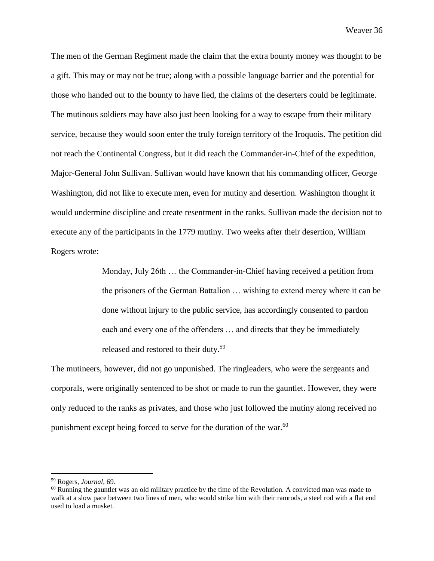The men of the German Regiment made the claim that the extra bounty money was thought to be a gift. This may or may not be true; along with a possible language barrier and the potential for those who handed out to the bounty to have lied, the claims of the deserters could be legitimate. The mutinous soldiers may have also just been looking for a way to escape from their military service, because they would soon enter the truly foreign territory of the Iroquois. The petition did not reach the Continental Congress, but it did reach the Commander-in-Chief of the expedition, Major-General John Sullivan. Sullivan would have known that his commanding officer, George Washington, did not like to execute men, even for mutiny and desertion. Washington thought it would undermine discipline and create resentment in the ranks. Sullivan made the decision not to execute any of the participants in the 1779 mutiny. Two weeks after their desertion, William Rogers wrote:

> Monday, July 26th … the Commander-in-Chief having received a petition from the prisoners of the German Battalion … wishing to extend mercy where it can be done without injury to the public service, has accordingly consented to pardon each and every one of the offenders … and directs that they be immediately released and restored to their duty.<sup>59</sup>

The mutineers, however, did not go unpunished. The ringleaders, who were the sergeants and corporals, were originally sentenced to be shot or made to run the gauntlet. However, they were only reduced to the ranks as privates, and those who just followed the mutiny along received no punishment except being forced to serve for the duration of the war.<sup>60</sup>

<sup>59</sup> Rogers, *Journal*, 69.

 $60$  Running the gauntlet was an old military practice by the time of the Revolution. A convicted man was made to walk at a slow pace between two lines of men, who would strike him with their ramrods, a steel rod with a flat end used to load a musket.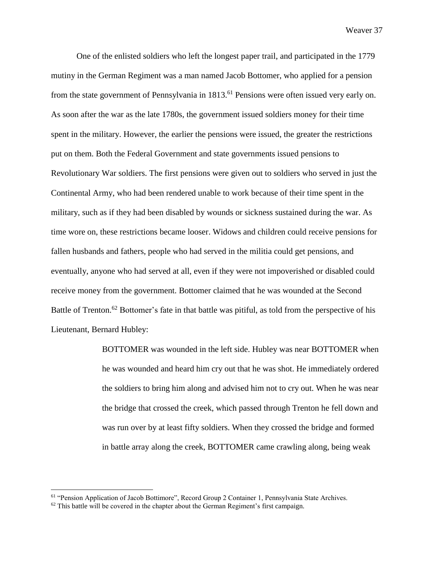One of the enlisted soldiers who left the longest paper trail, and participated in the 1779 mutiny in the German Regiment was a man named Jacob Bottomer, who applied for a pension from the state government of Pennsylvania in 1813.<sup>61</sup> Pensions were often issued very early on. As soon after the war as the late 1780s, the government issued soldiers money for their time spent in the military. However, the earlier the pensions were issued, the greater the restrictions put on them. Both the Federal Government and state governments issued pensions to Revolutionary War soldiers. The first pensions were given out to soldiers who served in just the Continental Army, who had been rendered unable to work because of their time spent in the military, such as if they had been disabled by wounds or sickness sustained during the war. As time wore on, these restrictions became looser. Widows and children could receive pensions for fallen husbands and fathers, people who had served in the militia could get pensions, and eventually, anyone who had served at all, even if they were not impoverished or disabled could receive money from the government. Bottomer claimed that he was wounded at the Second Battle of Trenton.<sup>62</sup> Bottomer's fate in that battle was pitiful, as told from the perspective of his Lieutenant, Bernard Hubley:

> BOTTOMER was wounded in the left side. Hubley was near BOTTOMER when he was wounded and heard him cry out that he was shot. He immediately ordered the soldiers to bring him along and advised him not to cry out. When he was near the bridge that crossed the creek, which passed through Trenton he fell down and was run over by at least fifty soldiers. When they crossed the bridge and formed in battle array along the creek, BOTTOMER came crawling along, being weak

<sup>61</sup> "Pension Application of Jacob Bottimore", Record Group 2 Container 1, Pennsylvania State Archives.

 $62$  This battle will be covered in the chapter about the German Regiment's first campaign.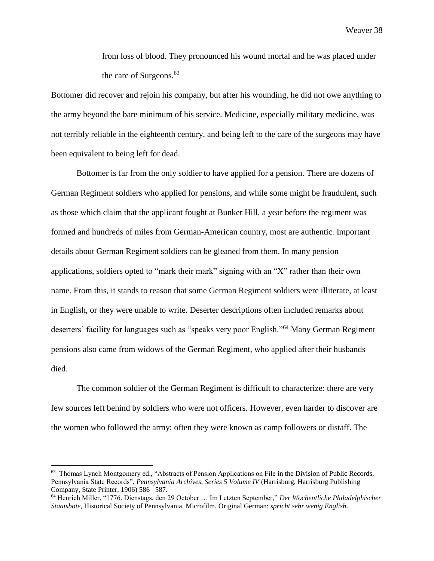from loss of blood. They pronounced his wound mortal and he was placed under the care of Surgeons.<sup>63</sup>

Bottomer did recover and rejoin his company, but after his wounding, he did not owe anything to the army beyond the bare minimum of his service. Medicine, especially military medicine, was not terribly reliable in the eighteenth century, and being left to the care of the surgeons may have been equivalent to being left for dead.

Bottomer is far from the only soldier to have applied for a pension. There are dozens of German Regiment soldiers who applied for pensions, and while some might be fraudulent, such as those which claim that the applicant fought at Bunker Hill, a year before the regiment was formed and hundreds of miles from German-American country, most are authentic. Important details about German Regiment soldiers can be gleaned from them. In many pension applications, soldiers opted to "mark their mark" signing with an "X" rather than their own name. From this, it stands to reason that some German Regiment soldiers were illiterate, at least in English, or they were unable to write. Deserter descriptions often included remarks about deserters' facility for languages such as "speaks very poor English."<sup>64</sup> Many German Regiment pensions also came from widows of the German Regiment, who applied after their husbands died.

The common soldier of the German Regiment is difficult to characterize: there are very few sources left behind by soldiers who were not officers. However, even harder to discover are the women who followed the army: often they were known as camp followers or distaff. The

<sup>63</sup> Thomas Lynch Montgomery ed., "Abstracts of Pension Applications on File in the Division of Public Records, Pennsylvania State Records", *Pennsylvania Archives, Series 5 Volume IV* (Harrisburg, Harrisburg Publishing Company, State Printer, 1906) 586 –587.

<sup>64</sup> Henrich Miller, "1776. Dienstags, den 29 October … Im Letzten September," *Der Wochentliche Philadelphischer Staatsbote*, Historical Society of Pennsylvania, Microfilm. Original German: *spricht sehr wenig English*.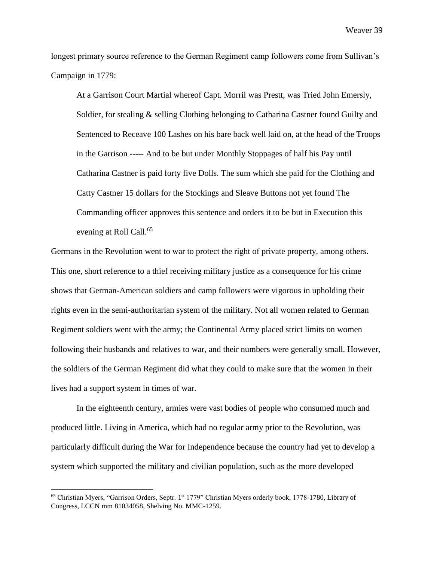longest primary source reference to the German Regiment camp followers come from Sullivan's Campaign in 1779:

At a Garrison Court Martial whereof Capt. Morril was Prestt, was Tried John Emersly, Soldier, for stealing & selling Clothing belonging to Catharina Castner found Guilty and Sentenced to Receave 100 Lashes on his bare back well laid on, at the head of the Troops in the Garrison ----- And to be but under Monthly Stoppages of half his Pay until Catharina Castner is paid forty five Dolls. The sum which she paid for the Clothing and Catty Castner 15 dollars for the Stockings and Sleave Buttons not yet found The Commanding officer approves this sentence and orders it to be but in Execution this evening at Roll Call.<sup>65</sup>

Germans in the Revolution went to war to protect the right of private property, among others. This one, short reference to a thief receiving military justice as a consequence for his crime shows that German-American soldiers and camp followers were vigorous in upholding their rights even in the semi-authoritarian system of the military. Not all women related to German Regiment soldiers went with the army; the Continental Army placed strict limits on women following their husbands and relatives to war, and their numbers were generally small. However, the soldiers of the German Regiment did what they could to make sure that the women in their lives had a support system in times of war.

In the eighteenth century, armies were vast bodies of people who consumed much and produced little. Living in America, which had no regular army prior to the Revolution, was particularly difficult during the War for Independence because the country had yet to develop a system which supported the military and civilian population, such as the more developed

<sup>&</sup>lt;sup>65</sup> Christian Myers, "Garrison Orders, Septr. 1<sup>st</sup> 1779" Christian Myers orderly book, 1778-1780, Library of Congress, LCCN mm 81034058, Shelving No. MMC-1259.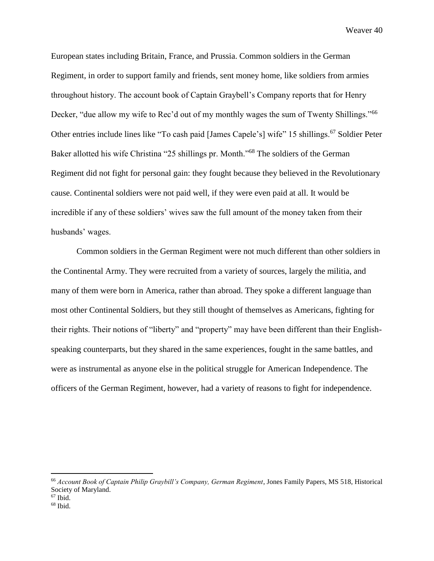European states including Britain, France, and Prussia. Common soldiers in the German Regiment, in order to support family and friends, sent money home, like soldiers from armies throughout history. The account book of Captain Graybell's Company reports that for Henry Decker, "due allow my wife to Rec'd out of my monthly wages the sum of Twenty Shillings."<sup>66</sup> Other entries include lines like "To cash paid [James Capele's] wife" 15 shillings.<sup>67</sup> Soldier Peter Baker allotted his wife Christina "25 shillings pr. Month."<sup>68</sup> The soldiers of the German Regiment did not fight for personal gain: they fought because they believed in the Revolutionary cause. Continental soldiers were not paid well, if they were even paid at all. It would be incredible if any of these soldiers' wives saw the full amount of the money taken from their husbands' wages.

Common soldiers in the German Regiment were not much different than other soldiers in the Continental Army. They were recruited from a variety of sources, largely the militia, and many of them were born in America, rather than abroad. They spoke a different language than most other Continental Soldiers, but they still thought of themselves as Americans, fighting for their rights. Their notions of "liberty" and "property" may have been different than their Englishspeaking counterparts, but they shared in the same experiences, fought in the same battles, and were as instrumental as anyone else in the political struggle for American Independence. The officers of the German Regiment, however, had a variety of reasons to fight for independence.

<sup>66</sup> *Account Book of Captain Philip Graybill's Company, German Regiment*, Jones Family Papers, MS 518, Historical Society of Maryland.

 $67$  Ibid.

 $68$  Ibid.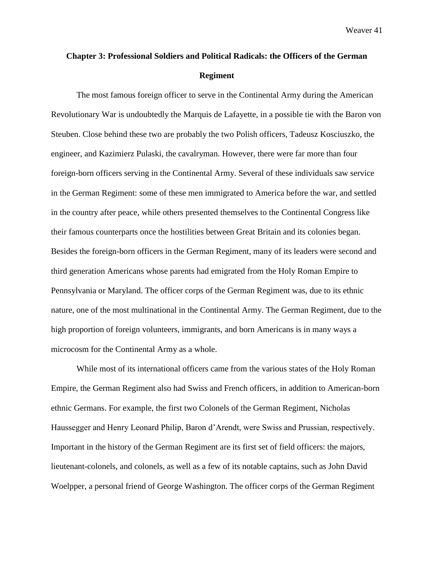## **Chapter 3: Professional Soldiers and Political Radicals: the Officers of the German Regiment**

The most famous foreign officer to serve in the Continental Army during the American Revolutionary War is undoubtedly the Marquis de Lafayette, in a possible tie with the Baron von Steuben. Close behind these two are probably the two Polish officers, Tadeusz Kosciuszko, the engineer, and Kazimierz Pulaski, the cavalryman. However, there were far more than four foreign-born officers serving in the Continental Army. Several of these individuals saw service in the German Regiment: some of these men immigrated to America before the war, and settled in the country after peace, while others presented themselves to the Continental Congress like their famous counterparts once the hostilities between Great Britain and its colonies began. Besides the foreign-born officers in the German Regiment, many of its leaders were second and third generation Americans whose parents had emigrated from the Holy Roman Empire to Pennsylvania or Maryland. The officer corps of the German Regiment was, due to its ethnic nature, one of the most multinational in the Continental Army. The German Regiment, due to the high proportion of foreign volunteers, immigrants, and born Americans is in many ways a microcosm for the Continental Army as a whole.

While most of its international officers came from the various states of the Holy Roman Empire, the German Regiment also had Swiss and French officers, in addition to American-born ethnic Germans. For example, the first two Colonels of the German Regiment, Nicholas Haussegger and Henry Leonard Philip, Baron d'Arendt, were Swiss and Prussian, respectively. Important in the history of the German Regiment are its first set of field officers: the majors, lieutenant-colonels, and colonels, as well as a few of its notable captains, such as John David Woelpper, a personal friend of George Washington. The officer corps of the German Regiment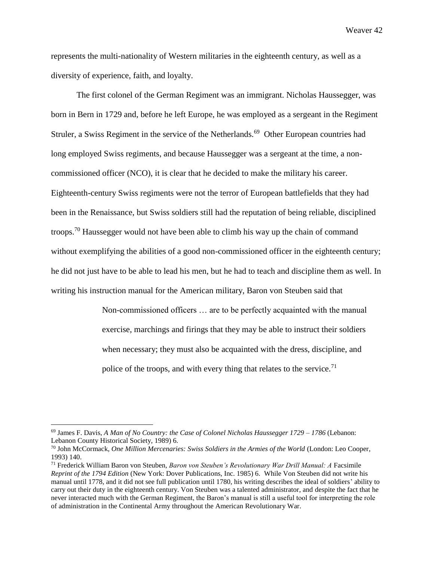represents the multi-nationality of Western militaries in the eighteenth century, as well as a diversity of experience, faith, and loyalty.

The first colonel of the German Regiment was an immigrant. Nicholas Haussegger, was born in Bern in 1729 and, before he left Europe, he was employed as a sergeant in the Regiment Struler, a Swiss Regiment in the service of the Netherlands.<sup>69</sup> Other European countries had long employed Swiss regiments, and because Haussegger was a sergeant at the time, a noncommissioned officer (NCO), it is clear that he decided to make the military his career. Eighteenth-century Swiss regiments were not the terror of European battlefields that they had been in the Renaissance, but Swiss soldiers still had the reputation of being reliable, disciplined troops.<sup>70</sup> Haussegger would not have been able to climb his way up the chain of command without exemplifying the abilities of a good non-commissioned officer in the eighteenth century; he did not just have to be able to lead his men, but he had to teach and discipline them as well. In writing his instruction manual for the American military, Baron von Steuben said that

> Non-commissioned officers … are to be perfectly acquainted with the manual exercise, marchings and firings that they may be able to instruct their soldiers when necessary; they must also be acquainted with the dress, discipline, and police of the troops, and with every thing that relates to the service.<sup>71</sup>

<sup>69</sup> James F. Davis, *A Man of No Country: the Case of Colonel Nicholas Haussegger 1729 – 1786* (Lebanon: Lebanon County Historical Society, 1989) 6.

<sup>70</sup> John McCormack, *One Million Mercenaries: Swiss Soldiers in the Armies of the World* (London: Leo Cooper, 1993) 140.

<sup>71</sup> Frederick William Baron von Steuben, *Baron von Steuben's Revolutionary War Drill Manual: A* Facsimile *Reprint of the 1794 Edition* (New York: Dover Publications, Inc. 1985) 6. While Von Steuben did not write his manual until 1778, and it did not see full publication until 1780, his writing describes the ideal of soldiers' ability to carry out their duty in the eighteenth century. Von Steuben was a talented administrator, and despite the fact that he never interacted much with the German Regiment, the Baron's manual is still a useful tool for interpreting the role of administration in the Continental Army throughout the American Revolutionary War.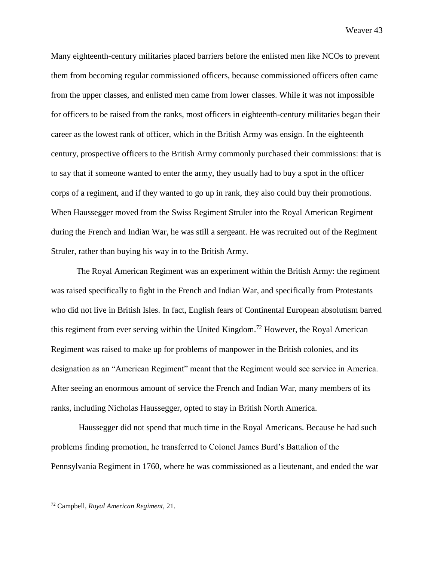Many eighteenth-century militaries placed barriers before the enlisted men like NCOs to prevent them from becoming regular commissioned officers, because commissioned officers often came from the upper classes, and enlisted men came from lower classes. While it was not impossible for officers to be raised from the ranks, most officers in eighteenth-century militaries began their career as the lowest rank of officer, which in the British Army was ensign. In the eighteenth century, prospective officers to the British Army commonly purchased their commissions: that is to say that if someone wanted to enter the army, they usually had to buy a spot in the officer corps of a regiment, and if they wanted to go up in rank, they also could buy their promotions. When Haussegger moved from the Swiss Regiment Struler into the Royal American Regiment during the French and Indian War, he was still a sergeant. He was recruited out of the Regiment Struler, rather than buying his way in to the British Army.

The Royal American Regiment was an experiment within the British Army: the regiment was raised specifically to fight in the French and Indian War, and specifically from Protestants who did not live in British Isles. In fact, English fears of Continental European absolutism barred this regiment from ever serving within the United Kingdom.<sup>72</sup> However, the Royal American Regiment was raised to make up for problems of manpower in the British colonies, and its designation as an "American Regiment" meant that the Regiment would see service in America. After seeing an enormous amount of service the French and Indian War, many members of its ranks, including Nicholas Haussegger, opted to stay in British North America.

Haussegger did not spend that much time in the Royal Americans. Because he had such problems finding promotion, he transferred to Colonel James Burd's Battalion of the Pennsylvania Regiment in 1760, where he was commissioned as a lieutenant, and ended the war

<sup>72</sup> Campbell, *Royal American Regiment,* 21.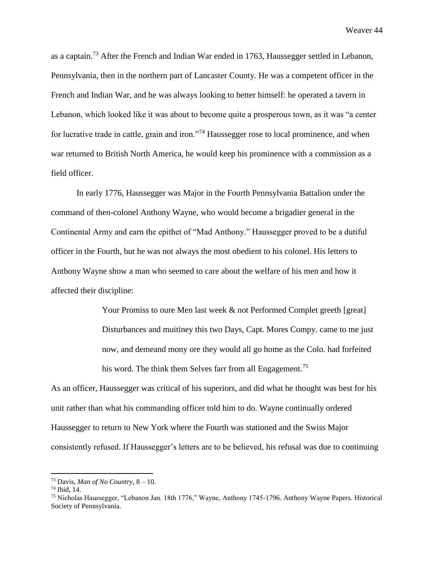as a captain.<sup>73</sup> After the French and Indian War ended in 1763, Haussegger settled in Lebanon, Pennsylvania, then in the northern part of Lancaster County. He was a competent officer in the French and Indian War, and he was always looking to better himself: he operated a tavern in Lebanon, which looked like it was about to become quite a prosperous town, as it was "a center for lucrative trade in cattle, grain and iron."<sup>74</sup> Haussegger rose to local prominence, and when war returned to British North America, he would keep his prominence with a commission as a field officer.

In early 1776, Haussegger was Major in the Fourth Pennsylvania Battalion under the command of then-colonel Anthony Wayne, who would become a brigadier general in the Continental Army and earn the epithet of "Mad Anthony." Haussegger proved to be a dutiful officer in the Fourth, but he was not always the most obedient to his colonel. His letters to Anthony Wayne show a man who seemed to care about the welfare of his men and how it affected their discipline:

> Your Promiss to oure Men last week & not Performed Complet greeth [great] Disturbances and muitiney this two Days, Capt. Mores Compy. came to me just now, and demeand mony ore they would all go home as the Colo. had forfeited his word. The think them Selves farr from all Engagement.<sup>75</sup>

As an officer, Haussegger was critical of his superiors, and did what he thought was best for his unit rather than what his commanding officer told him to do. Wayne continually ordered Haussegger to return to New York where the Fourth was stationed and the Swiss Major consistently refused. If Haussegger's letters are to be believed, his refusal was due to continuing

<sup>&</sup>lt;sup>73</sup> Davis, *Man of No Country*,  $8 - 10$ .

<sup>74</sup> Ibid, 14.

<sup>75</sup> Nicholas Haussegger, "Lebanon Jan. 18th 1776," Wayne, Anthony 1745-1796. Anthony Wayne Papers. Historical Society of Pennsylvania.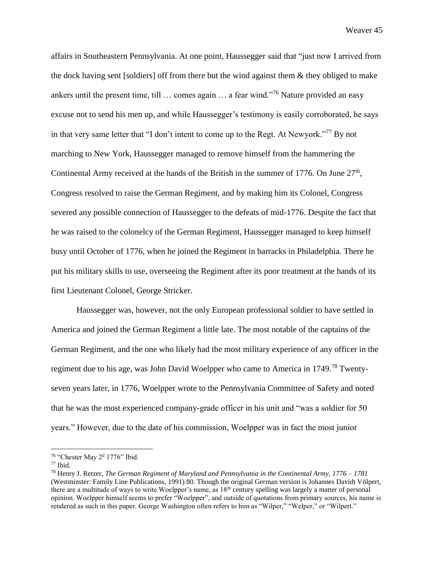affairs in Southeastern Pennsylvania. At one point, Haussegger said that "just now I arrived from the dock having sent [soldiers] off from there but the wind against them & they obliged to make ankers until the present time, till … comes again … a fear wind."<sup>76</sup> Nature provided an easy excuse not to send his men up, and while Haussegger's testimony is easily corroborated, he says in that very same letter that "I don't intent to come up to the Regt. At Newyork."<sup>77</sup> By not marching to New York, Haussegger managed to remove himself from the hammering the Continental Army received at the hands of the British in the summer of 1776. On June  $27<sup>th</sup>$ , Congress resolved to raise the German Regiment, and by making him its Colonel, Congress severed any possible connection of Haussegger to the defeats of mid-1776. Despite the fact that he was raised to the colonelcy of the German Regiment, Haussegger managed to keep himself busy until October of 1776, when he joined the Regiment in barracks in Philadelphia. There he put his military skills to use, overseeing the Regiment after its poor treatment at the hands of its first Lieutenant Colonel, George Stricker.

Haussegger was, however, not the only European professional soldier to have settled in America and joined the German Regiment a little late. The most notable of the captains of the German Regiment, and the one who likely had the most military experience of any officer in the regiment due to his age, was John David Woelpper who came to America in 1749.<sup>78</sup> Twentyseven years later, in 1776, Woelpper wrote to the Pennsylvania Committee of Safety and noted that he was the most experienced company-grade officer in his unit and "was a soldier for 50 years." However, due to the date of his commission, Woelpper was in fact the most junior

<sup>&</sup>lt;sup>76</sup> "Chester May 2<sup>d</sup> 1776" Ibid.

 $77$  Ibid.

<sup>78</sup> Henry J. Retzer, *The German Regiment of Maryland and Pennsylvania in the Continental Army, 1776 – 1781*  (Westminster: Family Line Publications, 1991) 80. Though the original German version is Johannes Davidt Völpert, there are a multitude of ways to write Woelpper's name, as 18<sup>th</sup> century spelling was largely a matter of personal opinion. Woelpper himself seems to prefer "Woelpper", and outside of quotations from primary sources, his name is rendered as such in this paper. George Washington often refers to him as "Wilper," "Welper," or "Wilpert."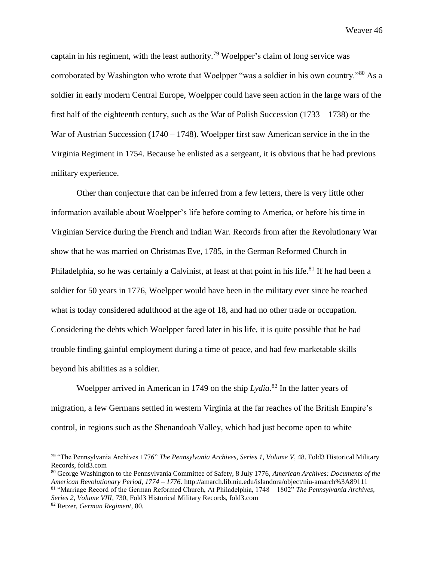captain in his regiment, with the least authority.<sup>79</sup> Woelpper's claim of long service was corroborated by Washington who wrote that Woelpper "was a soldier in his own country."<sup>80</sup> As a soldier in early modern Central Europe, Woelpper could have seen action in the large wars of the first half of the eighteenth century, such as the War of Polish Succession (1733 – 1738) or the War of Austrian Succession  $(1740 - 1748)$ . Woelpper first saw American service in the in the Virginia Regiment in 1754. Because he enlisted as a sergeant, it is obvious that he had previous military experience.

Other than conjecture that can be inferred from a few letters, there is very little other information available about Woelpper's life before coming to America, or before his time in Virginian Service during the French and Indian War. Records from after the Revolutionary War show that he was married on Christmas Eve, 1785, in the German Reformed Church in Philadelphia, so he was certainly a Calvinist, at least at that point in his life.<sup>81</sup> If he had been a soldier for 50 years in 1776, Woelpper would have been in the military ever since he reached what is today considered adulthood at the age of 18, and had no other trade or occupation. Considering the debts which Woelpper faced later in his life, it is quite possible that he had trouble finding gainful employment during a time of peace, and had few marketable skills beyond his abilities as a soldier.

Woelpper arrived in American in 1749 on the ship *Lydia*. <sup>82</sup> In the latter years of migration, a few Germans settled in western Virginia at the far reaches of the British Empire's control, in regions such as the Shenandoah Valley, which had just become open to white

<sup>80</sup> George Washington to the Pennsylvania Committee of Safety, 8 July 1776, *American Archives: Documents of the American Revolutionary Period, 1774 – 1776.* http://amarch.lib.niu.edu/islandora/object/niu-amarch%3A89111 <sup>81</sup> "Marriage Record of the German Reformed Church, At Philadelphia, 1748 – 1802" *The Pennsylvania Archives, Series 2, Volume VIII*, 730, Fold3 Historical Military Records, fold3.com

<sup>79</sup> "The Pennsylvania Archives 1776" *The Pennsylvania Archives*, *Series 1, Volume V*, 48. Fold3 Historical Military Records, fold3.com

<sup>82</sup> Retzer, *German Regiment,* 80.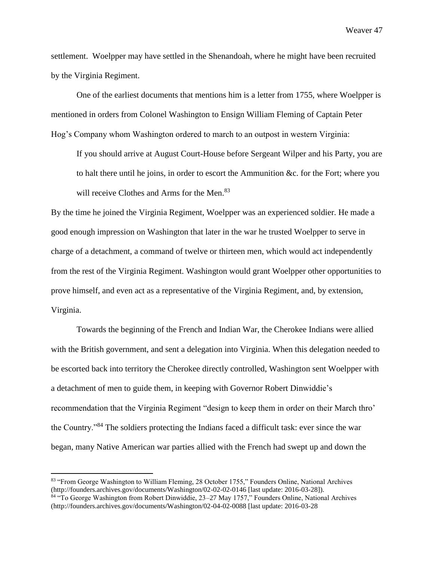settlement. Woelpper may have settled in the Shenandoah, where he might have been recruited by the Virginia Regiment.

One of the earliest documents that mentions him is a letter from 1755, where Woelpper is mentioned in orders from Colonel Washington to Ensign William Fleming of Captain Peter Hog's Company whom Washington ordered to march to an outpost in western Virginia:

If you should arrive at August Court-House before Sergeant Wilper and his Party, you are to halt there until he joins, in order to escort the Ammunition &c. for the Fort; where you will receive Clothes and Arms for the Men.<sup>83</sup>

By the time he joined the Virginia Regiment, Woelpper was an experienced soldier. He made a good enough impression on Washington that later in the war he trusted Woelpper to serve in charge of a detachment, a command of twelve or thirteen men, which would act independently from the rest of the Virginia Regiment. Washington would grant Woelpper other opportunities to prove himself, and even act as a representative of the Virginia Regiment, and, by extension, Virginia.

Towards the beginning of the French and Indian War, the Cherokee Indians were allied with the British government, and sent a delegation into Virginia. When this delegation needed to be escorted back into territory the Cherokee directly controlled, Washington sent Woelpper with a detachment of men to guide them, in keeping with Governor Robert Dinwiddie's recommendation that the Virginia Regiment "design to keep them in order on their March thro' the Country."<sup>84</sup> The soldiers protecting the Indians faced a difficult task: ever since the war began, many Native American war parties allied with the French had swept up and down the

<sup>83 &</sup>quot;From George Washington to William Fleming, 28 October 1755," Founders Online, National Archives (http://founders.archives.gov/documents/Washington/02-02-02-0146 [last update: 2016-03-28]).

<sup>84</sup> "To George Washington from Robert Dinwiddie, 23–27 May 1757," Founders Online, National Archives (http://founders.archives.gov/documents/Washington/02-04-02-0088 [last update: 2016-03-28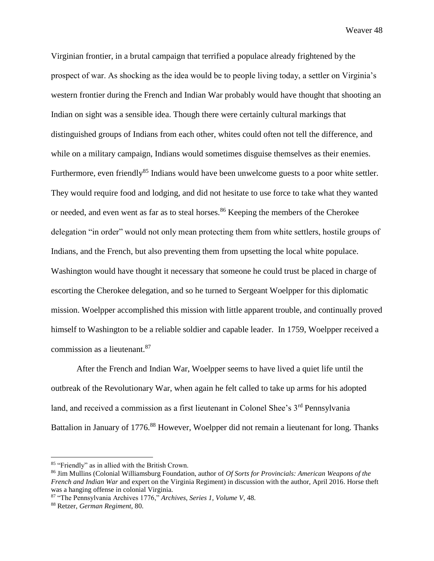Virginian frontier, in a brutal campaign that terrified a populace already frightened by the prospect of war. As shocking as the idea would be to people living today, a settler on Virginia's western frontier during the French and Indian War probably would have thought that shooting an Indian on sight was a sensible idea. Though there were certainly cultural markings that distinguished groups of Indians from each other, whites could often not tell the difference, and while on a military campaign, Indians would sometimes disguise themselves as their enemies. Furthermore, even friendly<sup>85</sup> Indians would have been unwelcome guests to a poor white settler. They would require food and lodging, and did not hesitate to use force to take what they wanted or needed, and even went as far as to steal horses.<sup>86</sup> Keeping the members of the Cherokee delegation "in order" would not only mean protecting them from white settlers, hostile groups of Indians, and the French, but also preventing them from upsetting the local white populace. Washington would have thought it necessary that someone he could trust be placed in charge of escorting the Cherokee delegation, and so he turned to Sergeant Woelpper for this diplomatic mission. Woelpper accomplished this mission with little apparent trouble, and continually proved himself to Washington to be a reliable soldier and capable leader. In 1759, Woelpper received a commission as a lieutenant.<sup>87</sup>

After the French and Indian War, Woelpper seems to have lived a quiet life until the outbreak of the Revolutionary War, when again he felt called to take up arms for his adopted land, and received a commission as a first lieutenant in Colonel Shee's 3<sup>rd</sup> Pennsylvania Battalion in January of 1776.<sup>88</sup> However, Woelpper did not remain a lieutenant for long. Thanks

<sup>85</sup> "Friendly" as in allied with the British Crown.

<sup>86</sup> Jim Mullins (Colonial Williamsburg Foundation, author of *Of Sorts for Provincials: American Weapons of the French and Indian War* and expert on the Virginia Regiment) in discussion with the author, April 2016. Horse theft was a hanging offense in colonial Virginia.

<sup>87</sup> "The Pennsylvania Archives 1776," *Archives*, *Series 1, Volume V*, 48.

<sup>88</sup> Retzer, *German Regiment*, 80.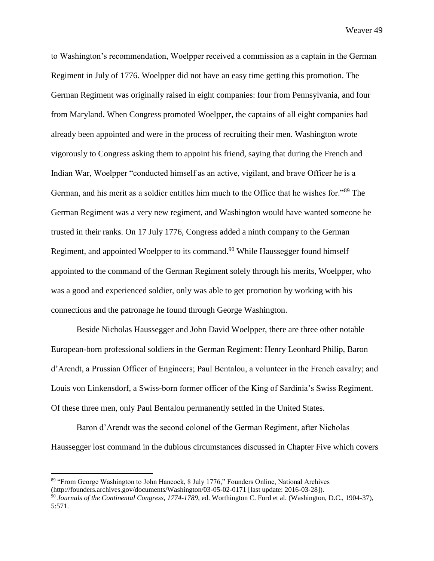to Washington's recommendation, Woelpper received a commission as a captain in the German Regiment in July of 1776. Woelpper did not have an easy time getting this promotion. The German Regiment was originally raised in eight companies: four from Pennsylvania, and four from Maryland. When Congress promoted Woelpper, the captains of all eight companies had already been appointed and were in the process of recruiting their men. Washington wrote vigorously to Congress asking them to appoint his friend, saying that during the French and Indian War, Woelpper "conducted himself as an active, vigilant, and brave Officer he is a German, and his merit as a soldier entitles him much to the Office that he wishes for."<sup>89</sup> The German Regiment was a very new regiment, and Washington would have wanted someone he trusted in their ranks. On 17 July 1776, Congress added a ninth company to the German Regiment, and appointed Woelpper to its command.<sup>90</sup> While Haussegger found himself appointed to the command of the German Regiment solely through his merits, Woelpper, who was a good and experienced soldier, only was able to get promotion by working with his connections and the patronage he found through George Washington.

Beside Nicholas Haussegger and John David Woelpper, there are three other notable European-born professional soldiers in the German Regiment: Henry Leonhard Philip, Baron d'Arendt, a Prussian Officer of Engineers; Paul Bentalou, a volunteer in the French cavalry; and Louis von Linkensdorf, a Swiss-born former officer of the King of Sardinia's Swiss Regiment. Of these three men, only Paul Bentalou permanently settled in the United States.

Baron d'Arendt was the second colonel of the German Regiment, after Nicholas Haussegger lost command in the dubious circumstances discussed in Chapter Five which covers

<sup>89</sup> "From George Washington to John Hancock, 8 July 1776," Founders Online, National Archives (http://founders.archives.gov/documents/Washington/03-05-02-0171 [last update: 2016-03-28]).

<sup>90</sup> *Journals of the Continental Congress, 1774-1789*, ed. Worthington C. Ford et al. (Washington, D.C., 1904-37), 5:571.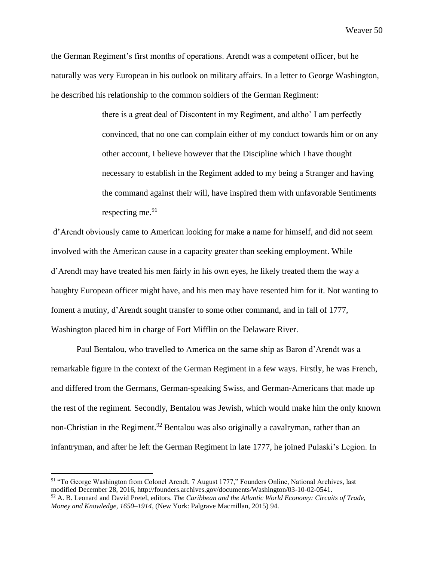the German Regiment's first months of operations. Arendt was a competent officer, but he naturally was very European in his outlook on military affairs. In a letter to George Washington, he described his relationship to the common soldiers of the German Regiment:

> there is a great deal of Discontent in my Regiment, and altho' I am perfectly convinced, that no one can complain either of my conduct towards him or on any other account, I believe however that the Discipline which I have thought necessary to establish in the Regiment added to my being a Stranger and having the command against their will, have inspired them with unfavorable Sentiments respecting me. 91

d'Arendt obviously came to American looking for make a name for himself, and did not seem involved with the American cause in a capacity greater than seeking employment. While d'Arendt may have treated his men fairly in his own eyes, he likely treated them the way a haughty European officer might have, and his men may have resented him for it. Not wanting to foment a mutiny, d'Arendt sought transfer to some other command, and in fall of 1777, Washington placed him in charge of Fort Mifflin on the Delaware River.

Paul Bentalou, who travelled to America on the same ship as Baron d'Arendt was a remarkable figure in the context of the German Regiment in a few ways. Firstly, he was French, and differed from the Germans, German-speaking Swiss, and German-Americans that made up the rest of the regiment. Secondly, Bentalou was Jewish, which would make him the only known non-Christian in the Regiment.<sup>92</sup> Bentalou was also originally a cavalryman, rather than an infantryman, and after he left the German Regiment in late 1777, he joined Pulaski's Legion. In

<sup>&</sup>lt;sup>91</sup> "To George Washington from Colonel Arendt, 7 August 1777," Founders Online, National Archives, last modified December 28, 2016, http://founders.archives.gov/documents/Washington/03-10-02-0541.

<sup>92</sup> A. B. Leonard and David Pretel, editors. *The Caribbean and the Atlantic World Economy: Circuits of Trade, Money and Knowledge, 1650–1914*, (New York: Palgrave Macmillan, 2015) 94.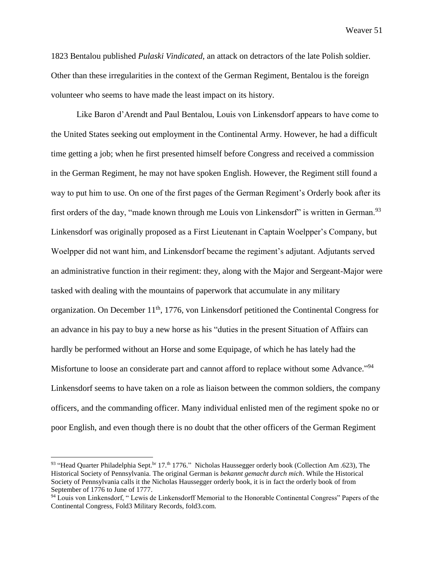1823 Bentalou published *Pulaski Vindicated*, an attack on detractors of the late Polish soldier. Other than these irregularities in the context of the German Regiment, Bentalou is the foreign volunteer who seems to have made the least impact on its history.

Like Baron d'Arendt and Paul Bentalou, Louis von Linkensdorf appears to have come to the United States seeking out employment in the Continental Army. However, he had a difficult time getting a job; when he first presented himself before Congress and received a commission in the German Regiment, he may not have spoken English. However, the Regiment still found a way to put him to use. On one of the first pages of the German Regiment's Orderly book after its first orders of the day, "made known through me Louis von Linkensdorf" is written in German.<sup>93</sup> Linkensdorf was originally proposed as a First Lieutenant in Captain Woelpper's Company, but Woelpper did not want him, and Linkensdorf became the regiment's adjutant. Adjutants served an administrative function in their regiment: they, along with the Major and Sergeant-Major were tasked with dealing with the mountains of paperwork that accumulate in any military organization. On December 11<sup>th</sup>, 1776, von Linkensdorf petitioned the Continental Congress for an advance in his pay to buy a new horse as his "duties in the present Situation of Affairs can hardly be performed without an Horse and some Equipage, of which he has lately had the Misfortune to loose an considerate part and cannot afford to replace without some Advance."<sup>94</sup> Linkensdorf seems to have taken on a role as liaison between the common soldiers, the company officers, and the commanding officer. Many individual enlisted men of the regiment spoke no or poor English, and even though there is no doubt that the other officers of the German Regiment

<sup>&</sup>lt;sup>93</sup> "Head Quarter Philadelphia Sept.<sup>br</sup> 17.<sup>th</sup> 1776." Nicholas Haussegger orderly book (Collection Am .623), The Historical Society of Pennsylvania. The original German is *bekannt gemacht durch mich*. While the Historical Society of Pennsylvania calls it the Nicholas Haussegger orderly book, it is in fact the orderly book of from September of 1776 to June of 1777.

<sup>&</sup>lt;sup>94</sup> Louis von Linkensdorf, "Lewis de Linkensdorff Memorial to the Honorable Continental Congress" Papers of the Continental Congress, Fold3 Military Records, fold3.com.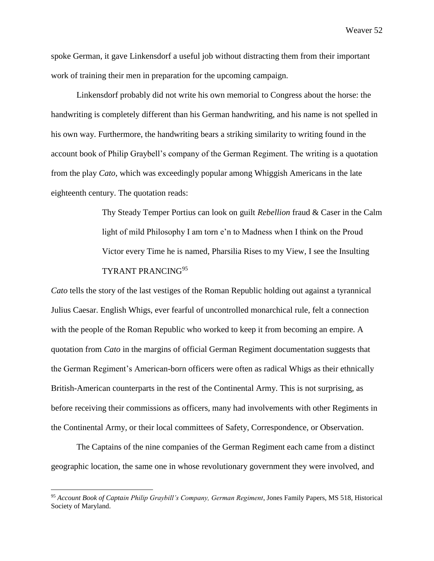spoke German, it gave Linkensdorf a useful job without distracting them from their important work of training their men in preparation for the upcoming campaign.

Linkensdorf probably did not write his own memorial to Congress about the horse: the handwriting is completely different than his German handwriting, and his name is not spelled in his own way. Furthermore, the handwriting bears a striking similarity to writing found in the account book of Philip Graybell's company of the German Regiment. The writing is a quotation from the play *Cato*, which was exceedingly popular among Whiggish Americans in the late eighteenth century. The quotation reads:

> Thy Steady Temper Portius can look on guilt *Rebellion* fraud & Caser in the Calm light of mild Philosophy I am torn e'n to Madness when I think on the Proud Victor every Time he is named, Pharsilia Rises to my View, I see the Insulting TYRANT PRANCING<sup>95</sup>

*Cato* tells the story of the last vestiges of the Roman Republic holding out against a tyrannical Julius Caesar. English Whigs, ever fearful of uncontrolled monarchical rule, felt a connection with the people of the Roman Republic who worked to keep it from becoming an empire. A quotation from *Cato* in the margins of official German Regiment documentation suggests that the German Regiment's American-born officers were often as radical Whigs as their ethnically British-American counterparts in the rest of the Continental Army. This is not surprising, as before receiving their commissions as officers, many had involvements with other Regiments in the Continental Army, or their local committees of Safety, Correspondence, or Observation.

The Captains of the nine companies of the German Regiment each came from a distinct geographic location, the same one in whose revolutionary government they were involved, and

<sup>95</sup> *Account Book of Captain Philip Graybill's Company, German Regiment*, Jones Family Papers, MS 518, Historical Society of Maryland.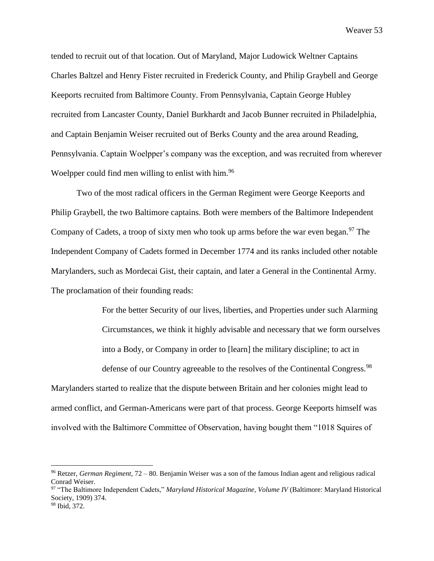tended to recruit out of that location. Out of Maryland, Major Ludowick Weltner Captains Charles Baltzel and Henry Fister recruited in Frederick County, and Philip Graybell and George Keeports recruited from Baltimore County. From Pennsylvania, Captain George Hubley recruited from Lancaster County, Daniel Burkhardt and Jacob Bunner recruited in Philadelphia, and Captain Benjamin Weiser recruited out of Berks County and the area around Reading, Pennsylvania. Captain Woelpper's company was the exception, and was recruited from wherever Woelpper could find men willing to enlist with him.<sup>96</sup>

Two of the most radical officers in the German Regiment were George Keeports and Philip Graybell, the two Baltimore captains. Both were members of the Baltimore Independent Company of Cadets, a troop of sixty men who took up arms before the war even began.<sup>97</sup> The Independent Company of Cadets formed in December 1774 and its ranks included other notable Marylanders, such as Mordecai Gist, their captain, and later a General in the Continental Army. The proclamation of their founding reads:

> For the better Security of our lives, liberties, and Properties under such Alarming Circumstances, we think it highly advisable and necessary that we form ourselves into a Body, or Company in order to [learn] the military discipline; to act in defense of our Country agreeable to the resolves of the Continental Congress.<sup>98</sup>

Marylanders started to realize that the dispute between Britain and her colonies might lead to armed conflict, and German-Americans were part of that process. George Keeports himself was involved with the Baltimore Committee of Observation, having bought them "1018 Squires of

<sup>96</sup> Retzer, *German Regiment*, 72 – 80. Benjamin Weiser was a son of the famous Indian agent and religious radical Conrad Weiser.

<sup>97</sup> "The Baltimore Independent Cadets," *Maryland Historical Magazine, Volume IV* (Baltimore: Maryland Historical Society, 1909) 374.

<sup>98</sup> Ibid, 372.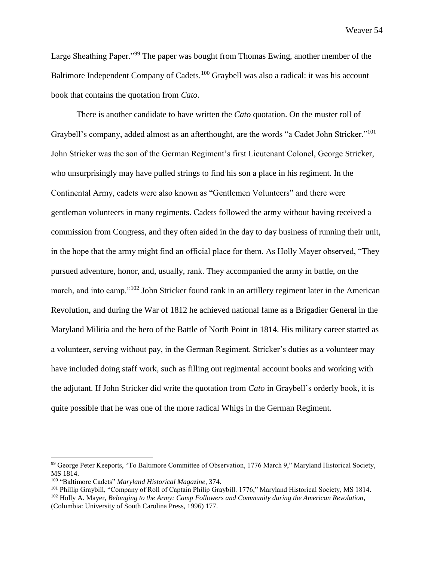Large Sheathing Paper."<sup>99</sup> The paper was bought from Thomas Ewing, another member of the Baltimore Independent Company of Cadets.<sup>100</sup> Graybell was also a radical: it was his account book that contains the quotation from *Cato*.

There is another candidate to have written the *Cato* quotation. On the muster roll of Graybell's company, added almost as an afterthought, are the words "a Cadet John Stricker."<sup>101</sup> John Stricker was the son of the German Regiment's first Lieutenant Colonel, George Stricker, who unsurprisingly may have pulled strings to find his son a place in his regiment. In the Continental Army, cadets were also known as "Gentlemen Volunteers" and there were gentleman volunteers in many regiments. Cadets followed the army without having received a commission from Congress, and they often aided in the day to day business of running their unit, in the hope that the army might find an official place for them. As Holly Mayer observed, "They pursued adventure, honor, and, usually, rank. They accompanied the army in battle, on the march, and into camp."<sup>102</sup> John Stricker found rank in an artillery regiment later in the American Revolution, and during the War of 1812 he achieved national fame as a Brigadier General in the Maryland Militia and the hero of the Battle of North Point in 1814. His military career started as a volunteer, serving without pay, in the German Regiment. Stricker's duties as a volunteer may have included doing staff work, such as filling out regimental account books and working with the adjutant. If John Stricker did write the quotation from *Cato* in Graybell's orderly book, it is quite possible that he was one of the more radical Whigs in the German Regiment.

<sup>99</sup> George Peter Keeports, "To Baltimore Committee of Observation, 1776 March 9," Maryland Historical Society, MS 1814.

<sup>100</sup> "Baltimore Cadets" *Maryland Historical Magazine*, 374.

<sup>101</sup> Phillip Graybill, "Company of Roll of Captain Philip Graybill. 1776," Maryland Historical Society, MS 1814. <sup>102</sup> Holly A. Mayer, *Belonging to the Army: Camp Followers and Community during the American Revolution*, (Columbia: University of South Carolina Press, 1996) 177.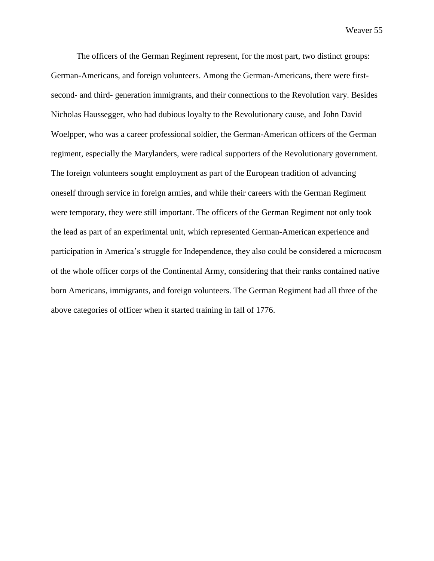The officers of the German Regiment represent, for the most part, two distinct groups: German-Americans, and foreign volunteers. Among the German-Americans, there were firstsecond- and third- generation immigrants, and their connections to the Revolution vary. Besides Nicholas Haussegger, who had dubious loyalty to the Revolutionary cause, and John David Woelpper, who was a career professional soldier, the German-American officers of the German regiment, especially the Marylanders, were radical supporters of the Revolutionary government. The foreign volunteers sought employment as part of the European tradition of advancing oneself through service in foreign armies, and while their careers with the German Regiment were temporary, they were still important. The officers of the German Regiment not only took the lead as part of an experimental unit, which represented German-American experience and participation in America's struggle for Independence, they also could be considered a microcosm of the whole officer corps of the Continental Army, considering that their ranks contained native born Americans, immigrants, and foreign volunteers. The German Regiment had all three of the above categories of officer when it started training in fall of 1776.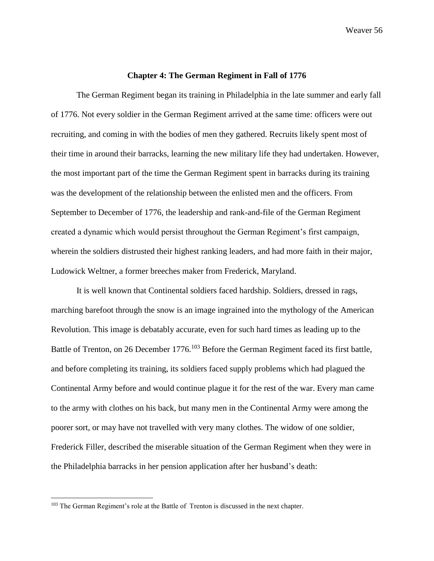## **Chapter 4: The German Regiment in Fall of 1776**

The German Regiment began its training in Philadelphia in the late summer and early fall of 1776. Not every soldier in the German Regiment arrived at the same time: officers were out recruiting, and coming in with the bodies of men they gathered. Recruits likely spent most of their time in around their barracks, learning the new military life they had undertaken. However, the most important part of the time the German Regiment spent in barracks during its training was the development of the relationship between the enlisted men and the officers. From September to December of 1776, the leadership and rank-and-file of the German Regiment created a dynamic which would persist throughout the German Regiment's first campaign, wherein the soldiers distrusted their highest ranking leaders, and had more faith in their major, Ludowick Weltner, a former breeches maker from Frederick, Maryland.

It is well known that Continental soldiers faced hardship. Soldiers, dressed in rags, marching barefoot through the snow is an image ingrained into the mythology of the American Revolution. This image is debatably accurate, even for such hard times as leading up to the Battle of Trenton, on 26 December 1776.<sup>103</sup> Before the German Regiment faced its first battle, and before completing its training, its soldiers faced supply problems which had plagued the Continental Army before and would continue plague it for the rest of the war. Every man came to the army with clothes on his back, but many men in the Continental Army were among the poorer sort, or may have not travelled with very many clothes. The widow of one soldier, Frederick Filler, described the miserable situation of the German Regiment when they were in the Philadelphia barracks in her pension application after her husband's death:

<sup>&</sup>lt;sup>103</sup> The German Regiment's role at the Battle of Trenton is discussed in the next chapter.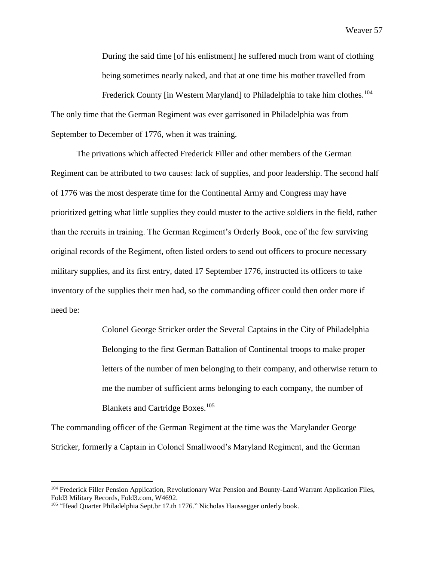During the said time [of his enlistment] he suffered much from want of clothing being sometimes nearly naked, and that at one time his mother travelled from

Frederick County [in Western Maryland] to Philadelphia to take him clothes.<sup>104</sup> The only time that the German Regiment was ever garrisoned in Philadelphia was from September to December of 1776, when it was training.

The privations which affected Frederick Filler and other members of the German Regiment can be attributed to two causes: lack of supplies, and poor leadership. The second half of 1776 was the most desperate time for the Continental Army and Congress may have prioritized getting what little supplies they could muster to the active soldiers in the field, rather than the recruits in training. The German Regiment's Orderly Book, one of the few surviving original records of the Regiment, often listed orders to send out officers to procure necessary military supplies, and its first entry, dated 17 September 1776, instructed its officers to take inventory of the supplies their men had, so the commanding officer could then order more if need be:

> Colonel George Stricker order the Several Captains in the City of Philadelphia Belonging to the first German Battalion of Continental troops to make proper letters of the number of men belonging to their company, and otherwise return to me the number of sufficient arms belonging to each company, the number of Blankets and Cartridge Boxes.<sup>105</sup>

The commanding officer of the German Regiment at the time was the Marylander George Stricker, formerly a Captain in Colonel Smallwood's Maryland Regiment, and the German

<sup>104</sup> Frederick Filler Pension Application, Revolutionary War Pension and Bounty-Land Warrant Application Files, Fold3 Military Records, Fold3.com, W4692.

<sup>&</sup>lt;sup>105</sup> "Head Quarter Philadelphia Sept.br 17.th 1776." Nicholas Haussegger orderly book.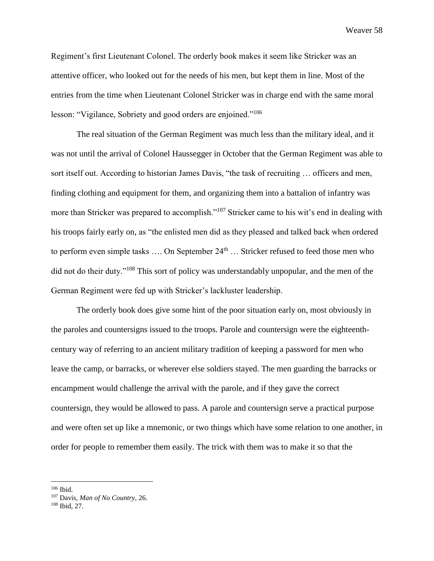Regiment's first Lieutenant Colonel. The orderly book makes it seem like Stricker was an attentive officer, who looked out for the needs of his men, but kept them in line. Most of the entries from the time when Lieutenant Colonel Stricker was in charge end with the same moral lesson: "Vigilance, Sobriety and good orders are enjoined."<sup>106</sup>

The real situation of the German Regiment was much less than the military ideal, and it was not until the arrival of Colonel Haussegger in October that the German Regiment was able to sort itself out. According to historian James Davis, "the task of recruiting … officers and men, finding clothing and equipment for them, and organizing them into a battalion of infantry was more than Stricker was prepared to accomplish."<sup>107</sup> Stricker came to his wit's end in dealing with his troops fairly early on, as "the enlisted men did as they pleased and talked back when ordered to perform even simple tasks .... On September 24<sup>th</sup> ... Stricker refused to feed those men who did not do their duty."<sup>108</sup> This sort of policy was understandably unpopular, and the men of the German Regiment were fed up with Stricker's lackluster leadership.

The orderly book does give some hint of the poor situation early on, most obviously in the paroles and countersigns issued to the troops. Parole and countersign were the eighteenthcentury way of referring to an ancient military tradition of keeping a password for men who leave the camp, or barracks, or wherever else soldiers stayed. The men guarding the barracks or encampment would challenge the arrival with the parole, and if they gave the correct countersign, they would be allowed to pass. A parole and countersign serve a practical purpose and were often set up like a mnemonic, or two things which have some relation to one another, in order for people to remember them easily. The trick with them was to make it so that the

<sup>106</sup> Ibid.

<sup>107</sup> Davis, *Man of No Country,* 26.

<sup>108</sup> Ibid, 27.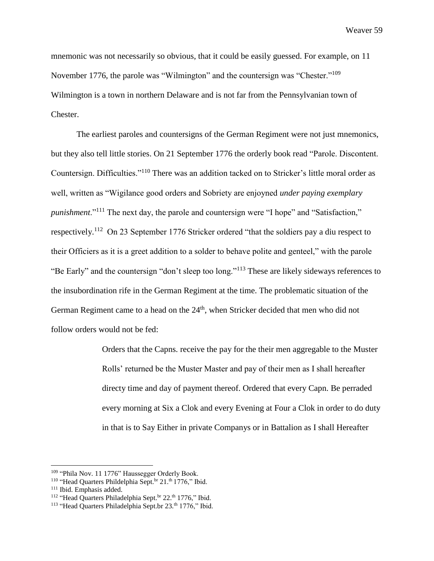mnemonic was not necessarily so obvious, that it could be easily guessed. For example, on 11 November 1776, the parole was "Wilmington" and the countersign was "Chester."<sup>109</sup> Wilmington is a town in northern Delaware and is not far from the Pennsylvanian town of Chester.

The earliest paroles and countersigns of the German Regiment were not just mnemonics, but they also tell little stories. On 21 September 1776 the orderly book read "Parole. Discontent. Countersign. Difficulties."<sup>110</sup> There was an addition tacked on to Stricker's little moral order as well, written as "Wigilance good orders and Sobriety are enjoyned *under paying exemplary punishment*."<sup>111</sup> The next day, the parole and countersign were "I hope" and "Satisfaction," respectively.<sup>112</sup> On 23 September 1776 Stricker ordered "that the soldiers pay a diu respect to their Officiers as it is a greet addition to a solder to behave polite and genteel," with the parole "Be Early" and the countersign "don't sleep too long."<sup>113</sup> These are likely sideways references to the insubordination rife in the German Regiment at the time. The problematic situation of the German Regiment came to a head on the  $24<sup>th</sup>$ , when Stricker decided that men who did not follow orders would not be fed:

> Orders that the Capns. receive the pay for the their men aggregable to the Muster Rolls' returned be the Muster Master and pay of their men as I shall hereafter directy time and day of payment thereof. Ordered that every Capn. Be perraded every morning at Six a Clok and every Evening at Four a Clok in order to do duty in that is to Say Either in private Companys or in Battalion as I shall Hereafter

<sup>&</sup>lt;sup>109</sup> "Phila Nov. 11 1776" Haussegger Orderly Book.

<sup>&</sup>lt;sup>110</sup> "Head Quarters Phildelphia Sept.<sup>br</sup> 21.<sup>th</sup> 1776," Ibid.

<sup>111</sup> Ibid. Emphasis added.

<sup>&</sup>lt;sup>112</sup> "Head Quarters Philadelphia Sept.<sup>br</sup> 22.<sup>th</sup> 1776," Ibid.

<sup>&</sup>lt;sup>113</sup> "Head Quarters Philadelphia Sept.br 23.<sup>th</sup> 1776," Ibid.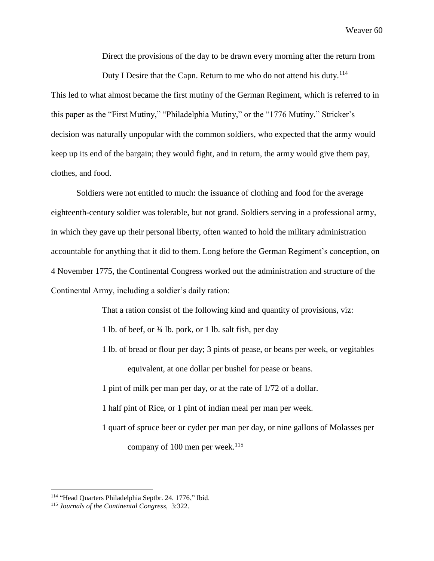Direct the provisions of the day to be drawn every morning after the return from

Duty I Desire that the Capn. Return to me who do not attend his duty.<sup>114</sup> This led to what almost became the first mutiny of the German Regiment, which is referred to in this paper as the "First Mutiny," "Philadelphia Mutiny," or the "1776 Mutiny." Stricker's decision was naturally unpopular with the common soldiers, who expected that the army would keep up its end of the bargain; they would fight, and in return, the army would give them pay, clothes, and food.

Soldiers were not entitled to much: the issuance of clothing and food for the average eighteenth-century soldier was tolerable, but not grand. Soldiers serving in a professional army, in which they gave up their personal liberty, often wanted to hold the military administration accountable for anything that it did to them. Long before the German Regiment's conception, on 4 November 1775, the Continental Congress worked out the administration and structure of the Continental Army, including a soldier's daily ration:

That a ration consist of the following kind and quantity of provisions, viz:

1 lb. of beef, or ¾ lb. pork, or 1 lb. salt fish, per day

1 lb. of bread or flour per day; 3 pints of pease, or beans per week, or vegitables equivalent, at one dollar per bushel for pease or beans.

1 pint of milk per man per day, or at the rate of 1/72 of a dollar.

1 half pint of Rice, or 1 pint of indian meal per man per week.

1 quart of spruce beer or cyder per man per day, or nine gallons of Molasses per company of 100 men per week. $^{115}$ 

<sup>114</sup> "Head Quarters Philadelphia Septbr. 24. 1776," Ibid.

<sup>115</sup> *Journals of the Continental Congress,* 3:322.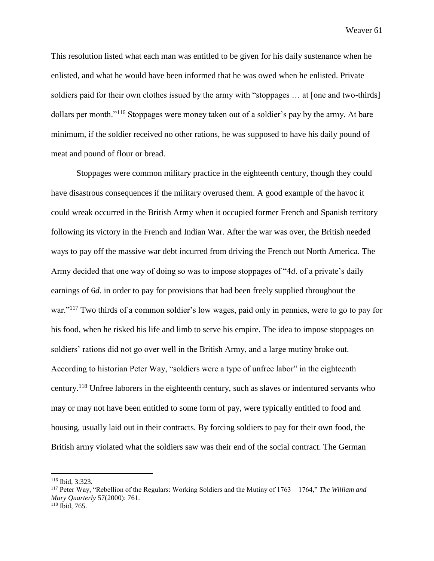This resolution listed what each man was entitled to be given for his daily sustenance when he enlisted, and what he would have been informed that he was owed when he enlisted. Private soldiers paid for their own clothes issued by the army with "stoppages … at [one and two-thirds] dollars per month."<sup>116</sup> Stoppages were money taken out of a soldier's pay by the army. At bare minimum, if the soldier received no other rations, he was supposed to have his daily pound of meat and pound of flour or bread.

Stoppages were common military practice in the eighteenth century, though they could have disastrous consequences if the military overused them. A good example of the havoc it could wreak occurred in the British Army when it occupied former French and Spanish territory following its victory in the French and Indian War. After the war was over, the British needed ways to pay off the massive war debt incurred from driving the French out North America. The Army decided that one way of doing so was to impose stoppages of "4*d*. of a private's daily earnings of 6*d*. in order to pay for provisions that had been freely supplied throughout the war."<sup>117</sup> Two thirds of a common soldier's low wages, paid only in pennies, were to go to pay for his food, when he risked his life and limb to serve his empire. The idea to impose stoppages on soldiers' rations did not go over well in the British Army, and a large mutiny broke out. According to historian Peter Way, "soldiers were a type of unfree labor" in the eighteenth century.<sup>118</sup> Unfree laborers in the eighteenth century, such as slaves or indentured servants who may or may not have been entitled to some form of pay, were typically entitled to food and housing, usually laid out in their contracts. By forcing soldiers to pay for their own food, the British army violated what the soldiers saw was their end of the social contract. The German

<sup>116</sup> Ibid, 3:323.

<sup>117</sup> Peter Way, "Rebellion of the Regulars: Working Soldiers and the Mutiny of 1763 – 1764," *The William and Mary Quarterly* 57(2000): 761. <sup>118</sup> Ibid, 765.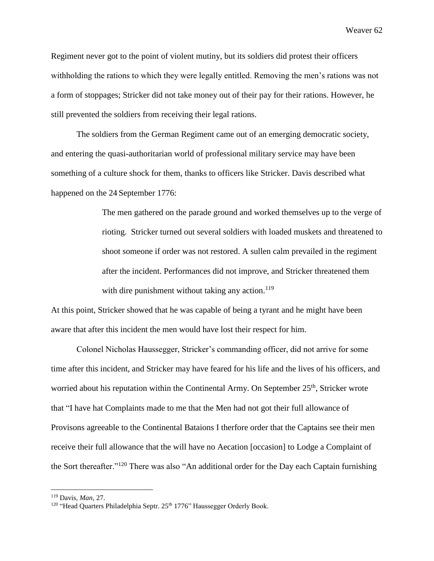Regiment never got to the point of violent mutiny, but its soldiers did protest their officers withholding the rations to which they were legally entitled. Removing the men's rations was not a form of stoppages; Stricker did not take money out of their pay for their rations. However, he still prevented the soldiers from receiving their legal rations.

The soldiers from the German Regiment came out of an emerging democratic society, and entering the quasi-authoritarian world of professional military service may have been something of a culture shock for them, thanks to officers like Stricker. Davis described what happened on the 24 September 1776:

> The men gathered on the parade ground and worked themselves up to the verge of rioting. Stricker turned out several soldiers with loaded muskets and threatened to shoot someone if order was not restored. A sullen calm prevailed in the regiment after the incident. Performances did not improve, and Stricker threatened them with dire punishment without taking any action. $119$

At this point, Stricker showed that he was capable of being a tyrant and he might have been aware that after this incident the men would have lost their respect for him.

Colonel Nicholas Haussegger, Stricker's commanding officer, did not arrive for some time after this incident, and Stricker may have feared for his life and the lives of his officers, and worried about his reputation within the Continental Army. On September  $25<sup>th</sup>$ , Stricker wrote that "I have hat Complaints made to me that the Men had not got their full allowance of Provisons agreeable to the Continental Bataions I therfore order that the Captains see their men receive their full allowance that the will have no Aecation [occasion] to Lodge a Complaint of the Sort thereafter."<sup>120</sup> There was also "An additional order for the Day each Captain furnishing

<sup>119</sup> Davis, *Man*, 27.

<sup>&</sup>lt;sup>120</sup> "Head Quarters Philadelphia Septr. 25<sup>th</sup> 1776" Haussegger Orderly Book.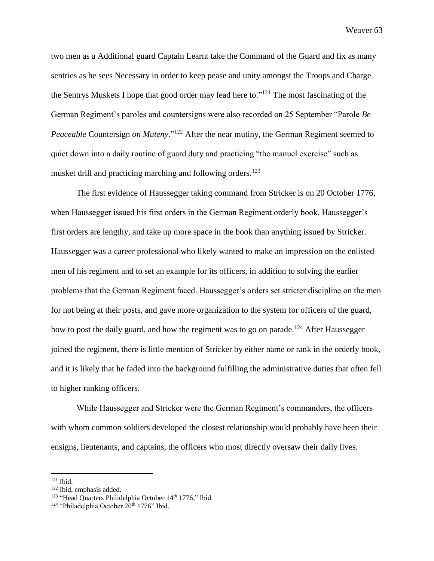two men as a Additional guard Captain Learnt take the Command of the Guard and fix as many sentries as he sees Necessary in order to keep pease and unity amongst the Troops and Charge the Sentrys Muskets I hope that good order may lead here to."<sup>121</sup> The most fascinating of the German Regiment's paroles and countersigns were also recorded on 25 September "Parole *Be Peaceable* Countersign *on Muteny*."<sup>122</sup> After the near mutiny, the German Regiment seemed to quiet down into a daily routine of guard duty and practicing "the manuel exercise" such as musket drill and practicing marching and following orders.<sup>123</sup>

The first evidence of Haussegger taking command from Stricker is on 20 October 1776, when Haussegger issued his first orders in the German Regiment orderly book. Haussegger's first orders are lengthy, and take up more space in the book than anything issued by Stricker. Haussegger was a career professional who likely wanted to make an impression on the enlisted men of his regiment and to set an example for its officers, in addition to solving the earlier problems that the German Regiment faced. Haussegger's orders set stricter discipline on the men for not being at their posts, and gave more organization to the system for officers of the guard, how to post the daily guard, and how the regiment was to go on parade.<sup>124</sup> After Haussegger joined the regiment, there is little mention of Stricker by either name or rank in the orderly book, and it is likely that he faded into the background fulfilling the administrative duties that often fell to higher ranking officers.

While Haussegger and Stricker were the German Regiment's commanders, the officers with whom common soldiers developed the closest relationship would probably have been their ensigns, lieutenants, and captains, the officers who most directly oversaw their daily lives.

<sup>121</sup> Ibid.

<sup>122</sup> Ibid, emphasis added.

<sup>&</sup>lt;sup>123</sup> "Head Quarters Philidelphia October 14<sup>th</sup> 1776," Ibid.

 $124$  "Philadelphia October  $20<sup>th</sup> 1776$ " Ibid.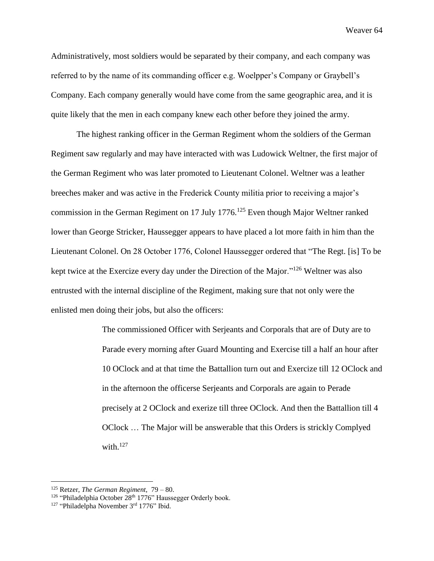Administratively, most soldiers would be separated by their company, and each company was referred to by the name of its commanding officer e.g. Woelpper's Company or Graybell's Company. Each company generally would have come from the same geographic area, and it is quite likely that the men in each company knew each other before they joined the army.

The highest ranking officer in the German Regiment whom the soldiers of the German Regiment saw regularly and may have interacted with was Ludowick Weltner, the first major of the German Regiment who was later promoted to Lieutenant Colonel. Weltner was a leather breeches maker and was active in the Frederick County militia prior to receiving a major's commission in the German Regiment on 17 July 1776.<sup>125</sup> Even though Major Weltner ranked lower than George Stricker, Haussegger appears to have placed a lot more faith in him than the Lieutenant Colonel. On 28 October 1776, Colonel Haussegger ordered that "The Regt. [is] To be kept twice at the Exercize every day under the Direction of the Major."<sup>126</sup> Weltner was also entrusted with the internal discipline of the Regiment, making sure that not only were the enlisted men doing their jobs, but also the officers:

> The commissioned Officer with Serjeants and Corporals that are of Duty are to Parade every morning after Guard Mounting and Exercise till a half an hour after 10 OClock and at that time the Battallion turn out and Exercize till 12 OClock and in the afternoon the officerse Serjeants and Corporals are again to Perade precisely at 2 OClock and exerize till three OClock. And then the Battallion till 4 OClock … The Major will be answerable that this Orders is strickly Complyed with. $127$

<sup>125</sup> Retzer, *The German Regiment,* 79 – 80.

<sup>&</sup>lt;sup>126</sup> "Philadelphia October 28<sup>th</sup> 1776" Haussegger Orderly book.

<sup>&</sup>lt;sup>127</sup> "Philadelpha November 3<sup>rd</sup> 1776" Ibid.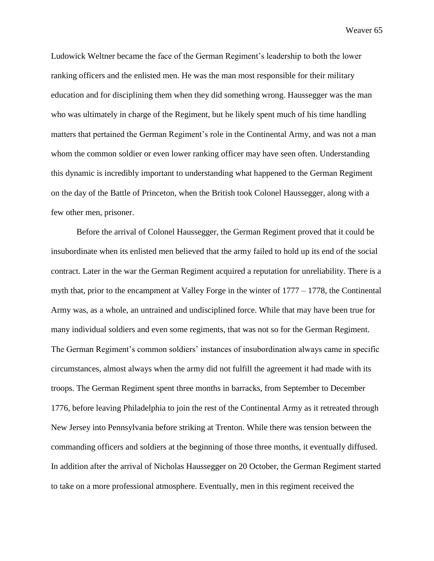Ludowick Weltner became the face of the German Regiment's leadership to both the lower ranking officers and the enlisted men. He was the man most responsible for their military education and for disciplining them when they did something wrong. Haussegger was the man who was ultimately in charge of the Regiment, but he likely spent much of his time handling matters that pertained the German Regiment's role in the Continental Army, and was not a man whom the common soldier or even lower ranking officer may have seen often. Understanding this dynamic is incredibly important to understanding what happened to the German Regiment on the day of the Battle of Princeton, when the British took Colonel Haussegger, along with a few other men, prisoner.

Before the arrival of Colonel Haussegger, the German Regiment proved that it could be insubordinate when its enlisted men believed that the army failed to hold up its end of the social contract. Later in the war the German Regiment acquired a reputation for unreliability. There is a myth that, prior to the encampment at Valley Forge in the winter of 1777 – 1778, the Continental Army was, as a whole, an untrained and undisciplined force. While that may have been true for many individual soldiers and even some regiments, that was not so for the German Regiment. The German Regiment's common soldiers' instances of insubordination always came in specific circumstances, almost always when the army did not fulfill the agreement it had made with its troops. The German Regiment spent three months in barracks, from September to December 1776, before leaving Philadelphia to join the rest of the Continental Army as it retreated through New Jersey into Pennsylvania before striking at Trenton. While there was tension between the commanding officers and soldiers at the beginning of those three months, it eventually diffused. In addition after the arrival of Nicholas Haussegger on 20 October, the German Regiment started to take on a more professional atmosphere. Eventually, men in this regiment received the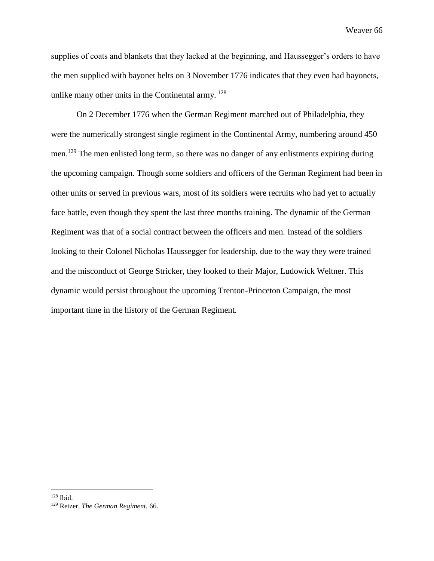supplies of coats and blankets that they lacked at the beginning, and Haussegger's orders to have the men supplied with bayonet belts on 3 November 1776 indicates that they even had bayonets, unlike many other units in the Continental army. <sup>128</sup>

On 2 December 1776 when the German Regiment marched out of Philadelphia, they were the numerically strongest single regiment in the Continental Army, numbering around 450 men.<sup>129</sup> The men enlisted long term, so there was no danger of any enlistments expiring during the upcoming campaign. Though some soldiers and officers of the German Regiment had been in other units or served in previous wars, most of its soldiers were recruits who had yet to actually face battle, even though they spent the last three months training. The dynamic of the German Regiment was that of a social contract between the officers and men. Instead of the soldiers looking to their Colonel Nicholas Haussegger for leadership, due to the way they were trained and the misconduct of George Stricker, they looked to their Major, Ludowick Weltner. This dynamic would persist throughout the upcoming Trenton-Princeton Campaign, the most important time in the history of the German Regiment.

<sup>128</sup> Ibid.

<sup>129</sup> Retzer, *The German Regiment*, 66.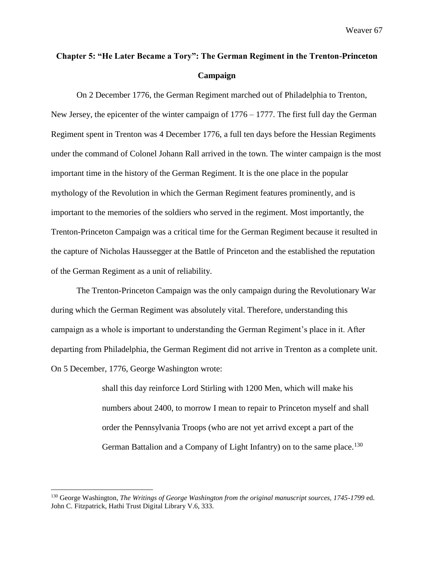## **Chapter 5: "He Later Became a Tory": The German Regiment in the Trenton-Princeton Campaign**

On 2 December 1776, the German Regiment marched out of Philadelphia to Trenton, New Jersey, the epicenter of the winter campaign of  $1776 - 1777$ . The first full day the German Regiment spent in Trenton was 4 December 1776, a full ten days before the Hessian Regiments under the command of Colonel Johann Rall arrived in the town. The winter campaign is the most important time in the history of the German Regiment. It is the one place in the popular mythology of the Revolution in which the German Regiment features prominently, and is important to the memories of the soldiers who served in the regiment. Most importantly, the Trenton-Princeton Campaign was a critical time for the German Regiment because it resulted in the capture of Nicholas Haussegger at the Battle of Princeton and the established the reputation of the German Regiment as a unit of reliability.

The Trenton-Princeton Campaign was the only campaign during the Revolutionary War during which the German Regiment was absolutely vital. Therefore, understanding this campaign as a whole is important to understanding the German Regiment's place in it. After departing from Philadelphia, the German Regiment did not arrive in Trenton as a complete unit. On 5 December, 1776, George Washington wrote:

> shall this day reinforce Lord Stirling with 1200 Men, which will make his numbers about 2400, to morrow I mean to repair to Princeton myself and shall order the Pennsylvania Troops (who are not yet arrivd except a part of the German Battalion and a Company of Light Infantry) on to the same place.<sup>130</sup>

<sup>130</sup> George Washington, *The Writings of George Washington from the original manuscript sources, 1745-1799* ed. John C. Fitzpatrick, Hathi Trust Digital Library V.6, 333.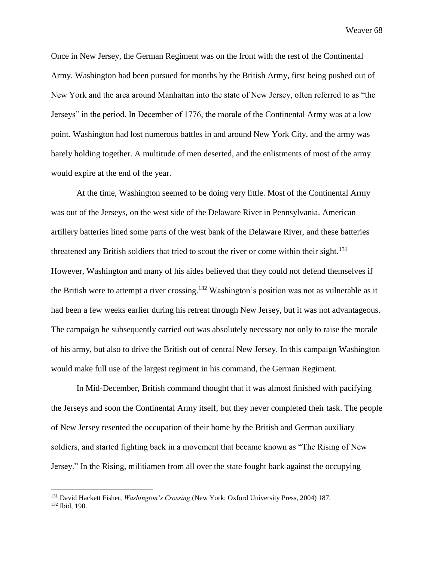Once in New Jersey, the German Regiment was on the front with the rest of the Continental Army. Washington had been pursued for months by the British Army, first being pushed out of New York and the area around Manhattan into the state of New Jersey, often referred to as "the Jerseys" in the period. In December of 1776, the morale of the Continental Army was at a low point. Washington had lost numerous battles in and around New York City, and the army was barely holding together. A multitude of men deserted, and the enlistments of most of the army would expire at the end of the year.

At the time, Washington seemed to be doing very little. Most of the Continental Army was out of the Jerseys, on the west side of the Delaware River in Pennsylvania. American artillery batteries lined some parts of the west bank of the Delaware River, and these batteries threatened any British soldiers that tried to scout the river or come within their sight.<sup>131</sup> However, Washington and many of his aides believed that they could not defend themselves if the British were to attempt a river crossing.<sup>132</sup> Washington's position was not as vulnerable as it had been a few weeks earlier during his retreat through New Jersey, but it was not advantageous. The campaign he subsequently carried out was absolutely necessary not only to raise the morale of his army, but also to drive the British out of central New Jersey. In this campaign Washington would make full use of the largest regiment in his command, the German Regiment.

In Mid-December, British command thought that it was almost finished with pacifying the Jerseys and soon the Continental Army itself, but they never completed their task. The people of New Jersey resented the occupation of their home by the British and German auxiliary soldiers, and started fighting back in a movement that became known as "The Rising of New Jersey." In the Rising, militiamen from all over the state fought back against the occupying

<sup>131</sup> David Hackett Fisher, *Washington's Crossing* (New York: Oxford University Press, 2004) 187.

<sup>132</sup> Ibid, 190.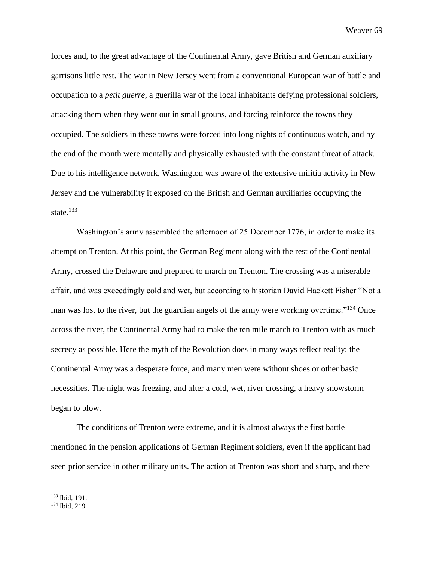forces and, to the great advantage of the Continental Army, gave British and German auxiliary garrisons little rest. The war in New Jersey went from a conventional European war of battle and occupation to a *petit guerre*, a guerilla war of the local inhabitants defying professional soldiers, attacking them when they went out in small groups, and forcing reinforce the towns they occupied. The soldiers in these towns were forced into long nights of continuous watch, and by the end of the month were mentally and physically exhausted with the constant threat of attack. Due to his intelligence network, Washington was aware of the extensive militia activity in New Jersey and the vulnerability it exposed on the British and German auxiliaries occupying the state.<sup>133</sup>

Washington's army assembled the afternoon of 25 December 1776, in order to make its attempt on Trenton. At this point, the German Regiment along with the rest of the Continental Army, crossed the Delaware and prepared to march on Trenton. The crossing was a miserable affair, and was exceedingly cold and wet, but according to historian David Hackett Fisher "Not a man was lost to the river, but the guardian angels of the army were working overtime."<sup>134</sup> Once across the river, the Continental Army had to make the ten mile march to Trenton with as much secrecy as possible. Here the myth of the Revolution does in many ways reflect reality: the Continental Army was a desperate force, and many men were without shoes or other basic necessities. The night was freezing, and after a cold, wet, river crossing, a heavy snowstorm began to blow.

The conditions of Trenton were extreme, and it is almost always the first battle mentioned in the pension applications of German Regiment soldiers, even if the applicant had seen prior service in other military units. The action at Trenton was short and sharp, and there

<sup>133</sup> Ibid, 191.

<sup>134</sup> Ibid, 219.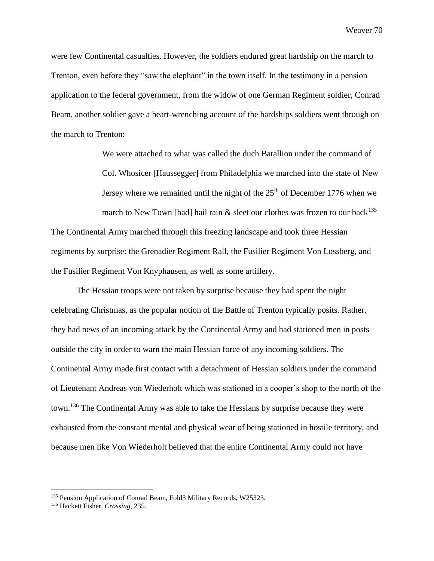were few Continental casualties. However, the soldiers endured great hardship on the march to Trenton, even before they "saw the elephant" in the town itself. In the testimony in a pension application to the federal government, from the widow of one German Regiment soldier, Conrad Beam, another soldier gave a heart-wrenching account of the hardships soldiers went through on the march to Trenton:

> We were attached to what was called the duch Batallion under the command of Col. Whosicer [Haussegger] from Philadelphia we marched into the state of New Jersey where we remained until the night of the  $25<sup>th</sup>$  of December 1776 when we march to New Town [had] hail rain  $\&$  sleet our clothes was frozen to our back<sup>135</sup>

The Continental Army marched through this freezing landscape and took three Hessian regiments by surprise: the Grenadier Regiment Rall, the Fusilier Regiment Von Lossberg, and the Fusilier Regiment Von Knyphausen, as well as some artillery.

The Hessian troops were not taken by surprise because they had spent the night celebrating Christmas, as the popular notion of the Battle of Trenton typically posits. Rather, they had news of an incoming attack by the Continental Army and had stationed men in posts outside the city in order to warn the main Hessian force of any incoming soldiers. The Continental Army made first contact with a detachment of Hessian soldiers under the command of Lieutenant Andreas von Wiederholt which was stationed in a cooper's shop to the north of the town.<sup>136</sup> The Continental Army was able to take the Hessians by surprise because they were exhausted from the constant mental and physical wear of being stationed in hostile territory, and because men like Von Wiederholt believed that the entire Continental Army could not have

<sup>&</sup>lt;sup>135</sup> Pension Application of Conrad Beam, Fold3 Military Records, W25323.

<sup>136</sup> Hackett Fisher, *Crossing*, 235.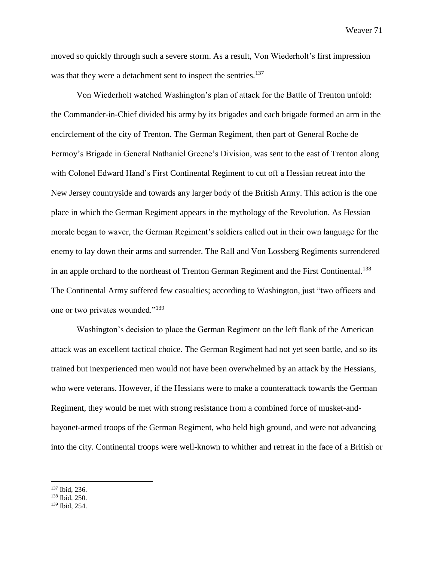moved so quickly through such a severe storm. As a result, Von Wiederholt's first impression was that they were a detachment sent to inspect the sentries.<sup>137</sup>

Von Wiederholt watched Washington's plan of attack for the Battle of Trenton unfold: the Commander-in-Chief divided his army by its brigades and each brigade formed an arm in the encirclement of the city of Trenton. The German Regiment, then part of General Roche de Fermoy's Brigade in General Nathaniel Greene's Division, was sent to the east of Trenton along with Colonel Edward Hand's First Continental Regiment to cut off a Hessian retreat into the New Jersey countryside and towards any larger body of the British Army. This action is the one place in which the German Regiment appears in the mythology of the Revolution. As Hessian morale began to waver, the German Regiment's soldiers called out in their own language for the enemy to lay down their arms and surrender. The Rall and Von Lossberg Regiments surrendered in an apple orchard to the northeast of Trenton German Regiment and the First Continental.<sup>138</sup> The Continental Army suffered few casualties; according to Washington, just "two officers and one or two privates wounded."<sup>139</sup>

Washington's decision to place the German Regiment on the left flank of the American attack was an excellent tactical choice. The German Regiment had not yet seen battle, and so its trained but inexperienced men would not have been overwhelmed by an attack by the Hessians, who were veterans. However, if the Hessians were to make a counterattack towards the German Regiment, they would be met with strong resistance from a combined force of musket-andbayonet-armed troops of the German Regiment, who held high ground, and were not advancing into the city. Continental troops were well-known to whither and retreat in the face of a British or

<sup>137</sup> Ibid, 236.

<sup>138</sup> Ibid, 250.

<sup>139</sup> Ibid, 254.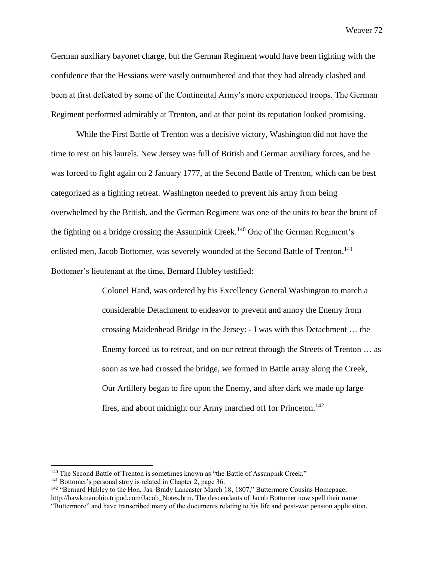German auxiliary bayonet charge, but the German Regiment would have been fighting with the confidence that the Hessians were vastly outnumbered and that they had already clashed and been at first defeated by some of the Continental Army's more experienced troops. The German Regiment performed admirably at Trenton, and at that point its reputation looked promising.

While the First Battle of Trenton was a decisive victory, Washington did not have the time to rest on his laurels. New Jersey was full of British and German auxiliary forces, and he was forced to fight again on 2 January 1777, at the Second Battle of Trenton, which can be best categorized as a fighting retreat. Washington needed to prevent his army from being overwhelmed by the British, and the German Regiment was one of the units to bear the brunt of the fighting on a bridge crossing the Assunpink Creek.<sup>140</sup> One of the German Regiment's enlisted men, Jacob Bottomer, was severely wounded at the Second Battle of Trenton.<sup>141</sup> Bottomer's lieutenant at the time, Bernard Hubley testified:

> Colonel Hand, was ordered by his Excellency General Washington to march a considerable Detachment to endeavor to prevent and annoy the Enemy from crossing Maidenhead Bridge in the Jersey: - I was with this Detachment … the Enemy forced us to retreat, and on our retreat through the Streets of Trenton … as soon as we had crossed the bridge, we formed in Battle array along the Creek, Our Artillery began to fire upon the Enemy, and after dark we made up large fires, and about midnight our Army marched off for Princeton.<sup>142</sup>

<sup>&</sup>lt;sup>140</sup> The Second Battle of Trenton is sometimes known as "the Battle of Assunpink Creek."

<sup>141</sup> Bottomer's personal story is related in Chapter 2, page 36.

<sup>142</sup> "Bernard Hubley to the Hon. Jas. Brady Lancaster March 18, 1807," Buttermore Cousins Homepage, http://hawkmanohio.tripod.com/Jacob\_Notes.htm. The descendants of Jacob Bottomer now spell their name "Buttermore" and have transcribed many of the documents relating to his life and post-war pension application.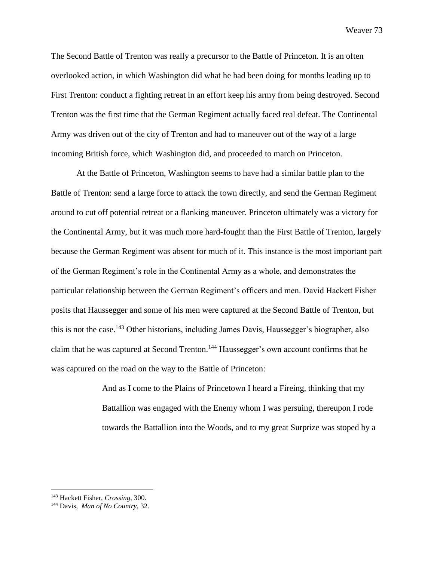The Second Battle of Trenton was really a precursor to the Battle of Princeton. It is an often overlooked action, in which Washington did what he had been doing for months leading up to First Trenton: conduct a fighting retreat in an effort keep his army from being destroyed. Second Trenton was the first time that the German Regiment actually faced real defeat. The Continental Army was driven out of the city of Trenton and had to maneuver out of the way of a large incoming British force, which Washington did, and proceeded to march on Princeton.

At the Battle of Princeton, Washington seems to have had a similar battle plan to the Battle of Trenton: send a large force to attack the town directly, and send the German Regiment around to cut off potential retreat or a flanking maneuver. Princeton ultimately was a victory for the Continental Army, but it was much more hard-fought than the First Battle of Trenton, largely because the German Regiment was absent for much of it. This instance is the most important part of the German Regiment's role in the Continental Army as a whole, and demonstrates the particular relationship between the German Regiment's officers and men. David Hackett Fisher posits that Haussegger and some of his men were captured at the Second Battle of Trenton, but this is not the case.<sup>143</sup> Other historians, including James Davis, Haussegger's biographer, also claim that he was captured at Second Trenton.<sup>144</sup> Haussegger's own account confirms that he was captured on the road on the way to the Battle of Princeton:

> And as I come to the Plains of Princetown I heard a Fireing, thinking that my Battallion was engaged with the Enemy whom I was persuing, thereupon I rode towards the Battallion into the Woods, and to my great Surprize was stoped by a

<sup>143</sup> Hackett Fisher, *Crossing*, 300.

<sup>144</sup> Davis, *Man of No Country,* 32.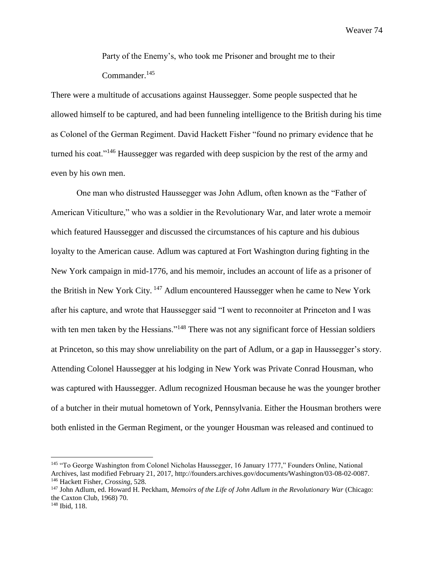Party of the Enemy's, who took me Prisoner and brought me to their Commander. 145

There were a multitude of accusations against Haussegger. Some people suspected that he allowed himself to be captured, and had been funneling intelligence to the British during his time as Colonel of the German Regiment. David Hackett Fisher "found no primary evidence that he turned his coat."<sup>146</sup> Haussegger was regarded with deep suspicion by the rest of the army and even by his own men.

One man who distrusted Haussegger was John Adlum, often known as the "Father of American Viticulture," who was a soldier in the Revolutionary War, and later wrote a memoir which featured Haussegger and discussed the circumstances of his capture and his dubious loyalty to the American cause. Adlum was captured at Fort Washington during fighting in the New York campaign in mid-1776, and his memoir, includes an account of life as a prisoner of the British in New York City. <sup>147</sup> Adlum encountered Haussegger when he came to New York after his capture, and wrote that Haussegger said "I went to reconnoiter at Princeton and I was with ten men taken by the Hessians."<sup>148</sup> There was not any significant force of Hessian soldiers at Princeton, so this may show unreliability on the part of Adlum, or a gap in Haussegger's story. Attending Colonel Haussegger at his lodging in New York was Private Conrad Housman, who was captured with Haussegger. Adlum recognized Housman because he was the younger brother of a butcher in their mutual hometown of York, Pennsylvania. Either the Housman brothers were both enlisted in the German Regiment, or the younger Housman was released and continued to

<sup>145</sup> "To George Washington from Colonel Nicholas Haussegger, 16 January 1777," Founders Online, National Archives, last modified February 21, 2017, http://founders.archives.gov/documents/Washington/03-08-02-0087. <sup>146</sup> Hackett Fisher, *Crossing*, 528.

<sup>147</sup> John Adlum, ed. Howard H. Peckham, *Memoirs of the Life of John Adlum in the Revolutionary War* (Chicago: the Caxton Club, 1968) 70.

<sup>148</sup> Ibid, 118.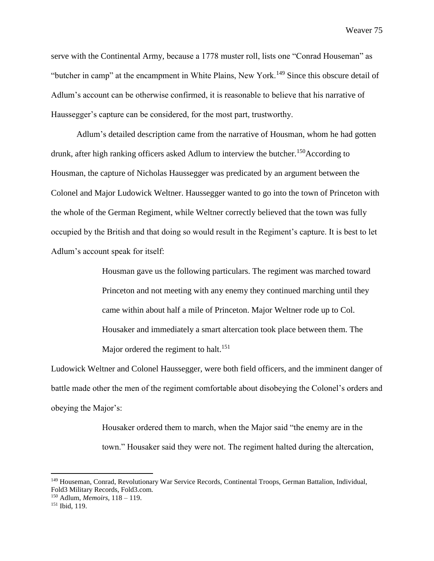serve with the Continental Army, because a 1778 muster roll, lists one "Conrad Houseman" as "butcher in camp" at the encampment in White Plains, New York.<sup>149</sup> Since this obscure detail of Adlum's account can be otherwise confirmed, it is reasonable to believe that his narrative of Haussegger's capture can be considered, for the most part, trustworthy.

Adlum's detailed description came from the narrative of Housman, whom he had gotten drunk, after high ranking officers asked Adlum to interview the butcher.<sup>150</sup>According to Housman, the capture of Nicholas Haussegger was predicated by an argument between the Colonel and Major Ludowick Weltner. Haussegger wanted to go into the town of Princeton with the whole of the German Regiment, while Weltner correctly believed that the town was fully occupied by the British and that doing so would result in the Regiment's capture. It is best to let Adlum's account speak for itself:

> Housman gave us the following particulars. The regiment was marched toward Princeton and not meeting with any enemy they continued marching until they came within about half a mile of Princeton. Major Weltner rode up to Col. Housaker and immediately a smart altercation took place between them. The Major ordered the regiment to halt.<sup>151</sup>

Ludowick Weltner and Colonel Haussegger, were both field officers, and the imminent danger of battle made other the men of the regiment comfortable about disobeying the Colonel's orders and obeying the Major's:

> Housaker ordered them to march, when the Major said "the enemy are in the town." Housaker said they were not. The regiment halted during the altercation,

<sup>150</sup> Adlum, *Memoirs*, 118 – 119.

<sup>149</sup> Houseman, Conrad, Revolutionary War Service Records, Continental Troops, German Battalion, Individual, Fold3 Military Records, Fold3.com.

<sup>151</sup> Ibid, 119.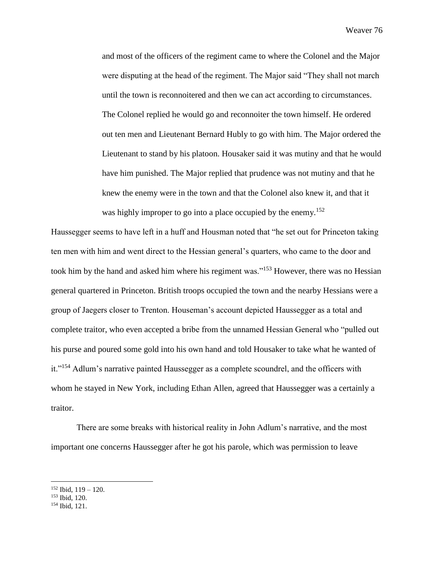and most of the officers of the regiment came to where the Colonel and the Major were disputing at the head of the regiment. The Major said "They shall not march until the town is reconnoitered and then we can act according to circumstances. The Colonel replied he would go and reconnoiter the town himself. He ordered out ten men and Lieutenant Bernard Hubly to go with him. The Major ordered the Lieutenant to stand by his platoon. Housaker said it was mutiny and that he would have him punished. The Major replied that prudence was not mutiny and that he knew the enemy were in the town and that the Colonel also knew it, and that it was highly improper to go into a place occupied by the enemy.<sup>152</sup>

Haussegger seems to have left in a huff and Housman noted that "he set out for Princeton taking ten men with him and went direct to the Hessian general's quarters, who came to the door and took him by the hand and asked him where his regiment was."<sup>153</sup> However, there was no Hessian general quartered in Princeton. British troops occupied the town and the nearby Hessians were a group of Jaegers closer to Trenton. Houseman's account depicted Haussegger as a total and complete traitor, who even accepted a bribe from the unnamed Hessian General who "pulled out his purse and poured some gold into his own hand and told Housaker to take what he wanted of it."<sup>154</sup> Adlum's narrative painted Haussegger as a complete scoundrel, and the officers with whom he stayed in New York, including Ethan Allen, agreed that Haussegger was a certainly a traitor.

There are some breaks with historical reality in John Adlum's narrative, and the most important one concerns Haussegger after he got his parole, which was permission to leave

 $152$  Ibid,  $119 - 120$ .

<sup>153</sup> Ibid, 120.

<sup>154</sup> Ibid, 121.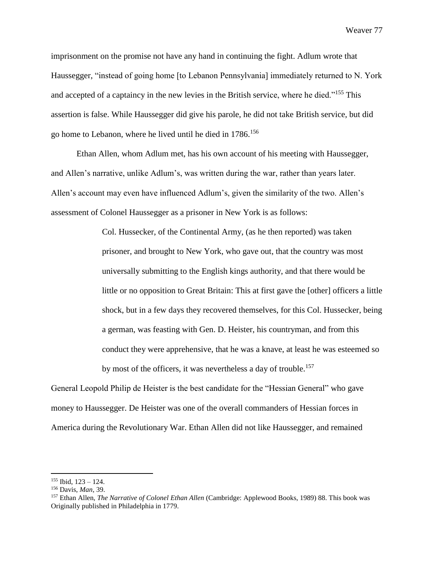imprisonment on the promise not have any hand in continuing the fight. Adlum wrote that Haussegger, "instead of going home [to Lebanon Pennsylvania] immediately returned to N. York and accepted of a captaincy in the new levies in the British service, where he died."<sup>155</sup> This assertion is false. While Haussegger did give his parole, he did not take British service, but did go home to Lebanon, where he lived until he died in 1786.<sup>156</sup>

Ethan Allen, whom Adlum met, has his own account of his meeting with Haussegger, and Allen's narrative, unlike Adlum's, was written during the war, rather than years later. Allen's account may even have influenced Adlum's, given the similarity of the two. Allen's assessment of Colonel Haussegger as a prisoner in New York is as follows:

> Col. Hussecker, of the Continental Army, (as he then reported) was taken prisoner, and brought to New York, who gave out, that the country was most universally submitting to the English kings authority, and that there would be little or no opposition to Great Britain: This at first gave the [other] officers a little shock, but in a few days they recovered themselves, for this Col. Hussecker, being a german, was feasting with Gen. D. Heister, his countryman, and from this conduct they were apprehensive, that he was a knave, at least he was esteemed so by most of the officers, it was nevertheless a day of trouble.<sup>157</sup>

General Leopold Philip de Heister is the best candidate for the "Hessian General" who gave money to Haussegger. De Heister was one of the overall commanders of Hessian forces in America during the Revolutionary War. Ethan Allen did not like Haussegger, and remained

 $155$  Ibid,  $123 - 124$ .

<sup>156</sup> Davis, *Man*, 39.

<sup>157</sup> Ethan Allen, *The Narrative of Colonel Ethan Allen* (Cambridge: Applewood Books, 1989) 88. This book was Originally published in Philadelphia in 1779.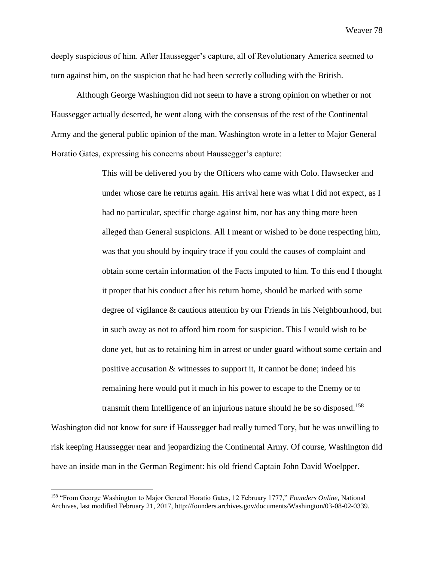deeply suspicious of him. After Haussegger's capture, all of Revolutionary America seemed to turn against him, on the suspicion that he had been secretly colluding with the British.

Although George Washington did not seem to have a strong opinion on whether or not Haussegger actually deserted, he went along with the consensus of the rest of the Continental Army and the general public opinion of the man. Washington wrote in a letter to Major General Horatio Gates, expressing his concerns about Haussegger's capture:

> This will be delivered you by the Officers who came with Colo. Hawsecker and under whose care he returns again. His arrival here was what I did not expect, as I had no particular, specific charge against him, nor has any thing more been alleged than General suspicions. All I meant or wished to be done respecting him, was that you should by inquiry trace if you could the causes of complaint and obtain some certain information of the Facts imputed to him. To this end I thought it proper that his conduct after his return home, should be marked with some degree of vigilance & cautious attention by our Friends in his Neighbourhood, but in such away as not to afford him room for suspicion. This I would wish to be done yet, but as to retaining him in arrest or under guard without some certain and positive accusation & witnesses to support it, It cannot be done; indeed his remaining here would put it much in his power to escape to the Enemy or to transmit them Intelligence of an injurious nature should he be so disposed.<sup>158</sup>

Washington did not know for sure if Haussegger had really turned Tory, but he was unwilling to risk keeping Haussegger near and jeopardizing the Continental Army. Of course, Washington did have an inside man in the German Regiment: his old friend Captain John David Woelpper.

<sup>158</sup> "From George Washington to Major General Horatio Gates, 12 February 1777," *Founders Online,* National Archives, last modified February 21, 2017, http://founders.archives.gov/documents/Washington/03-08-02-0339.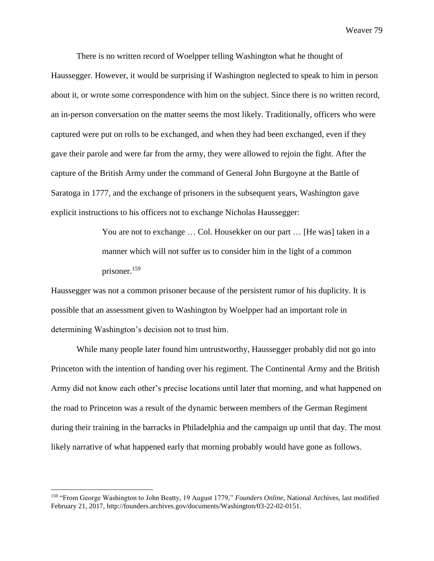There is no written record of Woelpper telling Washington what he thought of Haussegger. However, it would be surprising if Washington neglected to speak to him in person about it, or wrote some correspondence with him on the subject. Since there is no written record, an in-person conversation on the matter seems the most likely. Traditionally, officers who were captured were put on rolls to be exchanged, and when they had been exchanged, even if they gave their parole and were far from the army, they were allowed to rejoin the fight. After the capture of the British Army under the command of General John Burgoyne at the Battle of Saratoga in 1777, and the exchange of prisoners in the subsequent years, Washington gave explicit instructions to his officers not to exchange Nicholas Haussegger:

> You are not to exchange ... Col. Housekker on our part ... [He was] taken in a manner which will not suffer us to consider him in the light of a common prisoner.<sup>159</sup>

Haussegger was not a common prisoner because of the persistent rumor of his duplicity. It is possible that an assessment given to Washington by Woelpper had an important role in determining Washington's decision not to trust him.

While many people later found him untrustworthy, Haussegger probably did not go into Princeton with the intention of handing over his regiment. The Continental Army and the British Army did not know each other's precise locations until later that morning, and what happened on the road to Princeton was a result of the dynamic between members of the German Regiment during their training in the barracks in Philadelphia and the campaign up until that day. The most likely narrative of what happened early that morning probably would have gone as follows.

<sup>159</sup> "From George Washington to John Beatty, 19 August 1779," *Founders Online*, National Archives, last modified February 21, 2017, http://founders.archives.gov/documents/Washington/03-22-02-0151.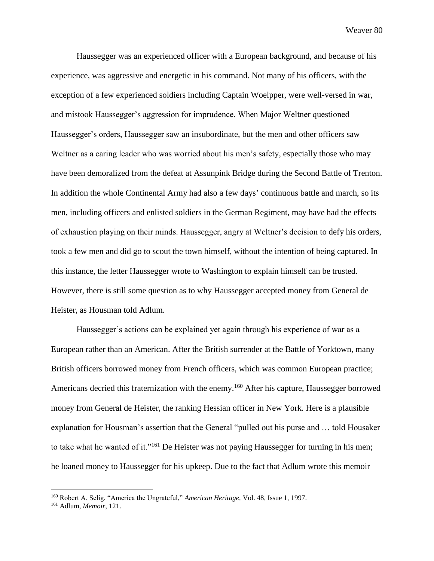Haussegger was an experienced officer with a European background, and because of his experience, was aggressive and energetic in his command. Not many of his officers, with the exception of a few experienced soldiers including Captain Woelpper, were well-versed in war, and mistook Haussegger's aggression for imprudence. When Major Weltner questioned Haussegger's orders, Haussegger saw an insubordinate, but the men and other officers saw Weltner as a caring leader who was worried about his men's safety, especially those who may have been demoralized from the defeat at Assunpink Bridge during the Second Battle of Trenton. In addition the whole Continental Army had also a few days' continuous battle and march, so its men, including officers and enlisted soldiers in the German Regiment, may have had the effects of exhaustion playing on their minds. Haussegger, angry at Weltner's decision to defy his orders, took a few men and did go to scout the town himself, without the intention of being captured. In this instance, the letter Haussegger wrote to Washington to explain himself can be trusted. However, there is still some question as to why Haussegger accepted money from General de Heister, as Housman told Adlum.

Haussegger's actions can be explained yet again through his experience of war as a European rather than an American. After the British surrender at the Battle of Yorktown, many British officers borrowed money from French officers, which was common European practice; Americans decried this fraternization with the enemy.<sup>160</sup> After his capture, Haussegger borrowed money from General de Heister, the ranking Hessian officer in New York. Here is a plausible explanation for Housman's assertion that the General "pulled out his purse and … told Housaker to take what he wanted of it."<sup>161</sup> De Heister was not paying Haussegger for turning in his men; he loaned money to Haussegger for his upkeep. Due to the fact that Adlum wrote this memoir

<sup>160</sup> Robert A. Selig, "America the Ungrateful," *American Heritage,* Vol. 48, Issue 1, 1997.

<sup>161</sup> Adlum, *Memoir*, 121.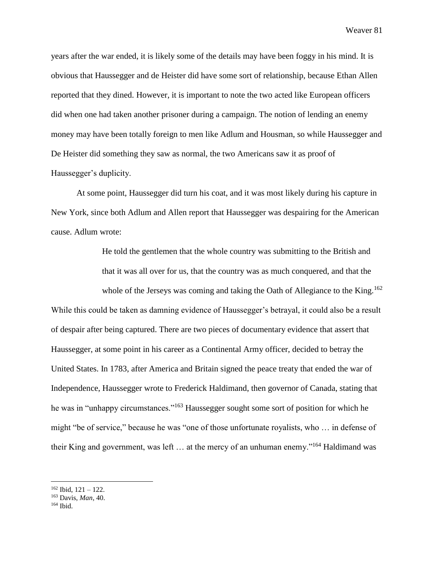years after the war ended, it is likely some of the details may have been foggy in his mind. It is obvious that Haussegger and de Heister did have some sort of relationship, because Ethan Allen reported that they dined. However, it is important to note the two acted like European officers did when one had taken another prisoner during a campaign. The notion of lending an enemy money may have been totally foreign to men like Adlum and Housman, so while Haussegger and De Heister did something they saw as normal, the two Americans saw it as proof of Haussegger's duplicity.

At some point, Haussegger did turn his coat, and it was most likely during his capture in New York, since both Adlum and Allen report that Haussegger was despairing for the American cause. Adlum wrote:

> He told the gentlemen that the whole country was submitting to the British and that it was all over for us, that the country was as much conquered, and that the whole of the Jerseys was coming and taking the Oath of Allegiance to the King.<sup>162</sup>

While this could be taken as damning evidence of Haussegger's betrayal, it could also be a result of despair after being captured. There are two pieces of documentary evidence that assert that Haussegger, at some point in his career as a Continental Army officer, decided to betray the United States. In 1783, after America and Britain signed the peace treaty that ended the war of Independence, Haussegger wrote to Frederick Haldimand, then governor of Canada, stating that he was in "unhappy circumstances."<sup>163</sup> Haussegger sought some sort of position for which he might "be of service," because he was "one of those unfortunate royalists, who … in defense of their King and government, was left … at the mercy of an unhuman enemy."<sup>164</sup> Haldimand was

 $162$  Ibid,  $121 - 122$ .

<sup>163</sup> Davis, *Man*, 40.

 $164$  Ibid.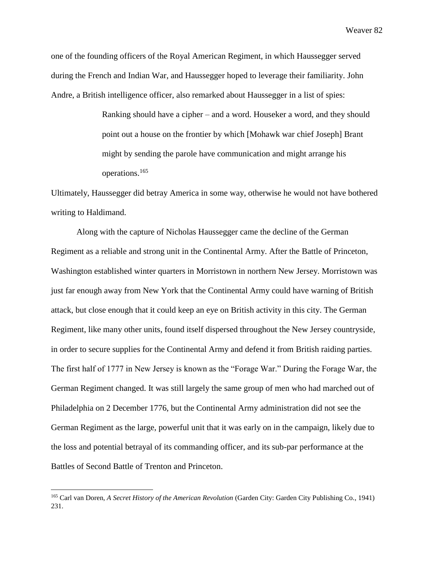one of the founding officers of the Royal American Regiment, in which Haussegger served during the French and Indian War, and Haussegger hoped to leverage their familiarity. John Andre, a British intelligence officer, also remarked about Haussegger in a list of spies:

> Ranking should have a cipher – and a word. Houseker a word, and they should point out a house on the frontier by which [Mohawk war chief Joseph] Brant might by sending the parole have communication and might arrange his operations.<sup>165</sup>

Ultimately, Haussegger did betray America in some way, otherwise he would not have bothered writing to Haldimand.

Along with the capture of Nicholas Haussegger came the decline of the German Regiment as a reliable and strong unit in the Continental Army. After the Battle of Princeton, Washington established winter quarters in Morristown in northern New Jersey. Morristown was just far enough away from New York that the Continental Army could have warning of British attack, but close enough that it could keep an eye on British activity in this city. The German Regiment, like many other units, found itself dispersed throughout the New Jersey countryside, in order to secure supplies for the Continental Army and defend it from British raiding parties. The first half of 1777 in New Jersey is known as the "Forage War." During the Forage War, the German Regiment changed. It was still largely the same group of men who had marched out of Philadelphia on 2 December 1776, but the Continental Army administration did not see the German Regiment as the large, powerful unit that it was early on in the campaign, likely due to the loss and potential betrayal of its commanding officer, and its sub-par performance at the Battles of Second Battle of Trenton and Princeton.

<sup>165</sup> Carl van Doren, *A Secret History of the American Revolution* (Garden City: Garden City Publishing Co., 1941) 231.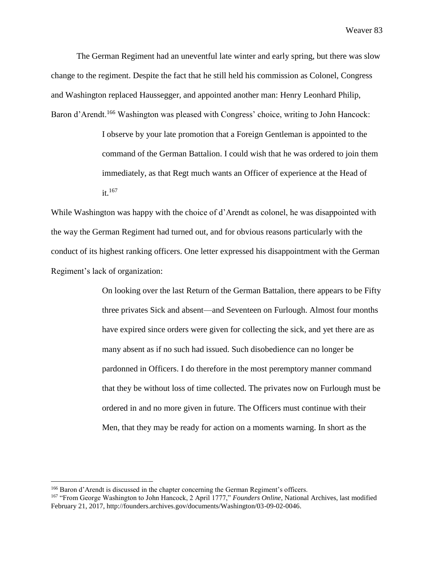The German Regiment had an uneventful late winter and early spring, but there was slow change to the regiment. Despite the fact that he still held his commission as Colonel, Congress and Washington replaced Haussegger, and appointed another man: Henry Leonhard Philip, Baron d'Arendt.<sup>166</sup> Washington was pleased with Congress' choice, writing to John Hancock:

> I observe by your late promotion that a Foreign Gentleman is appointed to the command of the German Battalion. I could wish that he was ordered to join them immediately, as that Regt much wants an Officer of experience at the Head of  $it.<sup>167</sup>$

While Washington was happy with the choice of d'Arendt as colonel, he was disappointed with the way the German Regiment had turned out, and for obvious reasons particularly with the conduct of its highest ranking officers. One letter expressed his disappointment with the German Regiment's lack of organization:

> On looking over the last Return of the German Battalion, there appears to be Fifty three privates Sick and absent—and Seventeen on Furlough. Almost four months have expired since orders were given for collecting the sick, and yet there are as many absent as if no such had issued. Such disobedience can no longer be pardonned in Officers. I do therefore in the most peremptory manner command that they be without loss of time collected. The privates now on Furlough must be ordered in and no more given in future. The Officers must continue with their Men, that they may be ready for action on a moments warning. In short as the

<sup>166</sup> Baron d'Arendt is discussed in the chapter concerning the German Regiment's officers.

<sup>167</sup> "From George Washington to John Hancock, 2 April 1777," *Founders Online*, National Archives, last modified February 21, 2017, http://founders.archives.gov/documents/Washington/03-09-02-0046.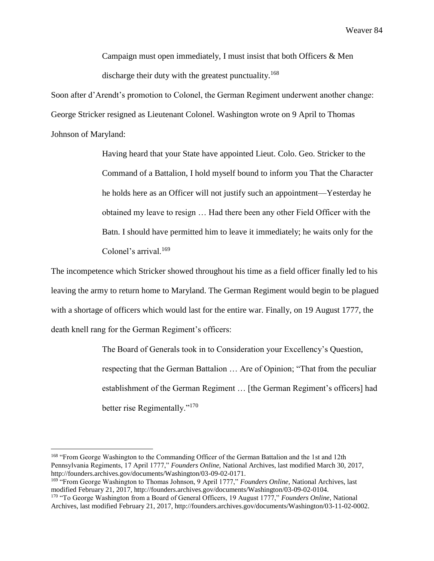Campaign must open immediately, I must insist that both Officers & Men discharge their duty with the greatest punctuality.<sup>168</sup>

Soon after d'Arendt's promotion to Colonel, the German Regiment underwent another change: George Stricker resigned as Lieutenant Colonel. Washington wrote on 9 April to Thomas Johnson of Maryland:

> Having heard that your State have appointed Lieut. Colo. Geo. Stricker to the Command of a Battalion, I hold myself bound to inform you That the Character he holds here as an Officer will not justify such an appointment—Yesterday he obtained my leave to resign … Had there been any other Field Officer with the Batn. I should have permitted him to leave it immediately; he waits only for the Colonel's arrival.<sup>169</sup>

The incompetence which Stricker showed throughout his time as a field officer finally led to his leaving the army to return home to Maryland. The German Regiment would begin to be plagued with a shortage of officers which would last for the entire war. Finally, on 19 August 1777, the death knell rang for the German Regiment's officers:

> The Board of Generals took in to Consideration your Excellency's Question, respecting that the German Battalion … Are of Opinion; "That from the peculiar establishment of the German Regiment … [the German Regiment's officers] had better rise Regimentally."<sup>170</sup>

<sup>&</sup>lt;sup>168</sup> "From George Washington to the Commanding Officer of the German Battalion and the 1st and 12th Pennsylvania Regiments, 17 April 1777," *Founders Online,* National Archives, last modified March 30, 2017, http://founders.archives.gov/documents/Washington/03-09-02-0171.

<sup>169</sup> "From George Washington to Thomas Johnson, 9 April 1777," *Founders Online,* National Archives, last modified February 21, 2017, http://founders.archives.gov/documents/Washington/03-09-02-0104. <sup>170</sup> "To George Washington from a Board of General Officers, 19 August 1777," *Founders Online*, National

Archives, last modified February 21, 2017, http://founders.archives.gov/documents/Washington/03-11-02-0002.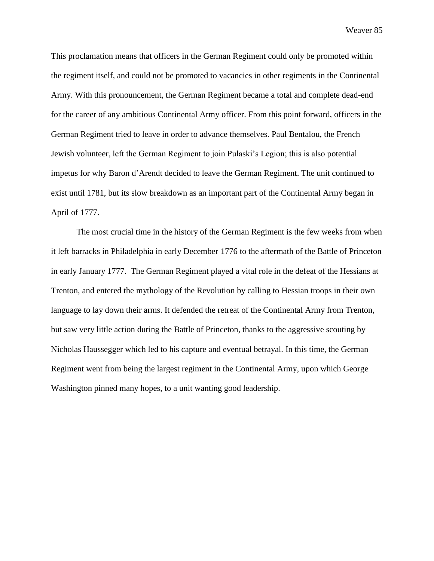This proclamation means that officers in the German Regiment could only be promoted within the regiment itself, and could not be promoted to vacancies in other regiments in the Continental Army. With this pronouncement, the German Regiment became a total and complete dead-end for the career of any ambitious Continental Army officer. From this point forward, officers in the German Regiment tried to leave in order to advance themselves. Paul Bentalou, the French Jewish volunteer, left the German Regiment to join Pulaski's Legion; this is also potential impetus for why Baron d'Arendt decided to leave the German Regiment. The unit continued to exist until 1781, but its slow breakdown as an important part of the Continental Army began in April of 1777.

The most crucial time in the history of the German Regiment is the few weeks from when it left barracks in Philadelphia in early December 1776 to the aftermath of the Battle of Princeton in early January 1777. The German Regiment played a vital role in the defeat of the Hessians at Trenton, and entered the mythology of the Revolution by calling to Hessian troops in their own language to lay down their arms. It defended the retreat of the Continental Army from Trenton, but saw very little action during the Battle of Princeton, thanks to the aggressive scouting by Nicholas Haussegger which led to his capture and eventual betrayal. In this time, the German Regiment went from being the largest regiment in the Continental Army, upon which George Washington pinned many hopes, to a unit wanting good leadership.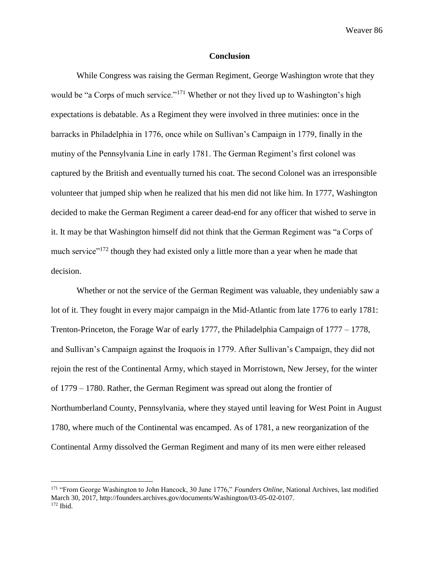#### **Conclusion**

While Congress was raising the German Regiment, George Washington wrote that they would be "a Corps of much service."<sup>171</sup> Whether or not they lived up to Washington's high expectations is debatable. As a Regiment they were involved in three mutinies: once in the barracks in Philadelphia in 1776, once while on Sullivan's Campaign in 1779, finally in the mutiny of the Pennsylvania Line in early 1781. The German Regiment's first colonel was captured by the British and eventually turned his coat. The second Colonel was an irresponsible volunteer that jumped ship when he realized that his men did not like him. In 1777, Washington decided to make the German Regiment a career dead-end for any officer that wished to serve in it. It may be that Washington himself did not think that the German Regiment was "a Corps of much service"<sup>172</sup> though they had existed only a little more than a year when he made that decision.

Whether or not the service of the German Regiment was valuable, they undeniably saw a lot of it. They fought in every major campaign in the Mid-Atlantic from late 1776 to early 1781: Trenton-Princeton, the Forage War of early 1777, the Philadelphia Campaign of 1777 – 1778, and Sullivan's Campaign against the Iroquois in 1779. After Sullivan's Campaign, they did not rejoin the rest of the Continental Army, which stayed in Morristown, New Jersey, for the winter of 1779 – 1780. Rather, the German Regiment was spread out along the frontier of Northumberland County, Pennsylvania, where they stayed until leaving for West Point in August 1780, where much of the Continental was encamped. As of 1781, a new reorganization of the Continental Army dissolved the German Regiment and many of its men were either released

<sup>171</sup> "From George Washington to John Hancock, 30 June 1776," *Founders Online*, National Archives, last modified March 30, 2017, http://founders.archives.gov/documents/Washington/03-05-02-0107. <sup>172</sup> Ibid.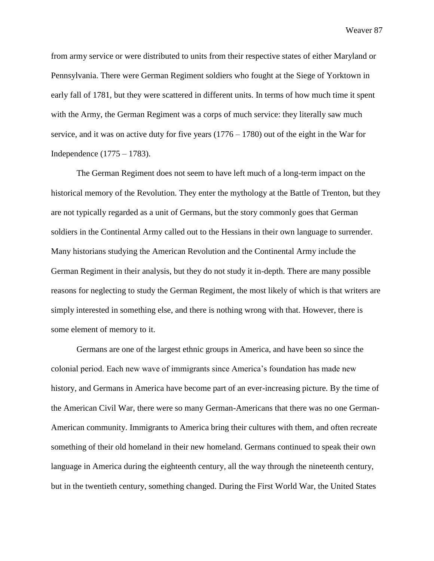from army service or were distributed to units from their respective states of either Maryland or Pennsylvania. There were German Regiment soldiers who fought at the Siege of Yorktown in early fall of 1781, but they were scattered in different units. In terms of how much time it spent with the Army, the German Regiment was a corps of much service: they literally saw much service, and it was on active duty for five years  $(1776 - 1780)$  out of the eight in the War for Independence (1775 – 1783).

The German Regiment does not seem to have left much of a long-term impact on the historical memory of the Revolution. They enter the mythology at the Battle of Trenton, but they are not typically regarded as a unit of Germans, but the story commonly goes that German soldiers in the Continental Army called out to the Hessians in their own language to surrender. Many historians studying the American Revolution and the Continental Army include the German Regiment in their analysis, but they do not study it in-depth. There are many possible reasons for neglecting to study the German Regiment, the most likely of which is that writers are simply interested in something else, and there is nothing wrong with that. However, there is some element of memory to it.

Germans are one of the largest ethnic groups in America, and have been so since the colonial period. Each new wave of immigrants since America's foundation has made new history, and Germans in America have become part of an ever-increasing picture. By the time of the American Civil War, there were so many German-Americans that there was no one German-American community. Immigrants to America bring their cultures with them, and often recreate something of their old homeland in their new homeland. Germans continued to speak their own language in America during the eighteenth century, all the way through the nineteenth century, but in the twentieth century, something changed. During the First World War, the United States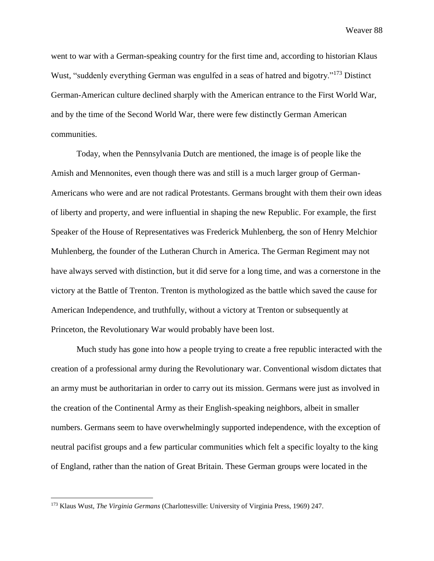went to war with a German-speaking country for the first time and, according to historian Klaus Wust, "suddenly everything German was engulfed in a seas of hatred and bigotry."<sup>173</sup> Distinct German-American culture declined sharply with the American entrance to the First World War, and by the time of the Second World War, there were few distinctly German American communities.

Today, when the Pennsylvania Dutch are mentioned, the image is of people like the Amish and Mennonites, even though there was and still is a much larger group of German-Americans who were and are not radical Protestants. Germans brought with them their own ideas of liberty and property, and were influential in shaping the new Republic. For example, the first Speaker of the House of Representatives was Frederick Muhlenberg, the son of Henry Melchior Muhlenberg, the founder of the Lutheran Church in America. The German Regiment may not have always served with distinction, but it did serve for a long time, and was a cornerstone in the victory at the Battle of Trenton. Trenton is mythologized as the battle which saved the cause for American Independence, and truthfully, without a victory at Trenton or subsequently at Princeton, the Revolutionary War would probably have been lost.

Much study has gone into how a people trying to create a free republic interacted with the creation of a professional army during the Revolutionary war. Conventional wisdom dictates that an army must be authoritarian in order to carry out its mission. Germans were just as involved in the creation of the Continental Army as their English-speaking neighbors, albeit in smaller numbers. Germans seem to have overwhelmingly supported independence, with the exception of neutral pacifist groups and a few particular communities which felt a specific loyalty to the king of England, rather than the nation of Great Britain. These German groups were located in the

<sup>173</sup> Klaus Wust, *The Virginia Germans* (Charlottesville: University of Virginia Press, 1969) 247.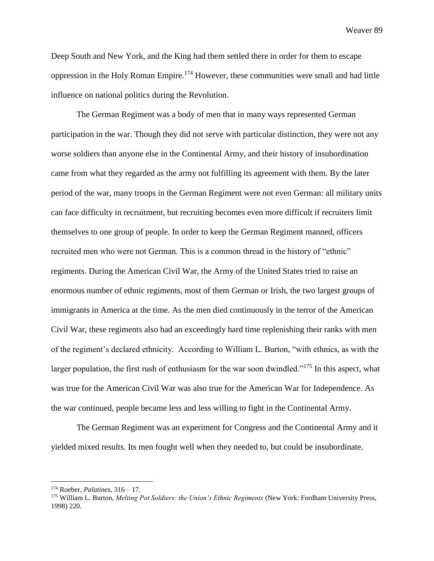Deep South and New York, and the King had them settled there in order for them to escape oppression in the Holy Roman Empire.<sup>174</sup> However, these communities were small and had little influence on national politics during the Revolution.

The German Regiment was a body of men that in many ways represented German participation in the war. Though they did not serve with particular distinction, they were not any worse soldiers than anyone else in the Continental Army, and their history of insubordination came from what they regarded as the army not fulfilling its agreement with them. By the later period of the war, many troops in the German Regiment were not even German: all military units can face difficulty in recruitment, but recruiting becomes even more difficult if recruiters limit themselves to one group of people. In order to keep the German Regiment manned, officers recruited men who were not German. This is a common thread in the history of "ethnic" regiments. During the American Civil War, the Army of the United States tried to raise an enormous number of ethnic regiments, most of them German or Irish, the two largest groups of immigrants in America at the time. As the men died continuously in the terror of the American Civil War, these regiments also had an exceedingly hard time replenishing their ranks with men of the regiment's declared ethnicity. According to William L. Burton, "with ethnics, as with the larger population, the first rush of enthusiasm for the war soon dwindled."<sup>175</sup> In this aspect, what was true for the American Civil War was also true for the American War for Independence. As the war continued, people became less and less willing to fight in the Continental Army.

The German Regiment was an experiment for Congress and the Continental Army and it yielded mixed results. Its men fought well when they needed to, but could be insubordinate.

<sup>174</sup> Roeber, *Palatines,* 316 – 17.

<sup>175</sup> William L. Burton, *Melting Pot Soldiers: the Union's Ethnic Regiments* (New York: Fordham University Press, 1998) 220.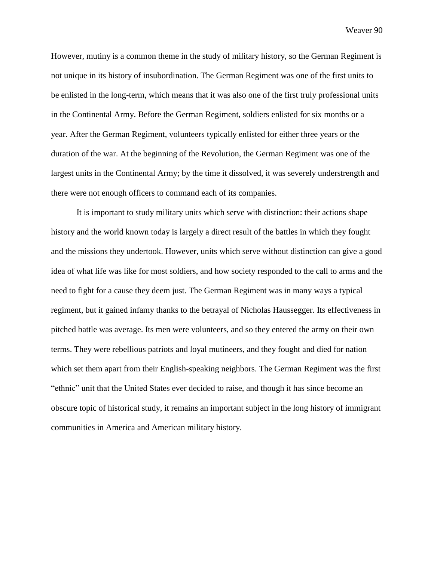However, mutiny is a common theme in the study of military history, so the German Regiment is not unique in its history of insubordination. The German Regiment was one of the first units to be enlisted in the long-term, which means that it was also one of the first truly professional units in the Continental Army. Before the German Regiment, soldiers enlisted for six months or a year. After the German Regiment, volunteers typically enlisted for either three years or the duration of the war. At the beginning of the Revolution, the German Regiment was one of the largest units in the Continental Army; by the time it dissolved, it was severely understrength and there were not enough officers to command each of its companies.

It is important to study military units which serve with distinction: their actions shape history and the world known today is largely a direct result of the battles in which they fought and the missions they undertook. However, units which serve without distinction can give a good idea of what life was like for most soldiers, and how society responded to the call to arms and the need to fight for a cause they deem just. The German Regiment was in many ways a typical regiment, but it gained infamy thanks to the betrayal of Nicholas Haussegger. Its effectiveness in pitched battle was average. Its men were volunteers, and so they entered the army on their own terms. They were rebellious patriots and loyal mutineers, and they fought and died for nation which set them apart from their English-speaking neighbors. The German Regiment was the first "ethnic" unit that the United States ever decided to raise, and though it has since become an obscure topic of historical study, it remains an important subject in the long history of immigrant communities in America and American military history.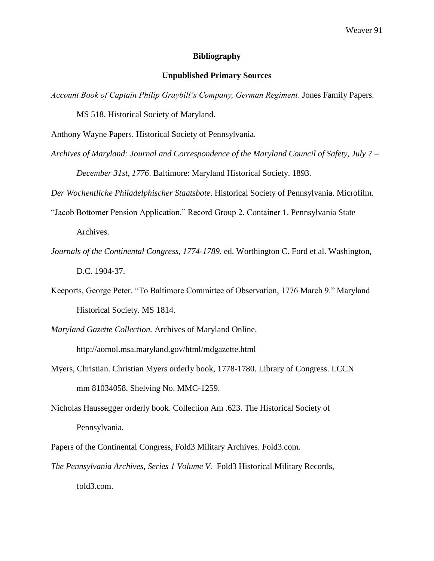# **Bibliography**

## **Unpublished Primary Sources**

*Account Book of Captain Philip Graybill's Company, German Regiment*. Jones Family Papers.

MS 518. Historical Society of Maryland.

Anthony Wayne Papers. Historical Society of Pennsylvania.

*Archives of Maryland: Journal and Correspondence of the Maryland Council of Safety, July 7 –*

*December 31st, 1776*. Baltimore: Maryland Historical Society. 1893.

*Der Wochentliche Philadelphischer Staatsbote*. Historical Society of Pennsylvania. Microfilm.

"Jacob Bottomer Pension Application." Record Group 2. Container 1. Pennsylvania State

Archives.

- *Journals of the Continental Congress, 1774-1789*. ed. Worthington C. Ford et al. Washington, D.C. 1904-37.
- Keeports, George Peter. "To Baltimore Committee of Observation, 1776 March 9." Maryland Historical Society. MS 1814.
- *Maryland Gazette Collection.* Archives of Maryland Online.

http://aomol.msa.maryland.gov/html/mdgazette.html

- Myers, Christian. Christian Myers orderly book, 1778-1780. Library of Congress. LCCN mm 81034058. Shelving No. MMC-1259.
- Nicholas Haussegger orderly book. Collection Am .623. The Historical Society of Pennsylvania.
- Papers of the Continental Congress, Fold3 Military Archives. Fold3.com.
- *The Pennsylvania Archives*, *Series 1 Volume V.* Fold3 Historical Military Records, fold3.com.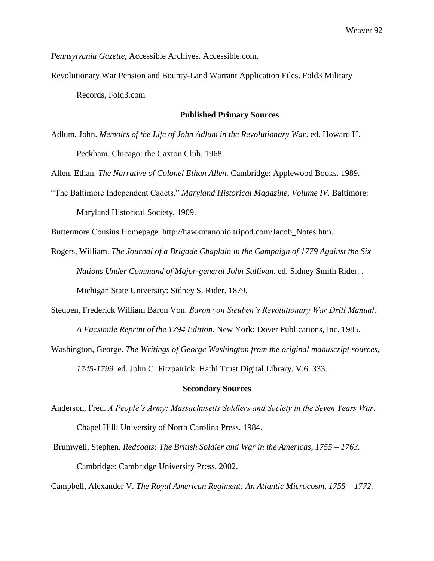*Pennsylvania Gazette*, Accessible Archives. Accessible.com.

Revolutionary War Pension and Bounty-Land Warrant Application Files. Fold3 Military Records, Fold3.com

# **Published Primary Sources**

Adlum, John. *Memoirs of the Life of John Adlum in the Revolutionary War*. ed. Howard H. Peckham. Chicago: the Caxton Club. 1968.

Allen, Ethan. *The Narrative of Colonel Ethan Allen.* Cambridge: Applewood Books. 1989.

"The Baltimore Independent Cadets." *Maryland Historical Magazine, Volume IV.* Baltimore: Maryland Historical Society. 1909.

Buttermore Cousins Homepage. http://hawkmanohio.tripod.com/Jacob\_Notes.htm.

Rogers, William. *The Journal of a Brigade Chaplain in the Campaign of 1779 Against the Six Nations Under Command of Major-general John Sullivan.* ed. Sidney Smith Rider. .

Michigan State University: Sidney S. Rider. 1879.

Steuben, Frederick William Baron Von. *Baron von Steuben's Revolutionary War Drill Manual: A Facsimile Reprint of the 1794 Edition.* New York: Dover Publications, Inc. 1985.

Washington, George. *The Writings of George Washington from the original manuscript sources,* 

*1745-1799.* ed. John C. Fitzpatrick. Hathi Trust Digital Library. V.6. 333.

### **Secondary Sources**

Anderson, Fred. *A People's Army: Massachusetts Soldiers and Society in the Seven Years War*.

Chapel Hill: University of North Carolina Press. 1984.

Brumwell, Stephen. *Redcoats: The British Soldier and War in the Americas, 1755 – 1763.* Cambridge: Cambridge University Press. 2002.

Campbell, Alexander V. *The Royal American Regiment: An Atlantic Microcosm, 1755 – 1772.*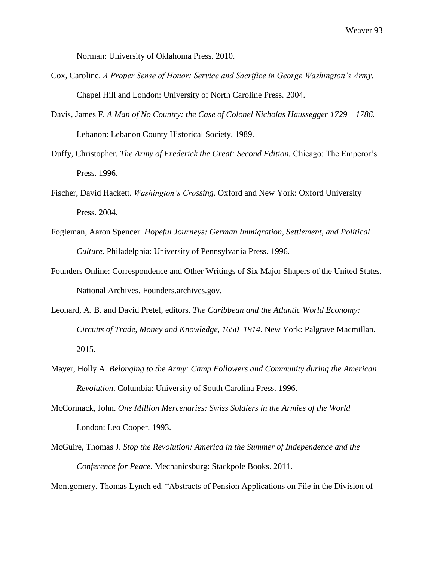Norman: University of Oklahoma Press. 2010.

- Cox, Caroline. *A Proper Sense of Honor: Service and Sacrifice in George Washington's Army.* Chapel Hill and London: University of North Caroline Press. 2004.
- Davis, James F. *A Man of No Country: the Case of Colonel Nicholas Haussegger 1729 – 1786.*  Lebanon: Lebanon County Historical Society. 1989.
- Duffy, Christopher. *The Army of Frederick the Great: Second Edition.* Chicago: The Emperor's Press. 1996.
- Fischer, David Hackett. *Washington's Crossing.* Oxford and New York: Oxford University Press. 2004.
- Fogleman, Aaron Spencer. *Hopeful Journeys: German Immigration, Settlement, and Political Culture.* Philadelphia: University of Pennsylvania Press. 1996.
- Founders Online: Correspondence and Other Writings of Six Major Shapers of the United States. National Archives. Founders.archives.gov.
- Leonard, A. B. and David Pretel, editors. *The Caribbean and the Atlantic World Economy: Circuits of Trade, Money and Knowledge, 1650–1914*. New York: Palgrave Macmillan. 2015.
- Mayer, Holly A. *Belonging to the Army: Camp Followers and Community during the American Revolution*. Columbia: University of South Carolina Press. 1996.
- McCormack, John. *One Million Mercenaries: Swiss Soldiers in the Armies of the World* London: Leo Cooper. 1993.
- McGuire, Thomas J. *Stop the Revolution: America in the Summer of Independence and the Conference for Peace.* Mechanicsburg: Stackpole Books. 2011.

Montgomery, Thomas Lynch ed. "Abstracts of Pension Applications on File in the Division of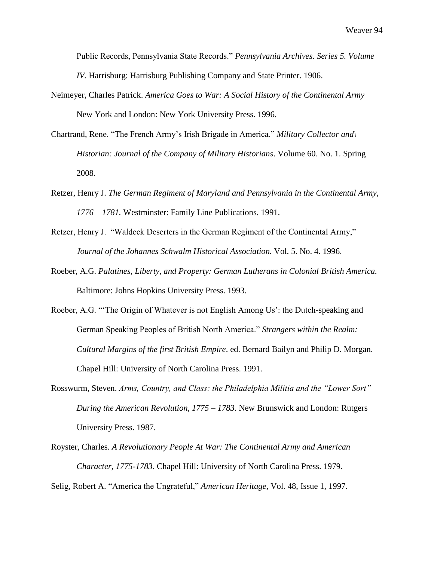Public Records, Pennsylvania State Records." *Pennsylvania Archives. Series 5. Volume IV.* Harrisburg: Harrisburg Publishing Company and State Printer. 1906.

- Neimeyer, Charles Patrick. *America Goes to War: A Social History of the Continental Army* New York and London: New York University Press. 1996.
- Chartrand, Rene. "The French Army's Irish Brigade in America." *Military Collector and\ Historian: Journal of the Company of Military Historians*. Volume 60. No. 1. Spring 2008.
- Retzer, Henry J. *The German Regiment of Maryland and Pennsylvania in the Continental Army, 1776 – 1781.* Westminster: Family Line Publications. 1991.
- Retzer, Henry J. "Waldeck Deserters in the German Regiment of the Continental Army," *Journal of the Johannes Schwalm Historical Association.* Vol. 5. No. 4. 1996.
- Roeber, A.G. *Palatines, Liberty, and Property: German Lutherans in Colonial British America.* Baltimore: Johns Hopkins University Press. 1993.
- Roeber, A.G. "'The Origin of Whatever is not English Among Us': the Dutch-speaking and German Speaking Peoples of British North America." *Strangers within the Realm: Cultural Margins of the first British Empire*. ed. Bernard Bailyn and Philip D. Morgan. Chapel Hill: University of North Carolina Press. 1991.
- Rosswurm, Steven. *Arms, Country, and Class: the Philadelphia Militia and the "Lower Sort" During the American Revolution, 1775 – 1783.* New Brunswick and London: Rutgers University Press. 1987.
- Royster, Charles. *A Revolutionary People At War: The Continental Army and American Character, 1775-1783*. Chapel Hill: University of North Carolina Press. 1979.

Selig, Robert A. "America the Ungrateful," *American Heritage,* Vol. 48, Issue 1, 1997.